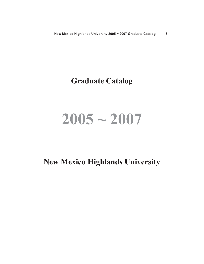# **Graduate Catalog**

# **2005 ~ 2007**

# **New Mexico Highlands University**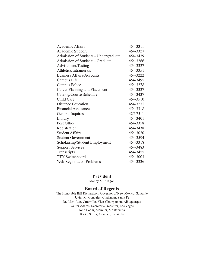| <b>Academic Affairs</b>               | 454-3311 |
|---------------------------------------|----------|
| Academic Support                      | 454-3327 |
| Admission of Students - Undergraduate | 454-3439 |
| Admission of Students - Graduate      | 454-3266 |
| Advisement/Testing                    | 454-3327 |
| Athletics/Intramurals                 | 454-3351 |
| <b>Business Affairs/Accounts</b>      | 454-3222 |
| Campus Life                           | 454-3495 |
| Campus Police                         | 454-3278 |
| <b>Career Planning and Placement</b>  | 454-3327 |
| Catalog/Course Schedule               | 454-3437 |
| Child Care                            | 454-3510 |
| <b>Distance Education</b>             | 454-3271 |
| <b>Financial Assistance</b>           | 454-3318 |
| General Inquires                      | 425-7511 |
| Library                               | 454-3401 |
| Post Office                           | 454-3358 |
| Registration                          | 454-3438 |
| <b>Student Affairs</b>                | 454-3020 |
| <b>Student Government</b>             | 454-3594 |
| Scholarship/Student Employment        | 454-3318 |
| <b>Support Services</b>               | 454-3483 |
| Transcripts                           | 454-3455 |
| <b>TTY Switchboard</b>                | 454-3003 |
| <b>Web Registration Problems</b>      | 454-3226 |

# **President**

Manny M. Aragon

# **Board of Regents**

The Honorable Bill Richardson, Governor of New Mexico, Santa Fe Javier M. Gonzales, Chairman, Santa Fe Dr. Mari-Lucy Jaramillo, Vice-Chairperson, Albuquerque Walter Adams, Secretary/Treasurer, Las Vegas John Loehr, Member, Montezuma Ricky Serna, Member, Española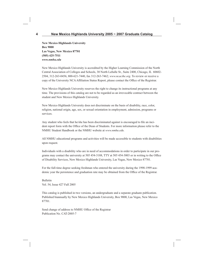**New Mexico Highlands University Box 9000 Las Vegas, New Mexico 87701 (505) 425-7511** *www.nmhu.edu*

New Mexico Highlands University is accredited by the Higher Learning Commission of the North Central Association of Colleges and Schools, 30 North LaSalle St., Suite 2400, Chicago, IL 60602- 2504, 312-263-0456; 800-621-7440, fax 312-263-7462; *www.ncacihe.org*. To review or receive a copy of the University NCA Affiliation Status Report, please contact the Office of the Registrar.

New Mexico Highlands University reserves the right to change its instructional programs at any time. The provisions of this catalog are not to be regarded as an irrevocable contract between the student and New Mexico Highlands University.

New Mexico Highlands University does not discriminate on the basis of disability, race, color, religion, national origin, age, sex, or sexual orientation in employment, admission, programs or services.

Any student who feels that he/she has been discriminated against is encouraged to file an incident report form with the Office of the Dean of Students. For more information please refer to the NMHU Student Handbook or the NMHU website at *www.nmhu.edu*.

All NMHU educational programs and activities will be made accessible to students with disabilities upon request.

Individuals with a disability who are in need of accommodations in order to participate in our programs may contact the university at 505 454-3188, TTY at 505 454-3003 or in writing to the Office of Disability Services, New Mexico Highlands University, Las Vegas, New Mexico 87701.

For the full-time degree seeking freshman who entered the university during the 1998-1999 academic year the persistence and graduation rate may be obtained from the Office of the Registrar.

Bulletin Vol. 54, Issue 427 Fall 2005

This catalog is published in two versions, an undergraduate and a separate graduate publication. Published biannually by New Mexico Highlands University, Box 9000, Las Vegas, New Mexico 87701.

Send change of address to NMHU Office of the Registrar Publication No. CAT-2005-7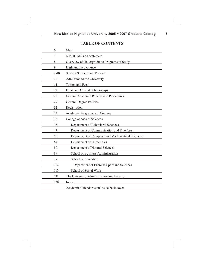# **TABLE OF CONTENTS**

| 6      | Map                                              |
|--------|--------------------------------------------------|
| 7      | <b>NMHU Mission Statement</b>                    |
| 8      | Overview of Undergraduate Programs of Study      |
| 9      | Highlands at a Glance                            |
| $9-10$ | <b>Student Services and Policies</b>             |
| 11     | Admission to the University                      |
| 14     | Tuition and Fees                                 |
| 17     | Financial Aid and Scholarships                   |
| 21     | General Academic Policies and Procedures         |
| 27     | General Degree Policies                          |
| 32     | Registration                                     |
| 34     | Academic Programs and Courses                    |
| 35     | College of Arts & Sciences                       |
| 36     | Department of Behavioral Sciences                |
| 47     | Department of Communication and Fine Arts        |
| 55     | Department of Computer and Mathematical Sciences |
| 64     | Department of Humanities                         |
| 80     | Department of Natural Sciences                   |
| 89     | School of Business Administration                |
| 97     | School of Education                              |
| 112    | Department of Exercise Sport and Sciences        |
| 117    | School of Social Work                            |
| 131    | The University Administration and Faculty        |
| 138    | Index                                            |
|        | Academic Calendar is on inside back cover        |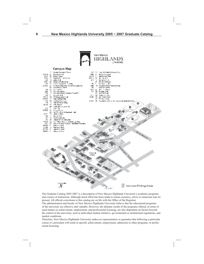

The Graduate Catalog 2005-2007 is a description of New Mexico Highlands University's academic programs and courses of instruction. Although much effort has been made to ensure accuracy, errors or omissions may be present. All official corrections to this catalog are on file with the Office of the Registrar.

The administration and faculty of New Mexico Highlands University believe that the educational programs of the university are effective and valuable. However, the ultimate results of the programs offered, in terms of such matters as achievement, employment, and professional licensing, are also dependent on factors beyond the control of the university, such as individual student initiative, governmental or institutional regulations, and market conditions.

Therefore, New Mexico Highlands University makes no representation or guarantee that following a particular course or curriculum will result in specific achievement, employment, admission to other programs, or professional licensing.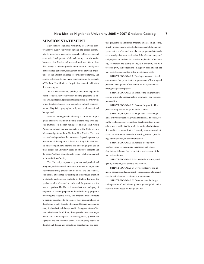#### **MISSION STATEMENT**

New Mexico Highlands University is a diverse comprehensive quality university serving the global community by integrating education, research, public service, and economic development, while celebrating our distinctive Northern New Mexico cultures and traditions. We achieve this through a university-wide commitment to quality student-centered education, recognition of the growing importance of the Spanish language to our nation's interests, and acknowledgement to our many responsibilities to residents of Northern New Mexico as the principal educational institution in the region.

As a student-centered, publicly supported, regionally based, comprehensive university offering programs in liberal arts, sciences and professional disciplines the University brings together students from distinctive cultural, socioeconomic, linguistic, geographic, religious, and educational backgrounds.

New Mexico Highland University is committed to programs that focus on its multiethnic student body with special emphasis on the rich heritage of Hispanic and Native American cultures that are distinctive to the State of New Mexico and particularly to Northern New Mexico. The University clearly perceives that its success depends upon an appreciation of the region's cultural and linguistic identities. By reinforcing cultural identity and encouraging the use of these assets, the University seeks to empower students and the region's ethnic populations to achieve full involvement in the activities of society.

The University emphasizes graduate and professional programs, and a balanced curriculum promotes undergraduate study that is firmly grounded in the liberal arts and sciences, emphasizes excellence in teaching and individual attention to students, and prepares students for lifelong learning, for graduate and professional schools, and for present and future occupations. The University remains true to its legacy of emphasis on teacher preparation, interdisciplinary programs involving the Hispanic world, and programs that contribute to meeting social needs. In essence, there is an emphasis on developing broadly literate citizens and leaders, educated in analytical and critical thought and in the appreciation of the arts and sciences. In addition, through collaborative arrangements with other campuses, research agencies, government agencies, and the corporate world, the University aspires to develop and deliver new models for baccalaureate and graduate programs in additional programs such as engineering, forestry management, watershed management, bilingual programs in the professional schools, and programs that clearly acknowledge that a university that fully takes advantage of, and prepares its students for, creative application of technology to improve the quality of life, is a university that will prosper, grow, and be relevant. In support of its mission the university has adopted the following strategic goals:

**STRATEGIC GOAL A**: Develop a learner-centered environment that promotes the improvement of learning and personal development of students from first-year courses through degree completion.

**STRATEGIC GOAL B**: Enhance the long term strategy for university engagements in community and regional partnerships.

**STRATEGIC GOAL C**: Become the premier Hispanic Serving Institution (HSI) in the country.

**STRATEGIC GOAL D**: Align New Mexico Highlands University technology with institutional priorities, be on the leading edge of technology developments in higher education, provide faculty, students, staff and administration, and the communities the University serves convenient access to information needed for learning, research, teaching, administration, and communication.

**STRATEGIC GOAL E**: Achieve a competitive position with peer institutions in research and scholarship in targeted areas that promote the achievement of the university mission.

**STRATEGIC GOAL F**: Maintain the adequacy and quality of the physical campus environment.

**STRATEGIC GOAL G**: Develop effective and efficient academic and administrative processes, systems and structures that support continuous improvement

**STRATEGIC GOAL H**: Communicate the image and reputation of the University to the general public and to students with a focus on its high quality.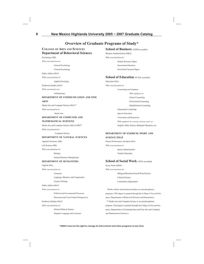# **Overview of Graduate Programs of Study\***

#### **COLLEGE OF ARTS AND SCIENCES Department of Behavioral Sciences**

Psychology (MS)

*With concentrations in:*

General Psychology

Clinical Psychology

Public Affairs (MA)\*

*With concentrations in:* 

Applied Sociology

Southwest Studies (MA)\*

*With concentration in:* 

Anthropology

#### **DEPARTMENT OF COMMUNICATION AND FINE**

#### **ARTS**

Media Arts and Computer Science (MA)\*\*

*With concentration in:* 

Media Arts

#### **DEPARTMENT OF COMPUTER AND MATHEMATICAL SCIENCES**

Media Arts and Computer Science (MA or MS)\*\*

*With concentration in:* 

Computer Science

#### **DEPARTMENT OF NATURAL SCIENCES**

Applied Chemistry (MS)

Life Science (MS)

*With concentrations in:*

Biology

Natural Resource Management

#### **DEPARTMENT OF HUMANITIES**

English (MA)

*With concentrations in:*

Literature

Language, Rhetoric, and Composition

Creative Writing

Public Affairs (MA)\*

*With concentration in:* 

Political and Governmental Processes

Historical and Cross-Cultural Perspectives

Southwest Studies (MA)\*

*With concentrations in:* 

History/Political Science

Hispanic Language and Literature

#### **School of Business** ACBSP accredited

Business Administration (MBA) *With concentrations in:* Human Resource Mgmt International Business

Non-Profit Financial Mgmt

#### **School of Education** NCATE accredited

Education (MA) *With concentrations in:*

Counseling and Guidance

 *With emphasis in:* School Counseling Professional Counseling Rehabilitation Counseling Educational Leadership Special Education Curriculum and Instruction  *With emphasis in a variety of areas such as:*  English, Math, History, Bilingual Education, etc.

#### **DEPARTMENT OF EXERICSE SPORT AND SCIENCE (MA)**

Human Performance and Sport (MA) *With concentrations in* Sports Administration Teacher Education

#### **School of Social Work** CSWE accredited

Social Work (MSW) *With concentrations in:* Bilingual/Bicultural Social Work Practice Clinical Practice Community Organization

 \*Public Affairs and Southwest Studies are interdisciplinary programs. (The degree is granted through the College of Arts and Sciences, Departments of Behavioral Sciences and Humanities.) \*\* Media Arts and Computer Science is an interdisciplinary program. (The degree is granted through the College of Arts and Sciences, Departments of Communication and Fine Arts and Computer and Mathematical Sciences.)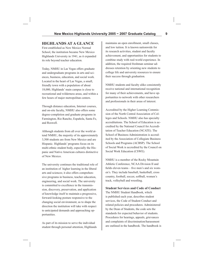# **HIGHLANDS AT A GLANCE**

First established as New Mexico Normal School, the institution became New Mexico Highlands University in 1941, as it expanded its role beyond teacher education.

Today, NMHU in Las Vegas offers graduate and undergraduate programs in arts and sciences, business, education, and social work. Located in the heart of Las Vegas, a small, friendly town with a population of about 18,000, Highlands' main campus is close to recreational and wilderness areas, and within a few hours of major metropolitan centers.

Through distance education, Internet courses, and on-site faculty, NMHU also offers some degree-completion and graduate programs in Farmington, Rio Rancho, Española, Santa Fe, and Roswell.

Although students from all over the world attend NMHU, the majority of its approximately 3,500 students are from New Mexico and are Hispanic. Highlands' programs focus on its multi-ethnic student body, especially the Hispanic and Native American cultures distinctive of New Mexico.

The university continues the traditional role of an institution of higher learning in the liberal arts and sciences; it also offers comprehensive programs in business, teacher education, engineering, and social work. The university is committed to excellence in the transmission, discovery, preservation, and application of knowledge itself to maintain a progressive, forward-looking posture responsive to the changing social environment, as to shape the direction the institution will take with respect to anticipated demands and approaching opportunities.

As part of its mission to serve the individual student through personal attention, Highlands maintains an open enrollment, small classes, and low tuition. It is known nationwide for its research activities, student and faculty achievement, and opportunities for students to combine study with real-world experience. In addition, the required freshman seminar addresses retention by orienting new students to college life and university resources to ensure their success through graduation.

NMHU students and faculty alike consistently receive national and international recognition for many of their achievements, and have opportunities to network with other researchers and professionals in their areas of interest.

Accredited by the Higher Learning Commission of the North Central Association of Colleges and Schools. NMHU also has specialty accreditations. The School of Education is accredited by the National Council for Accreditation of Teacher Education (NCATE). The School of Business Administration is accredited by the Association of Collegiate Business Schools and Programs (ACBSP). The School of Social Work is accredited by the Council on Social Work Education (CSWE).

NMHU is a member of the Rocky Mountain Athletic Conference, NCAA Division II and fields eleven teams – five men's and six women's. They include baseball, basketball, cross country, football, soccer, softball, women's track, volleyball and wrestling.

**Student Services and Code of Conduct**  The NMHU Student Handbook, which is published each year, describes student services, the Code of Student Conduct and related policies and procedures. Administered by the Dean of Students, the code sets the standards for expected behavior of students. Procedures for hearings, appeals, grievances and complaints of discrimination/harassment are outlined in the handbook. The handbook is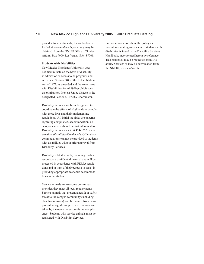provided to new students; it may be downloaded at *www.nmhu.edu*; or a copy may be obtained from the NMHU Office of Student Affairs, Box 9000, Las Vegas, N.M. 87701.

#### **Students with Disabilities**

New Mexico Highlands University does not discriminate on the basis of disability in admission or access to its programs and activities. Section 504 of the Rehabilitation Act of 1973, as amended and the Americans with Disabilities Act of 1990 prohibit such discrimination. Provost Janice Chavez is the designated Section 504/ADA Coordinator.

Disability Services has been designated to coordinate the efforts of Highlands to comply with these laws and their implementing regulations. All initial inquiries or concerns regarding compliance, accommodation, access, or services should be first addressed to Disability Services at (505) 454-3252 or via e-mail at *disabilities@nmhu.edu*. Official accommodations can not be provided to students with disabilities without prior approval from Disability Services.

Disability related records, including medical records, are confidential material and will be protected in accordance with FERPA regulations and in light of their purpose to assist in providing appropriate academic accommodations to the student.

Service animals are welcome on campus provided they meet all legal requirements. Service animals that present a health or safety threat to the campus community (including cleanliness issues) will be banned from campus unless significant preventive actions are taken by the owner to ensure future compliance. Students with service animals must be registered with Disability Services.

Further information about the policy and procedures relating to services to students with disabilities is found in the Disability Services Handbook, incorporated herein by reference. This handbook may be requested from Disability Services or may be downloaded from the NMHU, *www.nmhu.edu.*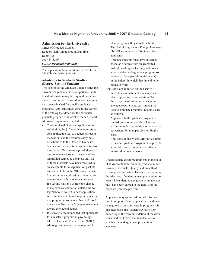# **Admission to the University**

Office of Graduate Studies Rodgers Hall Administration Building, Room 108 505 454-3266 *E-MAIL: graduate@nmhu.edu*

The application for admission is available on our web site: *www.nmhu.edu*

#### **Admission to Graduate Studies (Degree-Seeking Students)**

This section of the Graduate Catalog states the university's general admission policies. Additional information may be required or recommended, and separate procedures or deadlines may be established for specific graduate programs. Applicants must consult the section of the catalog that describes the particular graduate program of interest to them. General admission requirements include:

- The completed Graduate Application for Admission, the \$15 one-time, non-refundable application fee, two letters of recommendation, and the required essay must be submitted to the Office of Graduate Studies. At the same time, applicants also must have official transcripts of all previous college work sent to the same office. Admission cannot be complete until all of these materials have been received in an acceptable form. Application packets are available from the Office of Graduate Studies. A new application is required for re-enrollment after a one-year absence. If a second master's degree or a change in major or concentration outside the college/school is sought, a new application is required, and entrance requirements for that program must be met. No work used toward the first master's degree may count toward the second degree.
- It is strongly recommended that applicants for a master's program in psychology take the Graduate Record Exam (GRE). Although test scores are not required for

other programs, they may be submitted.

- The Test of English as a Foreign Language (TOEFL) is required of foreign student applicants.
- Graduate students must have an earned bachelor's degree from an accredited institution of higher learning and present an acceptable undergraduate program (or evidence of comparable achievement) in the field(s) in which they intend to do graduate work.
- Applicants are admitted on the basis of individual evaluation of transcripts and other supporting documentation. With the exception of minimum grade point average, requirements vary among the various graduate programs. Examples are as follows:
- Applicants to the graduate program in English must submit a 10- to 15-page writing sample, preferably a scholarly paper written for an upper division English class.
- Applicants to the Media Arts and Computer Science graduate program must provide a portfolio with examples of academic, industrial or creative work.

Undergraduate credit requirements in the field of study are flexible; an undergraduate minor is usually adequate. Quality and breadth of coverage are the critical factors in determining the adequacy of undergraduate preparation. At least a 3.0 undergraduate grade point average must have been earned in the field(s) of the proposed graduate program.

Applicants may submit additional information in support of their applications (and may be required to do so for certain programs). In disputed cases, the Academic Affairs Committee, upon the recommendation of the dean concerned, will make the final decision on whether the undergraduate preparation is adequate.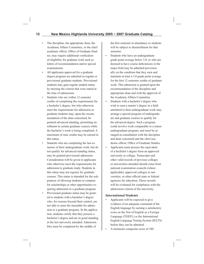- The discipline, the appropriate dean, the Academic Affairs Committee, or the chief academic officer, Office of Graduate Studies, may require additional verification of eligibility for graduate work such as letters of recommendation and/or special examinations.
- All applicants approved for a graduate degree program are admitted as regular or provisional graduate students. Provisional students may gain regular student status by meeting the criteria that were stated at the time of admissions.
- Students who are within 12 semester credits of completing the requirements for a bachelor's degree, but who otherwise meet the requirements for admission as graduate students may, upon the recommendation of the dean concerned, be granted advanced standing, permitting enrollment in certain graduate courses while the bachelor's work is being completed. A maximum of nine credits may be earned in this status.
- Students who are completing the last semester of their undergraduate work, but do not qualify for advanced standing status, may be granted provisional admission. Consideration will be given to applicants who otherwise meet the requirements for admission to graduate study. Students in this status may not register for graduate courses. This status is intended for the sole purpose of allowing students to compete for scholarships or other opportunities requiring admission to a graduate program.
- Provisional graduate status may be granted to students with a bachelor's degree who, for reasons beyond their control, are not able to meet the timetable for admission to a graduate program. In the application, students certify that they possess a bachelor's degree and are in good standing at the last university attended. Admission files must be completed by the middle of

the first semester in attendance or students will be subject to disenrollment for that semester.

- Students who have an undergraduate grade point average below 3.0, or who are deemed to have course deficiencies in the major field may be admitted provisionally on the condition that they earn and maintain at least a 3.0 grade point average for the first 12 semester credits of graduate work. This admission is granted upon the recommendation of the discipline and appropriate dean and with the approval of the Academic Affairs Committee.
- Students with a bachelor's degree who wish to earn a master's degree in a field unrelated to their undergraduate work may arrange a special program of undergraduate and graduate courses to qualify for the advanced degree. Such a program could involve work comparable to a minor undergraduate program, and must be arranged in consultation with the discipline and dean concerned and the chief academic officer, Office of Graduate Studies.
- Applicants must possess the equivalent of a bachelor's degree from an approved university or college. Transcripts and other valid records of previous colleges or universities attended should come from national examination councils (where applicable), approved colleges or universities, or other official state or federal agencies for education. These records will be evaluated for compliance with the admissions criteria of the university.

#### **International Students**

- Applicants will be expected to give evidence of an adequate command of the English language by earning a satisfactory score on the Test of English as a Foreign Language (TOEFL) or the International English Language Testing System (IELTS) before they can be admitted.
- A minimum composite score of 540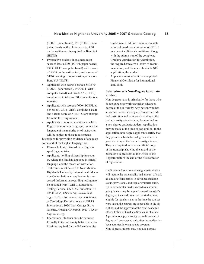(TOEFL paper based), 190 (TOEFL computer based), with at least a score of 50 on the written test is required or Band 6.5 (IELTS).

- Prospective students in business must score at least a 540 (TOEFL paper based), 190 (TOEFL computer based) with a score of 50/18 on the written test, and a score of 54/20 listening comprehension, or a score Band 6.5 (IELTS).
- Applicants with scores between 540/570 (TOEFL paper based), 190/207 (TOEFL computer based) and Bands 6.5 (IELTS) are required to take an ESL course for one semester.
- Applicants with scores of 600 (TOEFL paper based), 250 (TOEFL computer based) and a Band score of 7 (IELTS) are exempt from the ESL requirement.
- Applicants from other countries in which English is an official language, but not the language of the majority or of instruction will be subject to these requirements.

Exceptions for providing evidence of adequate command of the English language are:

- Persons holding citizenship in Englishspeaking countries.
- Applicants holding citizenship in a country where the English language is official language, and the means of instruction.
- Test results must be sent to New Mexico Highlands University International Education Center before an application is processed. Information regarding testing may be obtained from TOEFL, Educational Testing Service, CN 6155, Princeton, NJ 08541-6155, USA or *http://www.toefl . org*. IELTS, information may be obtained at Cambridge Examinations and IELTS International, 1024 West Orange Grove Avenue, Arcadia, CA 91006-1923 USA or *http://ielts.org*.
- International students must be admitted formally to the university before the verifications required for the F-1 student visa

can be issued. All international students who seek graduate admission to NMHU must meet additional conditions. Along with the submission of the completed Graduate Application for Admission, the required essay, two letters of recommendation, and the non-refundable \$15 application, the student:

• Applicants must submit the completed Financial Certificate for international admission.

#### **Admission as a Non-Degree Graduate Student**

Non-degree status is principally for those who do not expect to work toward an advanced degree at the university. Any person who has an earned bachelor's degree from an accredited institution and is in good standing at the last university attended may be admitted as a non-degree graduate student. Application may be made at the time of registration. In the application, non-degree applicants certify that they possess a bachelor's degree and are in good standing at the last university attended. They are required to have an official copy of the transcript showing the award of the bachelor's degree sent to the Office of the Registrar before the end of the first semester of registration.

Credits earned as a non-degree graduate student will require the same quality and amount of work as similar credits earned in advanced standing status, provisional, and regular graduate status. Up to 12 semester credits earned as a non-degree graduate may be applied toward a master's degree, on the conditions that the student was eligible for regular status at the time the courses were taken, the courses are acceptable to the discipline, and the approval of the chief academic officer, Office of Graduate Studies, is obtained. A petition to apply non-degree credits toward a degree will be accepted only after the student has been admitted into a graduate program. Non-degree students may not take a gradu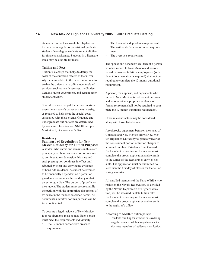ate course unless they would be eligible for that course as regular or provisional graduate students. Non-degree students are not eligible for financial assistance. Students in a licensure track may be eligible for loans.

#### **Tuition and Fees**

Tuition is a charge that helps to defray the costs of the education offered at the university. Fees are added to the basic tuition rate to enable the university to offer student-related services, such as health services, the Student Center, student government, and certain other student activities.

Special fees are charged for certain one-time events in a student's career at the university, as required to help meet the special costs associated with those events. Graduate and undergraduate tuition rates are determined by academic classification. NMHU accepts MasterCard, Discover and VISA.

#### **Residency**

#### **Summary of Regulations for New Mexico Residency for Tuition Purposes**

A student who enters and remains in this state principally to obtain an education is presumed to continue to reside outside this state and such presumption continues in effect until rebutted by clear and convincing evidence of bona fide residence. A student determined to be financially dependent on a parent or guardian also assumes the residency of that parent or guardian. The burden of proof is on the student. The student must secure and file the petition with the appropriate documents of evidence in the manner described herein. All documents submitted for this purpose will be kept confidential.

To become a legal resident of New Mexico, four requirements must be met. Each person must meet the requirements individually:

The 12-month consecutive presence requirement.

- The financial independence requirement.
- The written declaration of intent requirement.
- The overt acts requirement.

The spouse and dependent children of a person who has moved to New Mexico and has obtained permanent full-time employment (sufficient documentation is required) shall not be required to complete the 12-month durational requirement.

A person, their spouse, and dependents who move to New Mexico for retirement purposes and who provide appropriate evidence of formal retirement shall not be required to complete the 12-month durational requirement.

Other relevant factors may be considered along with those listed above.

A reciprocity agreement between the states of Colorado and New Mexico allows New Mexico Highlands University to grant a waiver of the non-resident portion of tuition charges to a limited number of students from Colorado. Each student requesting such a waiver must complete the proper application and return it to the Office of the Registrar as early as possible. The application must be submitted no later than the first day of classes for the fall or spring semester.

All enrolled members of the Navajo Tribe who reside on the Navajo Reservation, as certified by the Navajo Department of Higher Education, will be assessed in-state tuition rates. Each student requesting such a waiver must complete the proper application and return it to the registrar's office.

According to NMHU's tuition policy:

 • Students enrolling for six hours or less during a regular semester will be charged resident tuition rates regardless of residency classification.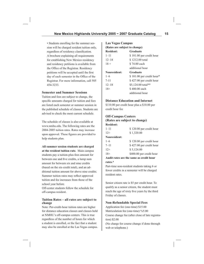• Students enrolling for the summer session will be charged resident tuition only, regardless of residency classification. A brochure explaining all requirements for establishing New Mexico residency and residency petitions is available from the Office of the Registrar. Residency petitions will be accepted until the first day of each semester in the Office of the Registrar. For more information, call 505 454-3233.

#### **Semester and Summer Sessions**

Tuition and fees are subject to change, the specific amounts charged for tuition and fees are listed each semester or summer session in the published schedule of classes. Students are advised to check the most current schedule.

The schedule of classes is also available at www.nmhu.edu. The following rates are the 2004-2005 tuition rates. Rates may increase upon approval. These figures are provided to help students plan.

**All summer session students are charged at the resident tuition rate.** Main campus students pay a tuition-plus-fees amount for between one and five credits, a lump sum amount for between six and nine credits (based on the six-credit total), and an additional tuition amount for above nine credits. Summer tuition rates may reflect approved tuition and fee increases from those of the school year before.

Off-center students follow the schedule for off-campus resident.

#### **Tuition Rates – all rates are subject to change**

Note: Per-credit-hour tuition rates are higher for distance education classes and classes held at NMHU's off-campus centers. This is true regardless of the number of hours for which a student is enrolled, or the fact that a student may also be enrolled at the Las Vegas campus.

# **Las Vegas Campus (Rates are subject to change) Resident: Graduate**   $1-11$  \$ 101.00 per credit hour 12–18 \$ 1212.00 total  $18 +$  \$ 74.00 each additional hour **Nonresident: Graduate**  1–6 \$ 101.00 per credit hour\* 7-11 \$ 427.00 per credit hour 12–18 \$5,124.00 total\*\* 18+ \$400.00 each

#### **Distance Education and Internet**

additional hour

\$110.00 per credit hour plus a \$10.00 per credit hour fee

#### **Off-Campus Centers**

**(Rates are subject to change)**

| <b>Resident:</b> |                                         |
|------------------|-----------------------------------------|
| $1 - 11$         | \$120.00 per credit hour                |
| $12+$            | \$1,320.00                              |
| Nonresident:     |                                         |
| $1 - 6$          | \$120.00 per credit hour                |
| $7 - 11$         | \$427.00 per credit hour                |
| $12+$            | \$5,124.00                              |
| $18+$            | \$400.00 per credit hour                |
|                  | Audit rates are the same as credit hour |

#### **rates.\***

Part-time non-resident students taking 6 or fewer credits in a semester will be charged resident rates.

Senior citizen rate is \$5 per credit hour. To qualify as a senior citizen, the student must reach the age of sixty five years by the third Friday of classes.

#### **Non-Refundable Special Fees**

Application fee (one-time) \$15.00 Matriculation fee (one-time) %5.00 Course change fee (after close of late registration) \$2.00 (No charge for course change if done through web or telephone.)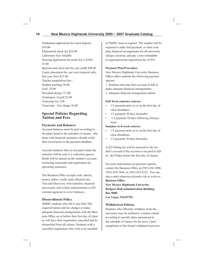# **16 New Mexico Highlands University 2005 ~ 2007 Graduate Catalog**

Graduation application fee (each degree) \$30.00 Dishonored check fee \$25.00 Laboratory fees Variable Housing application fee (total fee is \$100) 25.00 Special exam (test-out) fee, per credit \$40.00 Career placement fee, per year (renewal only; first year free) \$15.00 Teacher preparation fees - Student teaching 50.00 Golf 25.00 Downhill skiing 171.00 Techniques of golf 25.00 Transcript fee 2.00 Transcript – Fax charge 10.00

# **Special Policies Regarding Tuition and Fees**

#### **Payments and Balances**

Account balances must be paid according to the plans listed in the schedule of classes. Students with financial assistance should verify their award prior to the payment deadline.

Account balances that are not paid within the semester will be sent to a collection agency. Holds will be placed on the student's account, restricting transcripts and registration for upcoming semesters.

The Business Office accepts cash, checks, money orders, credit cards (MasterCard, Visa and Discover), wire transfers, financial aid awards, and written authorizations to bill external agencies to cover balances.

#### **Disenrollment Policy**

NMHU students who fail to pay their fullrequired tuition and fee charges or make adequate financial arrangements with the Business Office on or before their first day of classes will have their registration cancelled and be disenrolled from all classes. Students with a cancelled registration who wish to be enrolled

at NMHU must re-register. The student will be required to make full payment, or must complete financial arrangements for all university charges incurred, and pay a non-refundable re-registration/late registration fee of \$25.

#### **Payment Plan/Procedure**

New Mexico Highlands University Business Office offers students the following payment options:

1. Students must pay their account in full or make adequate financial arrangements.

2. Adequate financial arrangement option:

#### **Full Term semester courses:**

- $\cdot$  1/3 payment prior to or on the first day of class attendance
- 1/3 payment 30 days thereafter
- 1/3 payment 30 days following 2nd payment

#### **Summer or 8-week courses:**

- $\cdot$  1/2 payment prior to or on the first day of class attendance
- 1/2 payment 30 days thereafter

A \$25 billing fee will be assessed to the student's account if the account is not paid in full by the Friday before the first day of classes.

For more information on payment options, contact the Business Office at (505) 454-3008, (505) 454-3444, or (505) 454-3222. You can also e-mail *almartinez@nmhu.edu* or write to: **Business Office** 

**New Mexico Highlands University Rodgers Hall Administration Building Box 9000 Las Vegas, NM 87701**

#### **Withdrawal Policies**

Students who officially withdraw from the university may be entitled to a tuition refund according to specific dates announced in the schedule of classes for the term. Upon completion of the formal withdrawal process,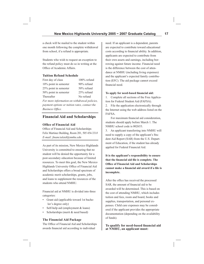a check will be mailed to the student within one month following the complete withdrawal from school, if a refund is appropriate.

Students who wish to request an exception to the refund policy must do so in writing at the Office of Academic Affairs.

#### **Tuition Refund Schedule**

| First day of class                           | 100% refund |  |
|----------------------------------------------|-------------|--|
| $10\%$ point in semester                     | 90% refund  |  |
| 25% point in semester                        | 50% refund  |  |
| 50% point in semester                        | 25% refund  |  |
| Thereafter                                   | No refund   |  |
| For more information on withdrawal policies, |             |  |

*payment options or tuition rates, contact the*  **Business Office.** 

# **Financial Aid and Scholarships**

#### **Office of Financial Aid**

Office of Financial Aid and Scholarships Felix Martinez Building, Room 201, 505 454-331*8 E-mail: fi nancialaid@nmhu.edu*

As part of its mission, New Mexico Highlands University is committed to ensuring that no student will be denied the opportunity for a post-secondary education because of limited resources. To meet this goal, the New Mexico Highlands University Office of Financial Aid and Scholarships offers a broad spectrum of academic merit scholarships, grants, jobs, and loans to supplement the resources of the students who attend NMHU.

Financial aid at NMHU is divided into three categories:

- Grant aid (applicable toward 1st bachelor's degree only)
- Self-help aid (employment & loans)
- Scholarships (merit & need based)

#### **The Financial Aid Package**

The Office of Financial Aid and Scholarships awards financial aid according to individual

need. If an applicant is a dependent, parents are expected to contribute toward educational costs according to financial ability. In addition, applicants are expected to contribute from their own assets and earnings, including borrowing against future income. Financial need is the difference between the cost of attendance at NMHU (including living expenses) and the applicant's expected family contribution (EFC). The aid package cannot exceed financial need.

#### To apply for need-based financial aid:

1. Complete all sections of the Free Application for Federal Student Aid (FAFSA).

2. File the application electronically through the Internet using the web address listed on the FAFSA.

For maximum financial aid consideration, students should apply before March 1. The NMHU school code is 002653.

3. An applicant transferring into NMHU will need to supply a copy of the applicant's Student Aid Report (SAR) from the U.S. Department of Education, if the student has already applied for Federal Financial Aid.

**It is the applicant's responsibility to ensure**  that the financial aid file is complete. The **Office of Financial Aid and Scholarships** cannot make a financial aid award if a file is **incomplete.**

After the office has received the processed SAR, the amount of financial aid to be awarded will be determined. This is based on the cost of attending NMHU, which includes tuition and fees, room and board, books and supplies, transportation, and personal expenses. Child care expenses may be considered if the applicant provides the appropriate documentation (depending on the availability of funds).

#### To qualify for need-based financial aid **at NMHU, an applicant must:**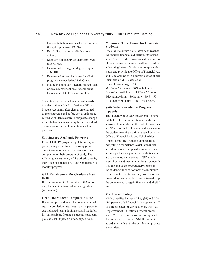- 1. Demonstrate financial need as determined through a processed FAFSA.
- 2. Be a U.S. citizen or an eligible non citizen.
- 3. Maintain satisfactory academic progress (see below).
- 4. Be enrolled in a regular degree program at NMHU.
- 5. Be enrolled at least half-time for all aid programs except federal Pell Grant.
- 6. Not be in default on a federal student loan or owe a repayment on a federal grant.
- 7. Have a complete Financial Aid File.

Students may use their financial aid awards to defer tuition at NMHU Business Office/ Student Accounts, after classes are charged to their accounts and before the awards are received. A student's award is subject to change if the student becomes ineligible as a result of over-award or failure to maintain academic progress.

#### **Satisfactory Academic Progress**

Federal Title IV program regulations require participating institutions to develop procedures to monitor a student's progress toward completion of their program of study. The following is a summary of the criteria used by the Office of Financial Aid and Scholarships to monitor progress:

#### **GPA Requirement for Graduate Students**

If a minimum of 3.0 Cumulative GPA is not met, the result is financial aid ineligibility (suspension).

#### **Graduate Student Completion Rate**

Hours completed divided by hours attempted equals completion rate. Less than the percentage indicated results in financial aid ineligibility (suspension). Graduate students must complete at least 80 percent of attempted hours.

#### **Maximum Time Frame for Graduate Students**

Once the maximum hours have been reached, the result is financial aid ineligibility (suspension). Students who have reached 125 percent of their degree requirement will be placed on a "warning" status. Students must appeal this status and provide the Office of Financial Aid and Scholarships with a current degree check. Examples of MTF calculation: Clinical Psychology  $= 63$  $M.S.W. = 65$  hours x  $150\% = 98$  hours Counseling = 48 hours  $x 150% = 72$  hours

Education Admin = 39 hours x  $150\% = 59$ All others = 36 hours  $x 150% = 54$  hours

# **Satisfactory Academic Progress Appeals**

The student whose GPA and/or credit hours fall below the minimum standard indicated above will be notified at the end of the semester. When notified of financial aid suspension, the student may file a written appeal with the Office of Financial Aid and Scholarships. Appeal forms are available upon request. If mitigating circumstances exist, a financial aid administrator or appeal committee may allow a probationary semester with financial aid to make up deficiencies in GPA and/or credit hours and meet the minimum standards. If at the end of the probationary semester the student still does not meet the minimum requirements, the student may lose his or her financial aid and may be required to make up the deficiencies to regain financial aid eligibility.

#### **Verification Policy**

NMHU verifies between thirty (30) and fifty  $(50)$  percent of all financial aid applicants. If you are selected for verification by the U.S. Department of Education's federal processor, NMHU will notify you regarding what documents are required. NMHU will not award any funds until the verification process is complete.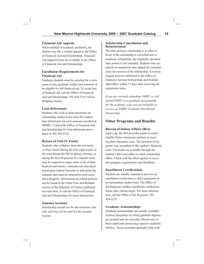#### **Financial Aid Appeals**

When notified of academic probation, the student may file a written appeal to the Office of Financial Aid and Scholarships. Financial Aid Appeal Forms are available in the Office of Financial Aid and Scholarships.

# **Enrollment Requirements for Financial Aid**

Graduate students must be enrolled for a minimum of nine graduate credits each semester to be eligible for full financial aid. To avoid loss of financial aid, call the Office of Financial Aid and Scholarships, 505 454-3318, before dropping classes.

#### **Loan Deferments**

Students who wish to defer payments on outstanding student loans must file student loan deferments for each semester enrolled at NMHU. Contact the Office of Financial Aid and Scholarships for loan deferment procedures at 505 454-3318.

#### **Return of Title IV Funds**

Students who withdraw from the university or drop classes during the first eight weeks of the term during the fall or spring semester, or during the first 60 percent of a summer term, may be required to repay some or all of their financial aid monies. Amounts are calculated based upon federal formulas to determine the amounts that must be returned to each assistance program. Information on refund policies can be found in the Other Fees and Refunds section of the Schedule of Classes published for each term, or call the Office of Financial Aid and Scholarships for more information.

#### **Summer Sessions**

Scholarship awards are for the academic year only and may not be used for the summer session.

#### **Scholarship Cancellation and Reinstatemen**t

The time period a scholarship is in effect is fixed. If the scholarship is cancelled due to academic ineligibility, the originally specified time period is not extended. Students who are placed on suspension may appeal for consideration for renewal of the scholarship. A written request must be submitted to the Office of Financial Aid and Scholarships and Scholarship Office within 15 days after receiving the suspension letter.

*If you are currently attending NMHU or will attend NMHU on a graduate assistantship for the academic year, you are ineligible to receive an NMHU Graduate Presidential Scholarship.*

# **Other Programs and Benefits**

#### **Bureau of Indian Affairs (BIA)**

Each year, the BIA provides grants to assist eligible Native American students in meeting their education costs. The amounts of the grants vary according to the student's financial need. The funds are available through the student's BIA area office or tribal scholarship office. Check with the tribal agency to ascertain program requirements and deadlines.

#### **Enrollment Certifications**

Students are usually required to process an enrollment certification to defer payments on an outstanding student loan. The Office of the Registrar certifies enrollment verification forms after classes begin. For more information, call the Office of the Registrar, 505 454-3233.

#### **Graduate Assistantships**

Graduate assistantships are usually available in those disciplines in which graduate degrees are granted and are normally offered only to those applicants possessing superior academic abilities. These assistants generally help with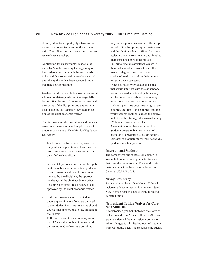classes, laboratory reports, objective examinations, and other tasks within the academic units. Disciplines may also award teaching and research assistantships.

Application for an assistantship should be made by March preceding the beginning of the academic year in which the assistantship is to be held. No assistantship may be awarded until the applicant has been accepted into a graduate degree program.

Graduate students who hold assistantships and whose cumulative grade point average falls below 3.0 at the end of any semester may, with the advice of the discipline and appropriate dean, have the assistantships revoked by action of the chief academic officer.

The following are the procedures and policies governing the selection and employment of graduate assistants at New Mexico Highlands University:

- In addition to information requested on the graduate application, at least two letters of reference are to be submitted on behalf of each applicant.
- Assistantships are awarded after the applicants have been admitted into a graduate degree program and have been recommended by the discipline, the appropriate dean, and the chief academic officer. Teaching assistants must be specifically approved by the chief academic officer.
- Full-time assistants are expected to devote approximately 20 hours per week to their duties. Part-time assistants should devote time proportional to the amount of their award.
- Full-time assistants may not carry more than 12 semester credits of course work per semester. Overloads are permitted

only in exceptional cases and with the approval of the discipline, appropriate dean, and the chief academic officer. Part-time assistants may carry a load proportional to their assistantship responsibilities.

- Full-time graduate assistants, except in their last semester of work toward the master's degree, must take at east six credits of graduate work in their degree programs each semester.
- Other activities by graduate assistants that would interfere with the satisfactory performance of assistantship duties may not be undertaken. While students may have more than one part-time contract, such as a part-time departmental graduate contract, the sum of the contracts and the work required shall not exceed the equivalent of one full-time graduate assistantship (20 hours of work per week).
- A student who has been admitted to a graduate program, but has not earned a bachelor's degree prior to his or her first semester of graduate study, may not hold a graduate assistant position.

#### **International Students**

The competitive out-of-state scholarship is available to international graduate students that meet the requirements. For specific information, contact the International Education Center at 505-454-3058.

#### **Navajo Residency**

Registered members of the Navajo Tribe who reside on a Navajo reservation are considered New Mexico residents and eligible for lower in-state tuition.

#### **Nonresident Tuition Waiver for Colorado Students**

A reciprocity agreement between the states of Colorado and New Mexico allows NMHU to grant a waiver of the non-resident portion of tuition charges to a limited number of students from Colorado. Each student requesting such a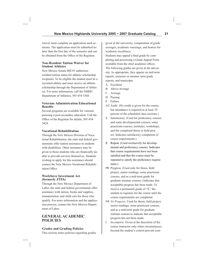waiver must complete an application each semester. The application must be submitted no later than the first day of the semester and can be obtained from the Office of the Registrar.

#### **Non-Resident Tuition Waiver for Student Athletes**

New Mexico Senate Bill 81 authorizes resident tuition status for athletic scholarship recipients. To be eligible the student must be a recruited athlete and must receive an athletic scholarship through the Department of Athletics. For more information, call the NMHU Department of Athletics, 505 454-3368.

#### **Veterans Administration Educational Benefits**

Several programs are available for veterans pursuing a post-secondary education. Call the Office of the Registrar for details, 505 454-3424.

# **Vocational Rehabilitation**

Through the New Mexico Division of Vocational Rehabilitation, the state and federal governments offer tuition assistance to students with disabilities. Other assistance may be given to those students who are financially unable to provide services themselves. Students wishing to apply for this assistance should contact the New Mexico Vocational Rehabilitation Office.

#### **Workforce Investment Act (formerly JTPA)**

Through the New Mexico Department of Labor, the state and federal governments offer assistance with tuition, books and supplies, transportation, and child care for those who qualify. For more information and the application process, contact the New Mexico Department of Labor.

# **GENERAL ACADEMIC POLICIES**

#### **Grades and Grading Policies**

This section states policies regarding grades

given at the university, computation of grade averages, academic warnings, and honors for academic excellence.

Students may appeal a final grade by completing and processing a Grade Appeal Form available from the chief academic officer. The following grades are given at the university. As appropriate, they appear on mid-term reports, semester or summer term grade reports, and transcripts.

- A Excellent
- B Above Average
- C Average
- D Passing
- F Failure
- AU Audit. (No credit is given for the course, but attendance is required in at least 70 percent of the scheduled class sessions.)
- S Satisfactory. (Used for proficiency courses and some developmental courses, some practicum courses, institutes, workshops, and the completed thesis or field project. Indicates satisfactory completion of course requirements.)
- R Repeat. (Used exclusively for developmental and proficiency courses. Indicates that course requirements have not been satisfied and that the course must be repeated to satisfy the proficiency requirement.)
- PR Progress. (Used only for thesis, field project, senior readings, some practicum courses, and as a mid-term grade for graduate seminar courses.) Indicates that acceptable progress has been made. To receive a permanent grade of "S," the student re-registers for the course until the course requirements are completed.
- NP *No Progress*. Used for thesis, field project, senior readings, some practicum courses, and as a mid-term grade for graduate seminar courses to indicate that acceptable progress has not been made.
- I *Incomplete.* Given at the discretion of the course instructor only when circumstances beyond the student's control prevent com-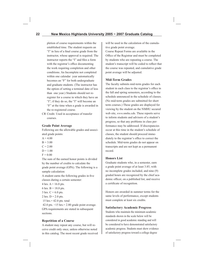pletion of course requirements within the established time. The student requests an "I" in lieu of a final course grade from the instructor, whose approval is required. The instructor reports the "I" and files a form with the registrar's office documenting the work requiring completion and other conditions. An Incomplete not completed within one calendar year automatically becomes an "F" for both undergraduate and graduate students. (The instructor has the option of setting a terminal date of less than one year.) Students should not reregister for a course in which they have an "I"; if they do so, the "I" will become an "F" at the time when a grade is awarded in the re-registered course.

CR Credit. Used in acceptance of transfer courses.

#### **Grade Point Average**

Following are the allowable grades and associated grade points:

- $A = 4.00$
- $B = 3.00$
- $C = 2.00$
- $D = 1.00$
- $F = 0.00$

The sum of the earned honor points is divided by the number of credits to calculate the grade point average (GPA). The following is a sample calculation:

A student earns the following grades in five classes during a certain semester:

4 hrs.  $A = 16.0$  pts.

6 hrs.  $B = 18.0$  pts.

- $3$  hrs.  $C = 6.0$  pts.
- 2 hrs.  $D = 2.0$  pts.

15 hrs.= 42.0 pts. total

42.0 pts.  $\div$ 15 hrs. = 2.80 grade point average. GPA requirements are stated in subsequent sections.

#### **Repetition of a Course**

A student may repeat any course, but will receive credit only once, unless otherwise noted in this catalog. The most recent grade received will be used in the calculation of the cumulative grade point average.

Course Repeat Forms are available in the Office of the Registrar and must be completed by students who are repeating a course. The student's transcript will be coded to reflect that the course was repeated, and cumulative grade point average will be adjusted.

#### **Mid-Term Grades**

The faculty submits mid-term grades for each student in each class to the registrar's office in the fall and spring semesters, according to the schedule announced in the schedule of classes. (No mid-term grades are submitted for short term courses.) These grades are displayed for viewing by the student on the NMHU secured web site, *www.nmhu.edu*. These reports serve to inform students and advisors of a student's progress, so that any problems in class performance may be addressed. If discrepancies occur at this time in the student's schedule of classes, the student should proceed immediately to the registrar's office to correct the schedule. Mid-term grades do not appear on transcripts and are not kept as a permanent record.

#### **Honors List**

Graduate students who, in a semester, earn a grade point average of at least 3.85, with no incomplete grades included, and nine (9) graded hours are recognized by the chief academic officer, on a published list, and receive a certificate of recognition.

Honors are awarded in summer terms for the same levels of performance, except students must complete at least six credits.

#### **Satisfactory Academic Progress**

Students who maintain the minimum academic standards shown in the scale below will be considered in good academic standing and will be considered to have demonstrated satisfactory academic progress. Students must show evidence of satisfactory progress toward a college degree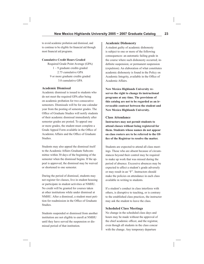to avoid academic probation and dismissal, and to continue to be eligible for financial aid through most financial aid programs.

#### **Cumulative Credit Hours Graded**

Required Grade Point Average (GPA) 1 – 9 graduate credits graded 2.75 cumulative GPA 9 or more graduate credits graded 3.0 cumulative GPA

#### **Academic Dismissal**

Academic dismissal is issued to students who do not meet the required GPA after being on academic probation for two consecutive semesters. Dismissals will be for one calendar year from the posting of semester grades. The Office of Graduate Studies will notify students of their academic dismissal immediately after semester grades are posted. To appeal one or more grades, the student must complete a Grade Appeal Form available in the Office of Academic Affairs and the Office of Graduate Studies.

Students may also appeal the dismissal itself to the Academic Affairs Graduate Subcommittee within 30 days of the beginning of the semester when the dismissal begins. If the appeal is approved, the dismissal may be waived or shortened to one semester.

During the period of dismissal, students may not register for classes, live in student housing or participate in student activities at NMHU. No credit will be granted for courses taken at other institutions while under dismissal at NMHU. After a dismissal, a student must petition for readmission in the Office of Graduate Studies.

Students suspended or dismissed from another institution are not eligible to enroll at NMHU until they have served the suspension or dismissal period of that institution.

#### **Academic Dishonesty**

A student guilty of academic dishonesty is subject to one or more of the following consequences: an automatic failing grade in the course where such dishonesty occurred; indefinite suspension; or permanent suspension (expulsion). An elaboration of what constitutes academic dishonesty is found in the Policy on Academic Integrity, available in the Office of Academic Affairs.

**New Mexico Highlands University reserves the right to change its instructional programs at any time. The provisions of this catalog are not to be regarded as an irrevocable contract between the student and New Mexico Highlands University.**

#### **Class Attendance**

**Instructors may not permit students to attend classes without being registered for them. Students whose names do not appear on class rosters are to be referred to the Offi ce of the Registrar to resolve the matter.**

Students are expected to attend all class meetings. Those who are absent because of circumstances beyond their control may be required to make up work that was missed during the period of absence. Excessive absences may be expected to affect a student's grade adversely or may result in an "F". Instructors should make the policies on attendance in each class available in writing to students.

If a student's conduct in class interferes with others, is disruptive to teaching, or is contrary to the established class practices, the instructor may ask the student to leave the class.

#### **Scheduled Class Meetings**

No change in the scheduled class days and hours may be made without the approval of the chief academic officer, and the registrar, even though all students in the class concur with the change. Any temporary departure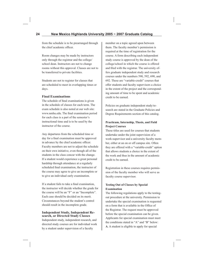from the schedule is to be prearranged through the chief academic officer.

Room changes may be made by instructors only through the registrar and the college/ school dean. Instructors are not to change rooms without this approval. Classes are not to be transferred to private facilities.

Students are not to register for classes that are scheduled to meet in overlapping times or days.

#### **Final Examinations**

The schedule of final examinations is given in the schedule of classes for each term. The exam schedule is also noted at our web site: www.nmhu.edu. The final examination period for each class is a part of the semester's instructional time and is to be used by the instructor of the course.

Any departures from the scheduled time or day for a final examination must be approved in advance by the chief academic officer. Faculty members are not to adjust the schedule on their own initiative, even though all of the students in the class concur with the change. If a student would experience a great personal hardship through attendance at a regularly scheduled final examination, the instructor of the course may agree to give an incomplete or to give an individual early examination.

If a student fails to take a final examination, the instructor will decide whether the grade for the course will be an "F" or an "Incomplete". Each case should be decided on its merit. Circumstances beyond the student's control should result in the incomplete grade.

#### **Independent Study, Independent Research, or Directed Study Classes**

Independent study, independent research, and directed study courses are for individual work by a student under supervision of a faculty

member on a topic agreed upon between them. The faculty member's permission is required at the time of registration for the course. A form describing each independent study course is approved by the dean of the college/school in which the course is offered and filed with the registrar. The university offers graduate independent study and research courses under the numbers 590, 592, 690, and 692. These are "variable-credit" courses that offer students and faculty supervisors a choice in the extent of the project and the corresponding amount of time to be spent and academic credit to be earned.

Policies on graduate independent study/research are stated in the Graduate Policies and Degree Requirements section of this catalog.

#### **Practicum, Internship, Thesis, and Field Project Courses**

These titles are used for courses that students undertake under the joint supervision of a work-supervisor and a university faculty member, either at an on or off campus site. Often they are offered with a "variable-credit" option that allows students a choice in the extent of the work and thus in the amount of academic credit to be earned.

Registration in these courses requires permission of the faculty member who will serve as faculty course supervisor.

#### **Testing Out of Classes by Special Examination**

The following regulations apply to the testingout procedure at the university. Permission to undertake the special examination is requested on a form that is available in the Office of the Registrar. The request must be approved before the special examination can be given. Applicants for special examination must meet the conditions stated in "A" and "B" below: **A**. A student is eligible to apply for special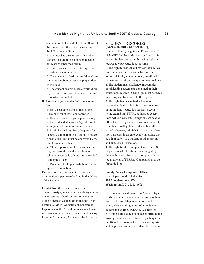examination to test out of a class offered at the university if the student meets one of the following conditions:

 1. A course has been taken with similar content, but credit has not been received for reasons other than failure.

 2. There has been private tutoring, as in private instruction in music.

 3. The student has had successful work experience involving extensive preparation in the field.

 4. The student has produced a work of recognized merit or presents other evidence of mastery in the field.

**B**. A student eligible under "A" above must also:

 1. Have been a resident student at this university for at least one semester.

 2. Have at least a 3.0 grade point average in the field and at least a 2.0 grade point average in all previous university work.

 3. Limit the total number of requests for special examination to six credits. (Exceptions to this limit must be approved by the chief academic officer.)

 4. Obtain approval of the course instructor, the dean of the college/school in which the course is offered, and the chief academic officer.

 5. Pay a fee of \$40 per credit hour for each special examination.

Examination questions and the completed examination paper are to be filed in the Office of the Registrar.

#### **Credit for Military Education**

The university grants credit for military education or service schools on recommendation of the American Council on Education's publication Guide to Evaluation of Educational Experience in the Armed Services. Air Force veterans should provide an academic transcript from the Community College of the Air Force.

# **STUDENT RECORDS (Access to and Confidentiality)**

Under the Family Rights and Privacy Act of 1974 (FERPA) New Mexico Highlands University Students have the following rights in regards to your educational records: 1. The right to inspect and review their education records within a reasonable time, not to exceed 45 days, upon making an official request and obtaining an appointment to do so. 2. The student may challenge inaccuracies or misleading statements contained in their educational records. Challenges must be made in writing and forwarded to the registrar. 3. The right to consent to disclosure of personally identifiable information contained in the student's education records, except to the extend that FERPA authorizes exceptions without consent. Exceptions are school official with a legitimate educational interest, compliance with judicial order or lawfully issued subpoena, officials for audit or evaluation purposes, in an emergency involving the health or safety of a student or other person and directory information.

4. The right to file a compliant with the U.S. Department of Education concerning alleged failures by the University to comply with the requirements of FERPA. Complaints may be forwarded to:

**Family Policy Compliance Office U.S. Department of Education 400 Maryland Ave, SW Washington, DC 20202-4605**

Directory information at New Mexico Highlands is student's name, address information, e-mail address, telephone listing, field of study, class standing, dates of attendance, honors and degrees awarded, full-time or part-time status, date and place of birth, home town, previous school attended, participation in officially recognized activities and sports, and height and weight of athletic team mem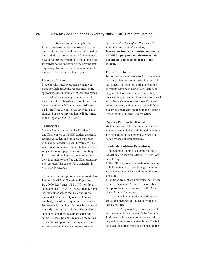bers. Directory information may be published or released unless the student has requested in writing that directory information be withheld. Written requests from student to have directory information withheld must be forwarded to the registrar's office by the last day of registration and will be maintained for the remainder of the academic year.

#### **Change of Name**

Students who need to process a change of name for their academic records must bring appropriate documentation (at least two types of identification showing the new name) to the Office of the Registrar. Examples of such documentation include marriage certificate, birth certificate or court order for legal name change. For more information, call the Office of the Registrar, 505 454-3233.

#### **Transcripts**

Student Records issues both official and unofficial copies of NMHU student academic records. A student may request a transcript of his or her academic record, which will be issued in accordance with the student's wishes subject to transcript policies. A fee is charged for all transcripts; however, an enrolled student is entitled to one free unofficial transcript per semester. The cost to fax a transcript is \$10, paid in advance.

To request a transcript, send a letter to Student Records, NMHU Office of the Registrar, Box 9000, Las Vegas, NM, 87701, or fax a signed request to 505 454-3552. Include name (include other names that may appear on records), Social Security number (student ID number), date of birth, approximate semester last attended, complete address where to send transcript, and current address. The student's signature is required to authorize the transcript's release. Students may also request an official transcript on-line through our secure website, *www.nmhu.edu*. (*Contact Student* 

*Records in the Office of the Registrar, 505 454-3455, for more information.)* **Transcripts from other institutions sent to NMHU for purposes of university admission are not copied or returned to the student.**

#### **Transcript Holds**

Transcripts will not be released to the student or to any other person or institution until all the student's outstanding obligations to the university have been paid or satisfactory arrangements have been made. These obligations include, but are not limited to loans, such as the New Mexico Student Loan Program, tuition and fees, and other charges. All financial arrangements are handled in the Business Office, not the Student Records Office.

#### **Right to Petition for Hardship**

Students are entitled to petition for relief of an unfair academic hardship brought about by any regulation of the university, when warranted by special circumstances.

#### **Academic Petitions Procedures**

1. Student must submit academic petition to the Office of Academic Affairs. All petitions must be typed.

2. The Office of Academic Affairs is responsible for obtaining all needed signatures, such as the Department Chair and Dean/Director signatures.

3. Petitions are sent via university mail by the Office of Academic Affairs to the members of the appropriate sub-committee of the Academic Affairs Committee:

 a. All undergraduate petitions are sent to the members of the Undergraduate Sub-Committee.

 b. All graduate petitions are sent to the members of the Graduate Sub-Committee. 4. Members of the sub-committee should respond in one week to the petition. The ballot and all materials must be sent back to the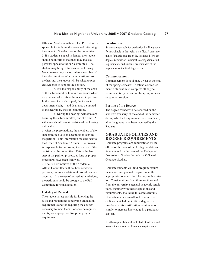Office of Academic Affairs. The Provost is responsible for tallying the votes and informing the student of the decision of the committee. 5. If a student's appeal is denied, the student should be informed that they may make a personal appeal to the sub-committee. The student may bring witnesses to the hearing. No witnesses may speak, unless a member of the sub-committee asks them questions. At the hearing, the student will be asked to present evidence to support the petition.

 a. It is the responsibility of the chair of the sub-committee to invite witnesses which may be needed to refute the academic petition. In the case of a grade appeal, the instructor, department chair, and dean may be invited to the hearing by the sub-committee.

 b. During the hearing, witnesses are heard by the sub-committee, one at a time. Al witnesses should remain outside of the hearing until called.

6. After the presentations, the members of the subcommittee vote on accepting or denying the petition. This information must be sent to the Office of Academic Affairs. The Provost is responsible for informing the student of the decision by the committee. This is the last step of the petition process, as long as proper procedures have been followed.

7. The Full Committee of the Academic Affairs Committee will not hear academic petitions, unless a violation of procedures has occurred. In the case of procedural violations, the petitions should be brought to the Full Committee for consideration.

#### **Catalog of Record**

The student is responsible for knowing the rules and regulations concerning graduation requirements and for acquiring the courses necessary to meet them. For specific requirements, see appropriate discipline program requirements.

#### **Graduation**

Students must apply for graduation by filling out a form available in the registrar's office. A one-time, non-refundable graduation fee is charged for each degree. Graduation is subject to completion of all requirements, and students are reminded of the importance of the final degree check.

#### **Commencement**

Commencement is held once a year at the end of the spring semester. To attend commencement, a student must complete all degree requirements by the end of the spring semester or summer session.

#### **Posting of the Degree**

The degree earned will be recorded on the student's transcript at the end of the semester during which all requirements are completed, after the grades have been received by the Registrar.

# **GRADUATE POLICIES AND DEGREE REQUIREMENTS**

Graduate programs are administered by the offices of the dean of the College of Arts and Sciences and by the dean of the College of Professional Studies through the Office of Graduate Studies.

Graduate students will find program requirements for each graduate degree under the appropriate college/school listings in this catalog. Considerations from those sections and from the university's general academic regulations, together with these regulations and requirements, should be followed carefully. Graduate courses are offered in some disciplines, which do not offer a degree, that may be used for certification requirements or simply to increase knowledge in a particular subject.

It is the responsibility of each student to know and to meet the various deadlines and requirements.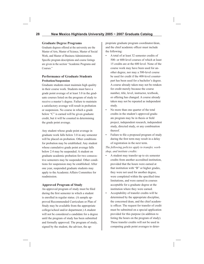#### **Graduate Degree Programs**

Graduate degrees offered at the university are the Master of Arts, Master of Science, Master of Social Work, and Master of Business Administration. Specific program descriptions and course listings are given in the section "Academic Programs and Courses."

#### **Performance of Graduate Students Probation/Suspension**

Graduate students must maintain high quality in their course work. Students must have a grade point average of at least 3.0 in the graduate courses listed on the program of study to receive a master's degree. Failure to maintain a satisfactory average will result in probation or suspension. No course in which a grade below "C" is earned will be given graduate credit, but it will be counted in determining the grade point average.

Any student whose grade point average in graduate work falls below 3.0 in any semester will be placed on probation. Other conditions for probation may be established. Any student whose cumulative grade point average falls below 2.4 may be suspended. A student on graduate academic probation for two consecutive semesters may be suspended. Other conditions for suspension may be established. After one year, suspended graduate students may apply to the Academic Affairs Committee for readmission.

#### **Approved Program of Study**

An approved program of study must be filed during the first semester in which a student is enrolled in regular status. (A sample approved Recommended Curriculum or Plan of Study may be available from the appropriate college/school and/or department.) A student will not be considered a candidate for a degree until the program of study has been submitted and formally approved. The program of study, signed by the student, the advisor, the appropriate graduate program coordinator/dean, and the chief academic officer must include the following:

- A total of at least 32 semester credits of 500- or 600-level courses of which at least 15 credits are at the 600 level. None of the course work may have been used for another degree, nor may a 500-level course be used for credit if the 400-level counterpart has been used for a bachelor's degree. A course already taken may not be retaken for credit merely because the course number, title, level, instructor, textbook, or offering has changed. A course already taken may not be repeated as independent study.
- No more than one quarter of the total credits in the student's approved graduate program may be in thesis or field project, independent research, independent study, directed study, or any combination thereof.
- Failure to file a proposed program of study during the first term may result in a delay of registration in the next term.

*The following policies apply to transfer, workshop, and institute credits:*

- A student may transfer up to six semester credits from another accredited institution, provided that the hours were earned at that institution with "B" or higher grades, they were not used for another degree, were completed within the specified time limitations, and were earned in courses acceptable for a graduate degree at the institution where they were earned.
- Acceptability of transfer credits will be determined by the appropriate discipline, the concerned dean, and the chief academic officer. The request for transfer of credit must be submitted on a special application provided for this purpose (in addition to listing the hours on the program of study). These transfer credits will not be used in computing grade point averages to deter-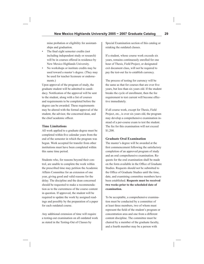mine probation or eligibility for assistantships and graduation.

- The final eight semester credits (not including independent study or research) will be in courses offered in residence by New Mexico Highlands University.
- No workshops or institute credits may be used toward a master's degree. (They may be used for teacher licensure or endorsements.)

Upon approval of the program of study, the graduate student will be admitted to candidacy. Notification of the approval will be sent to the student, along with a list of courses and requirements to be completed before the degree can be awarded. These requirements may be altered with the formal approval of the student, the advisor, the concerned dean, and the chief academic officer.

#### **Time Limitations**

All work applied to a graduate degree must be completed within five calendar years from the end of the semester in which the program was begun. Work accepted for transfer from other institutions must have been completed within this same time period.

Students who, for reasons beyond their control, are unable to complete the work within the prescribed time may petition the Academic Affairs Committee for an extension of one year, giving good and valid reasons for the delay. The discipline and the dean concerned should be requested to make a recommendation as to the currentness of the course content in question. If approved, the student will be required to update the work by assigned readings and possibly by the preparation of a paper for each outdated course.

Any additional extension of time will require a testing-out examination on all outdated work as stated in the Testing-Out of Classes by

Special Examination section of this catalog or retaking the outdated classes.

If a student, whose course work exceeds six years, remains continuously enrolled for one hour of Thesis, Field Project, or designated exit document class, will not be required to pay the test-out fee to establish currency.

The process of testing for currency will be the same as that for courses that are over five years, but less than six years old. If the student breaks the cycle of enrollment, then the fee requirement to test current will become effective immediately.

If all course work, except for Thesis, Field Project, etc., is over six years old, the program may develop a comprehensive examination instead of a per-course exam to test the student. The fee for this examination will not exceed \$1,200.

#### **Graduate Oral Examination**

The master's degree will be awarded at the first commencement following the satisfactory completion of an approved program of study and an oral comprehensive examination. Requests for the oral examination shall be made on the form available in the Office of Graduate Studies. Requests should not be submitted to the Office of Graduate Studies until the time, date, and examining committee members have been established. **Requests must be received two weeks prior to the scheduled date of examination.**

To be acceptable, a comprehensive examination must be conducted by a committee of at least three members, two of whom must represent the field of the student's program or concentration area and one from a different content discipline. The committee must be chaired by a member of the graduate faculty, and a fourth member may be a person with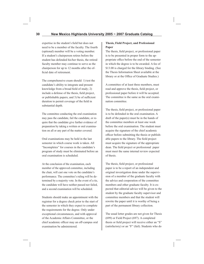expertise in the student's field but does not need to be a member of the faculty. The fourth (optional) member will be a voting member. If a student's chairperson retires before the student has defended his/her thesis, the retired faculty member may continue to serve as the chairperson for up to 12 months after the official date of retirement.

The comprehensive exam should: 1) test the candidate's ability to integrate and present knowledge from a broad field of study; 2) include a defense of the thesis, field project, or publishable papers; and 3) be of sufficient duration to permit coverage of the field in substantial depth.

The committee conducting the oral examination may pass the candidate, fail the candidate, or require that the candidate give further evidence of preparation by taking a written or oral examination on all or any part of the matter covered.

Oral examinations may be held in the last semester in which course work is taken. All "Incompletes" for courses in the candidate's program of study must be eliminated before an oral examination is scheduled.

At the conclusion of the examination, each member of the approved committee, including the chair, will cast one vote on the candidate's performance. The committee's ruling will be determined by a majority vote. In the event of a tie, the candidate will have neither passed nor failed, and a second examination will be scheduled.

Students should make an appointment with the registrar for a degree check prior to the start of the semester in which they expect to complete the requirements for the degree. Only under exceptional circumstances, and with approval of the Academic Affairs Committee, or the chief academic officer may an off-campus oral examination be administered.

#### **Thesis, Field Project, and Professional Paper**

The thesis, field project, or professional paper is to be presented in proper form to the appropriate office before the end of the semester in which the degree is to be awarded. A fee of \$13.00 is charged for the library binding. (See the Thesis Information Sheet available at the library or at the Office of Graduate Studies.)

A committee of at least three members, must read and approve the thesis, field project, or professional paper before it will be accepted. The committee is the same as the oral examination committee.

The thesis, field project, or professional paper is to be defended in the oral examination. A draft of the paper(s) must be in the hands of the committee members at least one week before the oral examination. The student must acquire the signature of the chief academic officer before submitting the thesis or publishable papers to the library. The field project must acquire the signature of the appropriate dean. The field project or professional paper must meet the same internal review expected of thesis.

The thesis, field project, or professional paper is to be a report of an independent and original investigation done under the supervision of a member of the graduate faculty with the advice and cooperation of the committee members and other graduate faculty. It is expected that editorial advice will be given to the student by the graduate faculty supervisor and committee members and that the student will rewrite the paper until it is worthy of being a part of the permanent library collection.

The usual letter grades are not given for Thesis (699) or Field Project (697). A completed thesis or field project will receive either an "S" (satisfactory) or an "F" (fail). Students who do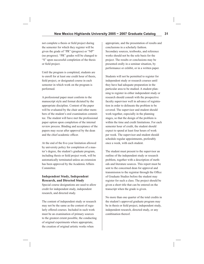not complete a thesis or field project during the semester for which they register will be given the grade of "PR" (progress) or "NP" (no progress). "PR" grades will be changed to "S" upon successful completion of the thesis or field project.

Until the program is completed, students are to enroll for at least one credit hour of thesis, field project, or designated course in each semester in which work on the program is performed.

A professional paper must conform to the manuscript style and format dictated by the appropriate discipline. Content of the paper will be evaluated by the chair and other members of the student's oral examination committee. The student will have met the professional paper option upon completion of the internal review process. Binding and acceptance of the papers may occur after approval by the dean and the chief academic officer.

At the end of the five-year limitation allowed by university policy for completion of a master's degree, the student's graduate program, including thesis or field project work, will be automatically terminated unless an extension has been approved by the Academic Affairs Committee.

#### **Independent Study, Independent Research, and Directed Study**

Special course designations are used to allow credit for independent study, independent research, and directed study.

The content of independent study or research may not be the same as the content of regularly offered courses. Included in such work must be an examination of primary sources to the greatest extent possible, the conducting of original experiments where appropriate, the creation of original artistic works when

appropriate, and the presentation of results and conclusions in a scholarly fashion. Secondary sources, textbooks, and reference works should not be the sole basis for the project. The results or conclusions may be presented orally in a seminar situation, by performance or exhibit, or in a written paper.

Students will not be permitted to register for independent study or research courses until they have had adequate preparation in the particular area to be studied. A student planning to register in either independent study or research should consult with the prospective faculty supervisor well in advance of registration in order to delineate the problem to be covered. The supervisor and student should work together, especially in the planning stages, so that the design of the problem is within the time and credit limitations. For each semester hour of credit, the student should expect to spend at least four hours of work per week. The supervisor and student should schedule regular appointments, preferably once a week, with each student.

The student must present to the supervisor an outline of the independent study or research problem, together with a description of methods and literature sources. This report must be sent to the concerned dean for approval and transmission to the registrar through the Office of Graduate Studies before the student may register for such a class. The project should be given a short title that can be entered on the transcript when the grade is given.

No more than one quarter of the total credits in the student's approved graduate program may be in thesis or field project, independent study, independent research, directed study, or any combination thereof.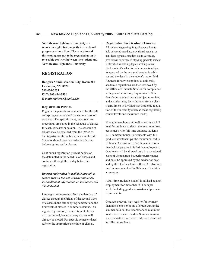**New Mexico Highlands University reserves the right to change its instructional programs at any time. The provisions of this catalog are not to be regarded as an irrevocable contract between the student and New Mexico Highlands University.**

# **REGISTRATION**

**Rodgers Administration Bldg, Room 201 Las Vegas, NM 87701 505 454-3233 FAX: 505 454-3552** *E-mail: registrar@nmhu.edu*

#### **Registration Periods**

Registration periods are announced for the fall and spring semesters and the summer session each year. The specific dates, locations, and procedures are stated in the schedule of classes for each semester or session. The schedule of classes may be obtained from the Office of the Registrar or the web site: www.nmhu.edu. Students should receive academic advising before signing up for classes.

Continuous registration process begins on the date noted in the schedule of classes and continues through the Friday before late registration.

*Internet registration is available through a secure area on the web at www.nmhu.edu. For additional information or assistance, call 505 454-3438.*

Late registration extends from the first day of classes through the Friday of the second week of classes in the fall or spring semester and the first week of classes in summer sessions. During late registration, the selection of classes may be limited, because many classes will already be closed. For specific semester dates, refer to the appropriate schedule of classes.

**Registration for Graduate Courses**

All students registering for graduate work must hold advanced-standing, provisional, regular, or non-degree graduate student status. A regular, provisional, or advanced-standing graduate student is classified as holding degree-seeking status. Each student's selection of courses is subject to approval by the assigned academic advisor and the dean in the student's major field. Requests for any exceptions to university academic regulations are then reviewed by the Office of Graduate Studies for compliance with general university requirements. Students' course selections are subject to review, and a student may be withdrawn from a class if enrollment in it violates an academic regulation of the university (such as those regulating course levels and maximum loads).

Nine graduate hours of credit constitute a full load for graduate students, the maximum load per semester for full-time graduate students is 16 semester hours. For students with full graduate assistantships, the maximum load is 12 hours. A maximum of six hours is recommended for persons in full-time employment. Overloads will be allowed only in exceptional cases of demonstrated superior performance and must be approved by the advisor or dean and by the chief academic officer. An absolute maximum course load is 20 hours of credit in a semester.

A full-time graduate student is advised against employment for more than 20 hours per week, including graduate assistantship service requirements.

Graduate students may register for no more than nine semester hours of credit during the summer session, the recommended maximum load is six semester credits. Summer session students with six or more credits are identified as full-time students.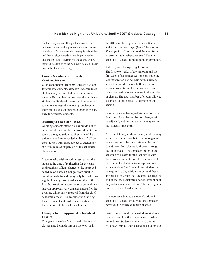Students may not enroll in graduate courses in deficiency areas until appropriate prerequisites are completed. If a recommended prerequisite is at the 400-500 levels, the student may be permitted to take the 500-level offering, but the course will be required in addition to the minimum 32 credit hours needed for the master's degree.

#### **Course Numbers and Levels Graduate Division**

Courses numbered from 500 through 599 are for graduate students, although undergraduate students may be enrolled in the same course under a 400 number. In this case, the graduate students in 500-level courses will be required to demonstrate graduate level proficiency in the work. Courses numbered 600 or above are only for graduate students.

#### **Auditing a Class or Classes**

Auditing students attend a class but do not receive credit for it. Audited classes do not count toward any graduation requirements of the university and are recorded with an "AU" on the student's transcript, subject to attendance at a minimum of 70 percent of the scheduled class sessions.

Students who wish to audit must request this status at the time of registering for the class or through an official change to the approved schedule of classes. Changes from audit to credit or credit to audit may only be made during the first eight weeks of a semester or the first four weeks of a summer session, with instructor approval. Any changes made after the deadline will require approval from the chief academic officer. The deadline for changing the credit/audit status of courses is stated in the schedule of classes for each term.

#### **Changes to the Approved Schedule of Classes**

Changes to a student's approved schedule of classes may be made through the web or in

the Office of the Registrar between 8 a.m. and 5 p.m. on weekdays. (Note: There is no \$2 charge for adding and withdrawing from classes through web procedures.) See the schedule of classes for additional information.

#### **Adding and Dropping Classes**

The first two weeks of the semester and the first week of a summer session constitute the late registration period. During this period, students may add classes to their schedule, either in substitution for a class or classes being dropped or as an increase in the number of classes. The total number of credits allowed is subject to limits stated elsewhere in this section.

During the same late registration period, students may drop classes. Tuition charges will be adjusted, and the course will not appear on the student's transcript.

After the late registration period, students may withdraw from classes but may no longer add new classes or substitute different classes. Withdrawal from classes is allowed through the tenth week of the semester. Refer to the schedule of classes for the last day to withdraw from summer term. The course(s) will remain on the student's transcript, recorded with a grade of "W". In addition, students will be required to pay tuition charges and fees on any classes in which they are enrolled after the end of the late registration period, even though they subsequently withdrew. (The late registration period is defined above.)

Any courses added to a student's original schedule of classes throughout the semester, may result in overload tuition charges.

Instructors do not drop or withdraw students from classes. It is the student's responsibility to do so. Students who wish to drop or withdraw from all their classes must complete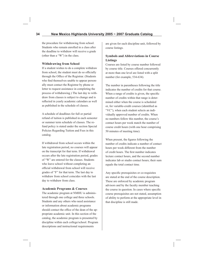the procedure for withdrawing from school. Students who remain enrolled in a class after the deadline to withdraw will receive a grade (other than a "W") in the class.

#### **Withdrawing from School**

If a student wishes to do a complete withdraw from school, the student must do so officially through the Office of the Registrar. (Students who find themselves unable to appear personally must contact the Registrar by phone or letter to request assistance in completing the process of withdrawing.) The last day to withdraw from classes is subject to change and is reflected in yearly academic calendars as well as published in the schedule of classes.

A schedule of deadlines for full or partial refund of tuition is published in each semester or summer term schedule of classes. The refund policy is stated under the section Special Policies Regarding Tuition and Fees in this catalog.

If withdrawal from school occurs within the late registration period, no courses will appear on the transcript for that term. If withdrawal occurs after the late registration period, grades of "W" are entered for the classes. Students who leave school without completing an official withdrawal from school will receive grades of "F" for that term. The last day to withdraw from school coincides with the last day to withdraw from class.

#### **Academic Programs & Courses**

The academic program at NMHU is administered through one college and three schools. Students and any others who need assistance or information about academic programs should contact the office of the dean of the appropriate academic unit. In this section of the catalog, the academic program is presented by discipline within each college/school. Program descriptions and instructional requirements

are given for each discipline unit, followed by course listings.

# **Symbols and Abbreviations in Course Listings**

Courses are listed by course number followed by course title. Courses offered concurrently at more than one level are listed with a split number (for example, 534-634).

The number in parentheses following the title indicates the number of credits for that course. When a range of credits is given, the specific number of credits within that range is determined either when the course is scheduled or, for variable-credit courses (identified as "VC"), when each student selects an individually approved number of credits. When no numbers follow this number, the course's contact hours per week match the number of course credit hours (with one hour comprising 50 minutes of meeting time).

When present, the figures following the number of credits indicate a number of contact hours per week different from the number of credit hours. The first number indicates lecture contact hours, and the second number indicates lab or studio contact hours; their sum equals the total contact time.

Any specific prerequisites or co-requisites are stated at the end of the course description. These are enforced by academic program advisors and by the faculty member teaching the course in question. In cases where specific course prerequisites are not stated, assumption of ability to perform at the appropriate level in that discipline is still made.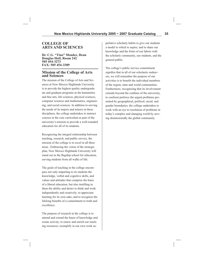# **COLLEGE OF ARTS AND SCIENCES**

**Dr. C.G. "Tino" Mendez, Dean Douglas Hall, Room 242 505 454-3273 FAX: 505 454-3389**

#### **Mission of the College of Arts and Sciences**

The mission of the College of Arts and Sciences at New Mexico Highlands University is to provide the highest quality undergraduate and graduate programs in the humanities and fine arts, life sciences, physical sciences, computer sciences and mathematics, engineering, and social sciences. In addition to serving the needs of its majors and minors in these disciplines, the college undertakes to instruct courses in the core curriculum as part of the university's mission to provide a well-rounded education for all of its students.

Recognizing the integral relationship between teaching, research, and public service, the mission of the college is to excel in all three areas. Embracing the vision of the strategic plan, New Mexico Highlands University will stand out as the flagship school for education, serving students from all walks of life.

The goals of teaching in the college encompass not only imparting to its students the knowledge, verbal and cognitive skills, and values and attitudes that comprise the basis of a liberal education, but also instilling in them the ability and desire to think and work independently and creatively; to appreciate learning for its own sake; and to recognize the lifelong benefits of a commitment to truth and excellence.

The purpose of research in the college is to amend and extend the bases of knowledge and create activity; to renew and enrich our teaching resources; exemplify in our own work superlative scholarly habits to give our students a model to which to aspire; and to share our knowledge and the fruits of our labors with the scholarly community, our students, and the general public.

The college's public service commitment signifies that in all of our scholastic endeavors, we will remember the purpose of our activities is to benefit the individual members of the region, state and world communities. Furthermore, recognizing that its involvement extends beyond the confines of the university, to confront perforce the urgent problems presented by geographical, political, racial, and gender boundaries, the college undertakes to work with an eye to resolution of problems in today's complex and changing world by serving disinterestedly the global community.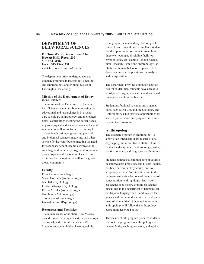# **DEPARTMENT OF BEHAVIORAL SCIENCES**

**Dr. Tom Ward, Department Chair Hewett Hall, Room 210 505 454-3196 FAX: 505 454-3331** *E-MAIL: tsward@nmhu.edu*

The department offers undergraduate and graduate programs in psychology, sociology, and anthropology, and criminal justice at Farmington Center only.

#### **Mission of the Department of Behavioral Sciences**

The mission of the Department of Behavioral Sciences is to contribute to meeting the educational and research needs in psychology, sociology, anthropology, and the related fields; contribute to meeting the career needs in psychological and social services and social sciences, as well as contribute to training for careers in education, engineering, physical and biological sciences, medicine, and other science fields; contribute to meeting the need for secondary school teacher certification in sociology and/or anthropology; and to provide psychological and sociocultural service and expertise for the region, as well as the greater global community.

#### **Faculty**

Erika Derkas (Sociology) Mario Gonzales (Anthropology) Jean Hill (Psychology) Linda LaGrange (Psychology) Robert Mishler (Anthropology) Orit Tamir (Anthropology) Thomas Ward (Sociology) Ian Williamson (Psychology)

#### **Resources and Facilities**

The human riches of northern New Mexico provide an outstanding context for psychological, social, and cultural studies at NMHU. Students engage in field archaeological digs,

ethnographic, social and psychobiological research, and clinical practicum. Each student has the opportunity to conduct research in three well-equipped discipline facilities: psychobiology lab, Gabino Rendon Sociocultural Research Center, and anthropology lab. Studies of human behavior emphasize field data and computer applications for analysis and interpretation.

The department provides computer laboratories for student use. Students have access to word processing, spreadsheets, and statistical packages as well as the Internet.

Student professional societies and organizations, such as Psi Chi, and the Sociology and Anthropology Club, provide opportunities for student participation and program enrichment beyond the classroom.

# **Anthropology**

The graduate program in anthropology is a part of an interdisciplinary master of arts degree program in southwest studies. This includes the disciplines of anthropology, history, political science, and languages and literature.

Students complete a common core of courses in southwestern prehistory and history; social, political, and cultural dynamics; and contemporary writers. Prior to admission to the program, students select one of three areas of concentration: anthropology, history/political science (see history or political science disciplines in the department of Humanities) or Hispanic language and literature (see languages and literature discipline in the department of Humanities). Students interested in anthropology will follow the anthropology curriculum described below.

The master of arts program prepares students for doctoral programs in anthropology and related fields, teaching, research, and applied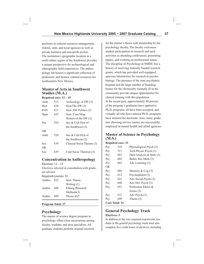positions in cultural resources management, federal, state, and local agencies as well as private business and non-profit sectors. The institution's geographic location in a multi-ethnic region of the Southwest provides a unique perspective for archaeological and ethnographic field experiences. The anthropology lab houses a significant collection of prehistoric and historic cultural resources for northeastern New Mexico.

# **Master of Arts in Southwest Studies (M.A.)**

**Required core: 12 – 15**

| Anth | 513 | Archeology of SW (3)          |
|------|-----|-------------------------------|
| Hist | 618 | Sem: The SW (3)               |
| PolS | 611 | Sem: SW Politics (3)          |
| Span | 652 | Sem: Cont Hisp                |
|      |     | Writers of the SW $(3)$       |
| Soc  | 524 | Soc & Cult Dyn of             |
|      |     | the Southwest (3)             |
| OR.  |     |                               |
| Anth | 524 | Soc & Cult Dyn of             |
|      |     | the Southwest $(3)$           |
| Soc  | 539 | Classical Sociol Theories (3) |
| 0R   |     |                               |
| Soc  | 639 | Cont Socio Theories (3)       |
|      |     |                               |

# **Concentration in Anthropology**

Electives: 12 – 15

Electives selected in consultation with graduate advisor.

Required courses: 10

| Anthro | 652 | Sem: Thesis               |
|--------|-----|---------------------------|
|        |     | Writing $(1)$             |
| Anthro | 696 | Ethnog Research           |
|        |     | Methods(3)                |
| Anthro | 699 | Thesis $(6)$ <sup>*</sup> |
|        |     |                           |

#### **Program Total: 37**

# **Psychology**

The master of science degree program in psychology offers close associations among faculty, students, and area specialists. All graduate students perform original research

for the master's thesis with mentorship by the psychology faculty. The faculty welcomes student participation in research and such activities as attending conferences, presenting papers, and working on professional teams. The discipline of Psychology at NMHU has a history of receiving federally funded research grants, which has provided well-equipped, spacious laboratories for research in psychobiology. The presence of the state psychiatric hospital and the large number of boarding homes for the chronically mentally ill in the community provide unique opportunities for clinical training with this population. In the recent past, approximately 40 percent of the program's graduates have applied to Ph.D. programs, all have been accepted, and virtually all who have entered Ph.D. programs have attained the doctorate. Also, many graduates choosing service careers are successfully employed in mental health and allied agencies.

# **Master of Science in Psychology (M.S.)**

#### **Required core: 31**

| Psy | 510                   | Physiological Psych (3)       |
|-----|-----------------------|-------------------------------|
| Psy | 511                   | Tech Physio Psych (1)         |
| Psy | 601                   | Data Analysis & Stats (3)     |
| Psy | 602                   | Behav Res Meth (3)            |
| Psy | 603                   | Adv Learning (3)              |
| OR. |                       |                               |
| Psy | 605                   | Memory $&\mathcal{C}$ Cog (3) |
| Psy | 612                   | Psychopharm (3)               |
| Psy | 621                   | Adv Social Psych (3)          |
| Psy | 640                   | Adv Dev Psych (3)             |
| Psy | 651                   | Profession Ethics &           |
|     |                       | Issues $(3)$                  |
| Psy | 671                   | Adv Psych (3)                 |
| Psy | 699                   | Thesis $(3)$                  |
|     | <b>Core Total: 31</b> |                               |

# **General Psychology Track Electives: 5**

In addition to the core required coursework, students in the general psychology track must also complete five credit hours of electives, including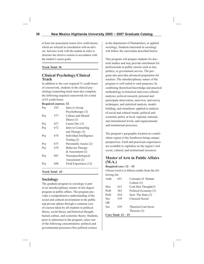at least one assessment course (two credit hours), which are selected in consultation with an advisor. Advisors work with the student in order to structure the elective courses in accordance with the student's career goals.

#### **Track Total: 36**

# **Clinical Psychology/Clinical Track**

In addition to the core required 31 credit hours of coursework, students in the clinical psychology/counseling track must also complete the following required coursework for a total of 63 credit hours.

#### **Required courses: 32**

| Psy        | 525 | Intro to Group          |
|------------|-----|-------------------------|
|            |     | Psychotherapy (3)       |
| <b>Psy</b> | 577 | Culture and Mental      |
|            |     | Illness $(3)$           |
| Psy        | 627 | Career Dev (3)          |
| Psy        | 672 | Intro to Counseling     |
|            |     | and Therapy $(3)$       |
| Psy        | 674 | Individual Intelligence |
|            |     | Testing $(2)$           |
| Psy        | 675 | Personality Assess (2)  |
| Psy        | 679 | <b>Behavior Therapy</b> |
|            |     | $&$ Assessment (2)      |
| Psy        | 681 | Neuropsychological      |
|            |     | Assessment (2)          |
| Psy        | 698 | Field Experience (12)   |
|            |     |                         |

### **Track Total: 63**

# **Sociology**

The graduate program in sociology is part of an interdisciplinary master of arts degree program in public affairs. The program provides a comprehensive understanding of the social and cultural environment in the public and private sphere through a common core of courses taken by all students in political theory, social theory and historical thought, human culture, and economic theory. Students, prior to admission to the program, select one of the following concentrations: political and governmental processes (See political science

in the department of Humanities), or applied sociology. Students interested in sociology will follow the curriculum described below.

This program will prepare students for doctoral studies and may provide enrichment for professionals in public careers such as law, politics, or government service. The program also provides advanced preparation for teachers. The interdisciplinary nature of the program is well suited to such purposes, by combining theoretical knowledge and practical methodology in historical and cross-cultural analysis; archival research; personal and participant observation, interview, and survey techniques; and statistical analysis, modelbuilding, and simulation–applied to analysis of social and cultural trends; political and economic policy at local, regional, national, and international levels; and organizational and institutional processes.

The program's geographic location in a multiethnic region of the Southwest brings unique perspectives. Field and practicum experiences are available to capitalize on the region's rich social, cultural, and institutional resources.

# **Master of Arts in Public Affairs (M.A.)**

#### **Required core: 12 – 15**

Choose twelve to fifteen credits from the following list:

| Anth                   | 651 | Concepts of Human     |
|------------------------|-----|-----------------------|
|                        |     | Culture (3)           |
| Hist                   | 615 | Cont Hist Thought(3)  |
| PolS                   | 563 | Political Economy (3) |
| PolS                   | 654 | Sem: The State (3)    |
| Soc                    | 539 | Classical Social      |
| OR.                    |     |                       |
| Soc                    | 639 | Theories/Cont Socio   |
|                        |     | Theories (3)          |
| $C_1$ . The set of $T$ |     |                       |

#### **Core Total: 12 – 15**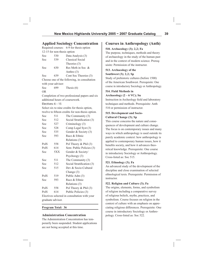# **Applied Sociology Concentration**

|     |                             | Required courses: 6-9 for thesis option      |
|-----|-----------------------------|----------------------------------------------|
|     | 12-15 for non-thesis option |                                              |
| Soc | 530                         | Data Analysis (3)                            |
| Soc | 539                         | Classical Social                             |
|     |                             | Theories (3)                                 |
| Soc | 630                         | Res Meth in Soc &                            |
|     |                             | Anthro $(3)$                                 |
| Soc | 639                         | Cont Soc Theories (3)                        |
|     |                             | Choose one of the following, in consultation |

with your advisor: Soc 699 Thesis (6)

OR

Completion of two professional papers and six additional hours of coursework.

Electives: 6 – 15

Select six to nine credits for thesis option, twelve to fifteen credits for non-thesis option.

| Soc  | 511 | The Community (3)                            |
|------|-----|----------------------------------------------|
| Soc  | 512 | Social Stratification (3)                    |
| Soc  | 527 | Criminology (3)                              |
| Soc  | 528 | Comp Legal Syst (3)                          |
| Soc  | 535 | Gender & Society (3)                         |
| Soc  | 593 | Race & Ethnic                                |
|      |     | Relations (3)                                |
| PolS | 558 | Pol Theory & Phil (3)                        |
| PolS | 614 | Sem: Public Policies (3)                     |
| Soc  | 5XX | Gender & Society/                            |
|      |     | Psychoogy $(3)$                              |
| Soc  | 511 | The Community (3)                            |
| Soc  | 512 | Social Stratification (3)                    |
| Soc  | 515 | Dev & Socio-Cultural                         |
|      |     | Change $(3)$                                 |
| PolS | 519 | Public Adm (3)                               |
| Soc  | 593 | Race & Ethnic                                |
|      |     | Relations (3)                                |
| PolS | 558 | Pol Theory & Phil (3)                        |
| PolS | 614 | Public Policies (3)                          |
|      |     | Electives selected in consultation with your |

graduate advisor.

#### **Program Total: 36**

### **Administration Concentration**

The Administration Concentration has temporarily been suspended. Student applications are not being accepted at this time.

# **Courses in Anthropology (Anth)**

### **510. Archaeology (3); 2,2; Fa**

The purpose, techniques, methods and theory of archaeology in the study of the human past and in the context of modern science. Prerequisite: Permission of the instructor.

### **513. Archaeology of the Southwest (3); 2,2; Sp**

Study of prehistoric cultures (before 1500) of the American Southwest. Prerequisite: One course in introductory Sociology or Anthropology.

### **514. Field Methods in Archaeology (2 – 6 VC); Su**

Instruction in Archeology field and laboratory techniques and methods. Prerequisite: Anth 510 or permission of instructor.

### **515. Development and Socio-Cultural Change (3); Sp**

This course concerns the nature and consequences of development and culture change. The focus is on contemporary issues and many ways in which anthropology is used outside its purely academic context: how anthropology is applied to contemporary human issues, how it benefits society, and how it advances theoretical knowledge. Prerequisite: One course in introductory Sociology or Anthropology. Cross-listed as: Soc 515.

### **521. Ethnology (3); Fa**

An advanced study of the development of the discipline and close examination of selected ethnological texts. Prerequisite: Permission of instructor.

### **522. Religion and Culture (3); Fa**

The origins, elements, forms, and symbolism of religion including a comparative survey of religious beliefs, myths, practices, and symbolism. Course focuses on religion in the context of culture with an emphasis on appreciating religious differences. Prerequisite: One course in introductory Sociology or Anthropology. Cross-listed as: Soc 522.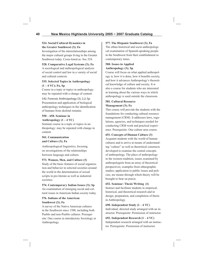### **524. Social/Cultural Dynamics in the Greater Southwest (3); Fa**

Investigation of the interrelationships among the major cultural groups living in the Greater Southwest today. Cross-listed as: Soc 524.

**528. Comparative Legal Systems (3); Fa** A sociological and anthropological analysis of social control and law in a variety of social and cultural contexts.

### **535. Selected Topics in Anthropology (1 – 4 VC); Fa, Sp**

Course in a topic or topics in anthropology: may be repeated with a change of content.

### 542. Forensic Anthropology (3); 2,2; Sp

Presentation and application of biological anthropology techniques in the identification of humans from skeletal remains.

### **550 – 650. Seminar in**

### **Anthropology (1 – 4 VC)**

Seminar course in a topic or topics in anthropology: may be repeated with change in content.

### **561. Communication and Culture (3); Fa**

Anthropological linguistics, focusing on investigations of the relationships between language and culture.

### **573. Women, Men, and Culture (3)**

Study of the basic features of social organization and behavior in selected societies around the world in the determination of sexual scripts in pre-literate as well as industrial societies.

### **574. Contemporary Indian Issues (3); Sp**

An examination of emerging social and cultural issues in American Indian society today.

### **576. Indians of the American Southwest (3); Fa**

A survey of the Native American cultures in the Southwest since 1500, including both Pueblo and non-Pueblo cultures. Prerequisite: One course in introductory Sociology or Anthropology.

### **577. The Hispanic Southwest (3); Fa**

The ethno-historical and socio-anthropological examination of Spanish-speaking people in the Southwest from their establishment to contemporary times.

### **580. Issues in Applied Anthropology (3); Sp**

Course will focus on what applied anthropology is, how it is done, how it benefits society, and how it advances Anthropology's theoretical knowledge of culture and society. It is also a course for students who are interested in learning about the various ways in which anthropology is used outside the classroom.

#### **581. Cultural Resource Management (3); Fa**

This course will provide the students with the foundations for conducting cultural resource management (CRM). It addresses laws, regulations, agencies, and techniques needed for conducting CRM work and practical experience. Prerequisite: One culture area course.

### **651. Concepts of Human Culture (3)**

Acquaint students with the world of human cultures and to arrive at means of understanding "culture" as well as theoretical constructs developed to examine the central concepts of anthropology. The place of anthropology in the western tradition; issues examined by anthropologists from an array of theoretical perspectives; examples from ethnographic studies; application to public issues and policies, are means through which theory will be brought to bear on praxis.

### **652. Seminar: Thesis Writing (1)**  Instruct and facilitate students in empirical, historical, and theoretical research and in design, preparation, and completion of thesis

in Anthropology. **690. Independent Study (1 – 4 VC)**  Individual, directed study arranged with an in-

structor. Prerequisite: Permission of instructor. **692. Independent Research (1 – 4 VC)** Independent research arranged with an instructor. Prerequisite: Permission of instructor.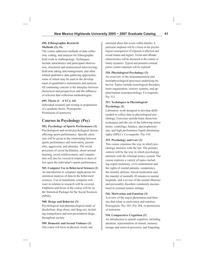#### **696. Ethnographic Research Methods (3); Fa**

The course addresses methods of data collection, coding, and analysis for Ethnographic field work in Anthropology. Techniques include naturalistics and participant observation, structured and unstructured interviewing, field note taking and management, and other related qualitative data gathering approaches, some of which may be used in the development of quantitative instruments and analysis. Of continuing concern is the interplay between theoretical and perspectives and the influence of selected data collection methodologies.

### **699. Thesis (1 – 6 VC); All**

Individual research and writing in preparation of a graduate thesis. Prerequisite: Permission of instructor.

# **Courses in Psychology (Psy)**

### **502. Psychology of Sports Performance (3)**

Psychological and social-psychological factors affecting sports performance. Specific attention will be given to the relationship between sports performance and motivation, personality, aggression, and attitudes. The social processes of social facilitation, observational learning, social reinforcement, and competition will also be viewed in relation to their effect upon the individual's sports performance.

# **503. Computer Use in Behavioral Sciences (3)**

An introduction to computer applications for statistical analysis of data in the behavioral sciences. Use of mainframe computer software in relation to research will be covered. Emphasis and focus of the course will be on the Statistical Package for the Social Sciences (SPSS).

### **508. Drugs and Behavior (3)**

Psychological and pharmacological study of alcoholism, drug abuse, and drug use, including tranquilizers and non-prescription drugs, throughout society.

### **509. Domestic and Sexual Violence (3)**

This course will focus on physical, sexual, and

emotional abuse that occurs within families. A particular emphasis will be a focus on the psychological consequences of exposure to physical and sexual trauma and neglect. Victim and offender characteristics will be discussed in the context of family dynamics. Typical and potential criminal justice system responses will be explored.

### **510. Physiological Psychology (3)**

An overview of the neuroanatomical and neurophysiological processes underlying behavior. Topics include neurological disorders, brain organization, sensory systems, and applied human neuropsychology. Co-requisite: Psy 511.

### **511. Techniques in Physiological Psychology (1)**

Laboratory work designed to develop skills needed to collect data in physiological psychology. Exercises include brain dissection techniques and the use of the following instruments: centrifuge, balance, spectrophotometer, and high performance liquid chromatography (HPLC). Co-requisite: Psy 510.

### **515. Psychology and Law (3)**

This course examines the way in which psychology interacts with the law. The primary context will be the way in which psychology interacts with the criminal justice system. The course explores a variety of topics including expert testimony, civil commitment and the rights of mental patients, competency, the insanity defense, forced medication and the transfer of mentally ill inmates to mental hospitals, and a review of the mental illnesses and personality disorders commonly encountered in criminal justice settings.

### **516. Motivation and Emotion (3)**

A review of the major phenomena and theories that relate to motivation and emotion. Prerequisite: Psy 203, Psy 204, or permission of instructor.

### **518. Comparative Cognition (3)**

An introduction to animal cognition, including attention, representation of stimuli, memory storage and retrieval processes, and forgetting.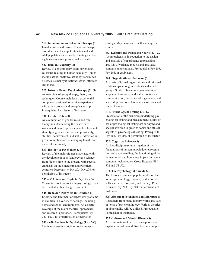#### **519. Introduction to Behavior Therapy (3)**

Introduction to and survey of behavior therapy procedures and their application to child and adult populations in a variety of settings including homes, schools, prisons, and hospitals.

#### **522. Human Sexuality (3)**

Review of contemporary, socio-psychological issues relating to human sexuality. Topics include sexual anatomy, sexually-transmitted diseases, sexual dysfunctions, sexual attitudes and mores.

### **525. Intro to Group Psychotherapy (3); Su**

An overview of group therapy, theory and techniques. Course includes an experiential component designed to provide experience with group process and group leadership. Prerequisite: Permission of instructor.

### **530. Gender Roles (3)**

An examination of gender roles and role theory in understanding the behavior of women and men. Topics include development, stereotyping, sex differences in personality, abilities, achievement, and status. Attention is given to implications of changing female and male roles in society.

### **533. History of Psychology (3)**

Review of the major figures associated with the development of psychology as a science from Plato's time to the present, with special emphasis on the nineteenth and twentieth centuries. Prerequisite: Psy 203, Psy 204, or permission of instructor.

**535 – 635. Selected Topic in Psy (1 – 4 VC)** Course in a topic or topics in psychology: may

be repeated with a change of content.

### **545. Behavior Disorders in Children (3)**

Etiology and treatment of behavioral problems in children in a variety of settings, including home and school environments. An eclectic coverage of the major theories, approaches, and research is provided. Prerequisite: Psy 240, Psy 340, or permission of instructor.

**550 – 650. Seminar in Psychology (1 – 4 VC)** Seminar course in a topic or topics in psychology. May be repeated with a change in content.

**562. Experimental Design and Analysis (3); 2,2** A comprehensive introduction to the design and analysis of experiments emphasizing analysis of variance models and analytical comparison techniques. Prerequisite: Psy 203, Psy 204, or equivalent.

#### **564. Organizational Behavior (3)**

Analysis of formal organizations and informal relationships among individuals and small groups. Study of business organizations as a system of authority and status, control and communication, decision-making centers, and leadership positions. Use is made of cases and research studies.

### **571. Psychological Testing (3); 2,2**

Presentation of the principles underlying psychological testing and measurement. Major areas of psychological testing are surveyed and special attention is given to social and ethical aspects of psychological testing. Prerequisite: Psy 203, Psy 204, or permission of instructor.

### **572. Cognitive Science (3)**

An interdisciplinary investigation of the foundations of human knowledge representation and understanding, the functioning of the human mind, and how these impact on recent computer technologies. Cross-listed as: Phil 572 and CS 572.

### **573. The Psychology of Suicide (2)**

The history of suicide, popular myths on the topic, epidemiology, theories, evaluation of self-destructive potential, and therapy. Prerequisite: Psy 203, Psy 204, or permission of instructor.

#### **575. Abnormal Psychology and Literature (3)**

Characters from many literary works analyzed in terms of psychopathology. Various theories of abnormality will be utilized. Prerequisite: Permission of instructor.

### **577. Culture and Mental Illness (3)** An examination of current descriptions and

explanations of mental disorders in a sample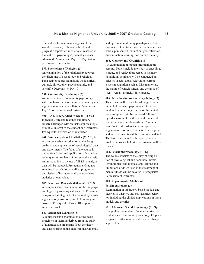of countries from all major regions of the world. Historical, technical, ethical, and pragmatic aspects of international research in the realm of psychology/psychiatry are also addressed. Prerequisite: Psy 101, Psy 324, or permission of instructor.

### **579. Psychology of Religion (3)**

An examination of the relationship between the discipline of psychology and religion. Perspectives addressed include the historical, cultural, philosophic, psychoanalytic, and scientific. Prerequisite: Psy 101.

#### **580. Community Psychology (3)**

An introduction to community psychology with emphasis on theories and research regarding prevention and consultation. Prerequisite: Psy 101 or permission of instructor.

#### **590 – 690. Independent Study (1 – 4 VC)**

Individual, directed readings and library research arranged with an instructor on a topic of mutual interest to the student and instructor. Prerequisite: Permission of instructor.

#### **601. Data Analysis and Statistics (3); 2,2; Fa**

A comprehensive introduction to the design, analysis, and application of psychological data and experiments. The focus of the course is on the foundation and application of statistical techniques to problems of design and analysis. An introduction to the use of SPSS to analyze data will be included. Prerequisite: Graduate standing in psychology or allied program or permission of instructor and Undergraduate statistics or equivalent.

### **602. Behavioral Research Methods (3); 2,2; Sp**

A comprehensive examination of the language and logic of psychological research. Research designs and strategies for the laboratory, existing social organizations, and field setting are covered. Prerequisite: Psych 601 or permission of instructor.

### **603. Advanced Learning (3)**

A comprehensive examination of the basic principles of learning derived from the study of nonarticulate organisms. Both the theory and data bearing on the classical, instrumental, and operant conditioning paradigms will be examined. Other topics include avoidance, rewards, punishment, extinction, generalization, discrimination learning, and animal memory.

#### **605. Memory and Cognition (3)**

An examination of human information processing. Topics include the study of encoding, storage, and retrieval processes in memory. In addition, seminars will be conducted on selected special topics relevant to current issues in cognition, such as false memories, the nature of consciousness, and the issue of "real" versus "artificial" intelligence.

#### **608. Introduction to Neuropsychology (3)**

This course will cover a broad range of issues in the field of neuropsychology. The structural and cellular organization of the central nervous system will be reviewed followed by a discussion of the theoretical framework for brain behavior relationships. Common neurological disorders including epilepsy, degenerative diseases, traumatic brain injury, and vascular insults will be examined in detail. The test batteries and techniques typically used in neuropsychological assessment will be reviewed.

### **612. Psychopharmacology (3); Sp**

The course consists of the study of drug action at physiological and behavioral levels. Psychological and medical applications and limitations of drugs used in the treatment of mental illness will be covered. Prerequisite: Permission of instructor.

### **618. Experimental Models of Psychopathology (3)**

Examination of laboratory-based models and theories of adaptive and mal-adaptive behavior, including the clinical applications of these models and theories.

**621. Advanced Social Psychology (3); Sp** Comprehensive review of major theories and related research in social psychology. Emphasis given to attributional and social exchange approaches.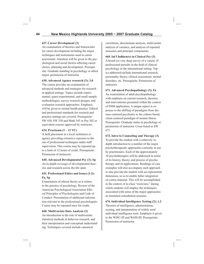#### **627. Career Development (3)**

An examination of theories and frameworks for career development including the major techniques and instruments used in career assessment. Attention will be given to the psychological and social factors affecting career choice, planning and development. Prerequisite: Graduate standing in psychology or allied major, permission of instructor.

#### **630. Advanced Agency research (3); 3,0**

The course provides an examination of advanced methods and strategies for research in applied settings. Topics include experimental, quasi-experimental, and small sample methodologies, survey research designs, and evaluation research approaches. Emphasis will be given to mental health practice. Ethical and professional standards for research and practice settings are covered. Prerequisite: SW 430, SW 530 and Math 345 or Psy 302 or equivalent courses approved by instructor.

### **634. Practicum (1 – 12 VC)**

A field placement in a local institution or agency providing extensive exposure to the use of professional techniques under staff supervision. This course may be repeated up to a limit of 12 hours of credit. Prerequisite: Permission of instructor.

#### **640. Advanced Developmental Psy (3); Sp**

An in-depth coverage of developmental theories and research across the life span.

### **651. Professional Ethics and Issues (1-2); Fa, Sp**

Examination of ethical theory as it relates to the practice of psychology. Review of the American Psychological Association Ethical Principles of Psychologists and Code of Conduct. Presentation of additional information relevant to the professional psychologists. Course may be repeated once for credit.

### **660. Multivariate Data Analysis (3)**

An introduction to the role of multivariate statistical methods in behavior research, and their interpretation and conceptual understanding. Techniques covered include canonical

correlation, discriminate analysis, multivariate analysis of variance, and analysis of repeated measures and principal components.

#### **669. Int'l Influences in Clinical Psy (3)**

A broad yet very deep survey of a variety of professional pursuits in the field of clinical psychology in the international setting. Topics addressed include international research, personality theory, clinical assessment, mental disorders, etc. Prerequisite: Permission of instructor.

### **671. Advanced Psychopathology (3); Fa**

An examination of adult psychopathology with emphasis on current research, theories, and interventions presented within the context of DSM application. A unique aspect is exposure to the shifting of paradigms from disease-centered psychiatry to the culture-based, client-centered paradigm of mental illness. Prerequisite: Graduate status in psychology or permission of instructor. Cross-listed as SW 671.

**672. Intro to Counseling and Therapy (3)** To provide the student with a relatively in-

depth introduction to a number of the major psychotherapeutic approaches currently in use by practitioners. Each of the approximately 10 psychotherapies will be addressed in terms of its history, theory, and process of psychotherapy and its applications. Readings of case examples will also accompany each approach to also provide the student with an experiential dimension, so as to enable fuller integration of course material. This will be accomplished in the context of in-class "exercises," during which students will employ the techniques associated with some of the major approaches in simulated consultation sessions.

**674. Individual Intelligence Testing (2); 1,2**  Theories of intelligence, administration, scoring, and interpretation of widely used individual intelligence tests. Emphasis is given to the WISC-III and WAIS-III. Prerequisite: Permission of instructor.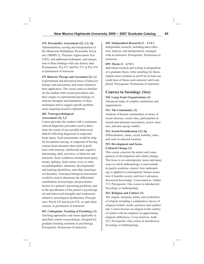#### **675. Personality Assessment (2); 1,2; Sp**

Administration, scoring and interpretation of the Minnesota Multiphasic Personality Inventory (MMPI-2), Thematic Appreciation Test (TAT), and additional techniques, and integration of these findings with case history data. Prerequisites: Psy 671 and Psy 571 or Psy 674 or permission of instructor.

#### **679. Behavior Therapy and Assessment (2); 1,2**

Experimental and theoretical basis of behavior therapy and assessment, and issues related to their application. The course seeks to familiarize the student with current procedures and their origins in experimental psychology, to indicate strengths and limitations of these techniques and to suggest specific problem areas requiring research exploration.

#### **681. Neuropsychological Assessment (2); 1,2**

Course provides the student with a systematic clinical diagnostic procedure used to determine the extent of any possible behavioral deficits following diagnosed or suspected brain injury. Such assessments would be helpful for patients having, or suspected of having, various brain disorders that result in problems with memory, intellectual and cognitive functioning, daily activities, or behavior and emotions. Such conditions include head injury, stroke, epilepsy, brain tumor, toxic or other encephalopathies, dementia, developmental and learning disabilities, and other neurological disorders. Neuropsychological assessment would be used to determine the differential contribution of neurologic and psychiatric factors in a patient's presenting problems, and in the specification of the patient's psychological and behavioral strengths and weaknesses related to neurological dysfunction. Prerequisites: Psych 510 and psych 674, or equivalent courses, or permission of instructor.

### **691. Colloquium: Teaching of Psychology (1)** Teaching approaches and issues applicable in specified courses in psychology; designed for graduate teaching assistants in psychology. Prerequisite: Permission of instructor.

#### **692. Independent Research (1 – 4 VC)**

Independent research, including data collection, analysis, and interpretation, arranged with an instructor. Prerequisite: Permission of instructor.

#### **699. Thesis (1 – 6 VC)**

Individual research and writing in preparation of a graduate thesis. After enrolling for thesis, student must continue to enroll for at least one credit hour of thesis each semester until completed. Prerequisite: Permission of instructor.

# **Courses in Sociology (Soc)**

#### **510. Large Scale Organizations (3)**

Advanced study of complex institutions and organizations.

#### **511. The Community (3)**

Analysis of human communities in terms of social structure, social class, participation in formal and informal associations, power structure, and inter-group conflict.

#### **512. Social Stratification (3); Sp**

Differentiation, status, social mobility, class, and caste in selected societies.

#### **515. Development and Socio-Cultural Change (3)**

This course concerns the nature and consequences of development and culture change. The focus is on contemporary issues and many ways in which anthropology is used outside its purely academic context: how anthropology is applied to contemporary human issues, how it benefits society, and how it advances theoretical knowledge. Cross-listed as: Anthro 515. Prerequisite: One course in introductory Sociology or Anthropology.

#### **522. Religion and Culture (3)**

The origins, elements, forms, and symbolism of religion including a comparative survey of religious beliefs, myths, practices and symbolism. Course focuses on religion in the context of culture with an emphasis on appreciating religious differences. Cross-listed as: Anth 522. Prerequisite: One course in introductory Sociology or Anthropology.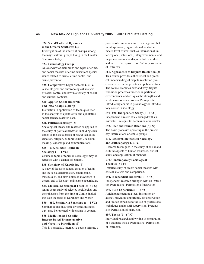#### **524. Social/Cultural Dynamics in the Greater Southwest (3)**

Investigation of the interrelationships among the major cultural groups living in the Greater Southwest today.

### **527. Criminology (3); Sp**

An overview of definitions and types of crime, and social theories of crime causation; special issues related to crime, crime control and crime prevention.

### **528. Comparative Legal Systems (3); Fa**

A sociological and anthropological analysis of social control and law in a variety of social and cultural contexts.

### **530. Applied Social Research and Data Analysis (3); Sp**

Instruction in application of techniques used in the analysis of quantitative and qualitative social science research data.

### **531. Political Sociology (3)**

Sociological theory and research as applied to the study of political behavior, including such topics as the social bases of power (class, occupation, religion, cultural values), decisionmaking, leadership and communications.

#### **535 – 635. Selected Topics in Sociology (1 – 4 VC)**

Course in topic or topics in sociology: may be repeated with a change of content.

### **538. Sociology of Knowledge (3)**

A study of the socio-cultural creation of reality and the social determination, conditioning, transmission, and distribution of knowledge in general and of ideology and science in particular.

## **539. Classical Sociological Theories (3); Sp**

An in-depth study of selected sociologists and their theories from the time of Comte, including such theorists as Durkheim and Weber.

**550 – 650. Seminar in Sociology (1 – 4 VC)** Seminar course in a topic or topics in sociology: may be repeated with change in content.

### **558. Mediation and Conflict: Interest Based Transformative and Narrative Paradigms (3)**

This is a practical, interactive course offering a

process of communication to manage conflict in interpersonal, organizational, and other macro-level context such as international, inter-regional, inter-local, intergovernmental and major environmental disputes both manifest and latent. Prerequisite: Soc 560 or permission of instructor.

#### **560. Approaches to Dispute Resolution (3)**

This course provides a theoretical and practical understanding of dispute resolution processes in use in the private and public sectors. The course examines how and why dispute resolution processes function in particular environments, and critiques the strengths and weaknesses of each process. Prerequisite: Introductory course in psychology or introductory course in sociology.

### **590–690. Independent Study (1 – 4 VC)** Independent, directed study arranged with an instructor. Prerequisite: Permission of instructor.

**593. Race and Ethnic Relations (3); Sp** The basic processes operating in the present day interrelations of ethnic groups.

### **630. Research Methods in Sociology and Anthropology (3); Fa**

Research techniques in the study of social and cultural aspects of human existence, critical study, and application of methods.

### **639. Contemporary Sociological Theories (3); Fa**

Detailed study of recent social theories with critical analysis and comparison.

### **692. Independent Research (1 – 4 VC)** Independent research arranged with an instructor. Prerequisite: Permission of instructor.

### **698. Field Experience (1 – 6 VC)**

A field placement in a local institution or agency providing opportunity for observation and limited exposure to the use of professional techniques under staff supervision. Prerequisite: Permission of instructor.

### **699. Thesis (1 – 6 VC)**

Individual research and writing in preparation of a graduate thesis. Prerequisite: Permission of instructor.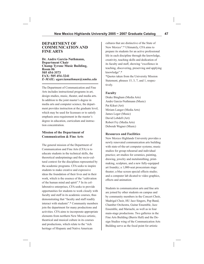### **DEPARTMENT OF COMMUNICATION AND FINE ARTS**

**Dr. Andre Garcia-Nuthmann, Department Chair Champ Tyrone Music Building, Room 06 505 454-3573 FAX: 505 454-3241** *E-MAIL: agarcianuthman@nmhu.edu*

The Department of Communication and Fine Arts includes instructional programs in art, design studies, music, theater, and media arts. In addition to the joint master's degree in media arts and computer science, the department provides instruction at the graduate level, which may be used for licensure or to satisfy emphasis area requirement in the master's degree in education, curriculum and instruction concentration.

### **Mission of the Department of Communication & Fine Arts**

The general mission of the Department of Communication and Fine Arts (CFA) is to educate students in the technical skills, the theoretical underpinnings and the socio-cultural context for the disciplines represented by the academic programs. CFA seeks to inspire students to make creative and expressive ideas the foundation of their lives and in their work, which is the essence of the "cultivation of the human mind and spirit".\* In its collaborative enterprises, CFA seeks to provide opportunities for students to work closely with faculty and staff in its academic courses, thus demonstrating that "faculty and staff readily interact with students".\* Community members join the department for many productions and activities. CFA aims to incorporate appropriate elements from northern New Mexico artistic, theatrical and musical culture in its courses and productions, which relate to the "rich heritage of Hispanic and Native American

cultures that are distinctive of the State of New Mexico".\* Ultimately, CFA aims to prepare its students for an active professional life in each discipline through the knowledge, creativity, teaching skills and dedication of its faculty and staff, showing "excellence in teaching, discovering, preserving and applying knowledge".\* \*Quotes taken from the University Mission

Statement, phrases 15, 3, 7, and 1, respectively.

#### **Faculty**

Drake Bingham (Media Arts) Andre Garcia-Nuthmann (Music) Pat Kikut (Art) Miriam Langer (Media Arts) James Leger (Music) David Lobdell (Art) Robert Fry (Media Arts) Deborah Wagner (Music)

#### **Resources and Facilities**

New Mexico Highlands University provides a newly renovated communication arts building with state-of-the-art computer systems; music studios for group rehearsal and individual practice; art studios for ceramics, painting, drawing, jewelry and metalsmithing, printmaking, sculpture, and a new fully-equipped art foundry; a 1,000-seat proscenium stage theater; a blue screen special effects studio; and a computer lab dicated to video graphics, effects and animation.

Students in communication arts and fine arts are joined by other students on campus and by community members in the Concert Choir, Madrigal Choir, HU Jazz Singers, Pep Band, Chamber Orchestra, Guitar Ensemble, Jazz Ensemble, and Mariachi, as well as in four main-stage productions. Two galleries in the Fine Arts Building (Burris Hall) and the Design Studies wing of the Communication Arts Building serve as the focal point for artistic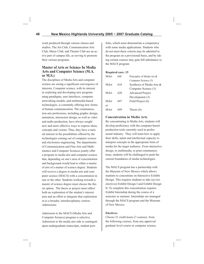work produced through various classes and studios. The Art Club, Communication Arts Club, Music Club, and Theater Club are an active part of campus life, as serving to promote their various programs.

### **Master of Arts or Science In Media Arts and Computer Science (M.A. or M.S.)**

The disciplines of Media Arts and computer science are seeing a significant convergence of interests. Computer science, with its interest in exploring and developing new programming paradigms, user interfaces, computer networking models, and multimedia-based technologies, is constantly offering new forms of human communication. The communication arts professions, including graphic design, animation, interaction design, as well as video and audio production, have always sought new and more effective ways to express ideas, concepts and visions. Thus, they have a natural interest in the possibilities offered by the technologies coming out of computer science and electronics engineering. The departments of Communication and Fine Arts and Mathematics and Computer Sciences jointly offer a program in media arts and computer science that, depending on one's area of concentration and background would lead to either a master of arts of a master of science degree. Students will receive a degree in media arts and computer science (MACS) with a concentration in one or the other. Students working towards a master of science degree must choose the thesis option. The thesis or project must reflect both an exploration of the student's interest area and an effort to integrate that exploration in to a broader, interdisciplinary context. Admissions:

Admission to the MACS (Media Arts and Computer Science) program is selective. Admission to the media arts side is contingent upon undergraduate transcripts, student portfolio, which must demonstrate a competency with some media applications. Students who do not meet these criteria may be admitted to the program on a provisional basis, and by taking certain courses may gain full admittance to the MACS program

#### **Required core: 15**

| MArt | 600 | Principles of Media Art & |
|------|-----|---------------------------|
|      |     | Computer Science (3)      |
| MArt | 610 | Synthesis of Media Arts & |
|      |     | Computer Science (3)      |
| MArt | 620 | <b>Advanced Project</b>   |
|      |     | Development (3)           |
| MArt | 697 | Field Project (6)         |
| or   |     |                           |
| MArt |     | Thesis $(6)$              |

### **Concentration in Media Arts**

By concentrating in Media Arts, students will develop proficiency with the computer-based production tools currently used in professional industry. They will learn how to apply their skills, talent and intellectual capacity to interpret concepts in the appropriate form of media for the target audience. From interactive design, to multimedia, to print communications, students will be challenged to push the current boundaries of media technologies.

The MACS program has a partnership with the Museum of New Mexico which allows students to concentrate on Interactive Exhibit Design. This requires students to take (as two electives) Exhibit Design I and Exhibit Design II. To complete this concentration requires Exhibit Internship during the course of a semester or summer. Internships are managed through the MACS program and the Museum of New Mexico.

#### **Electives:**

Choose 21 credit hours (7 courses) from the following courses, from any approved graduate level course in computer science,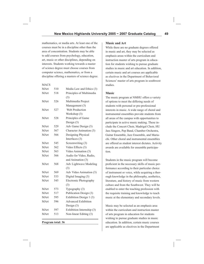mathematics, or media arts. At least one of the courses must be in a discipline other than the area of concentration. Students may be able to add courses from psychology, education, art, music or other disciplines, depending on interests. Students working towards a master of science degree must choose courses from computer science, mathematics, or from a discipline offering a masters of science degree.

MACS

| MArt | 510 | Media Law and Ethics (3)   |
|------|-----|----------------------------|
| MArt | 518 | Principles of Multimedia   |
|      |     | (3)                        |
| MArt | 526 | Multimedia Project         |
|      |     | Management (3)             |
| MArt | 527 | Web Production             |
|      |     | Workshop (3)               |
| MArt | 528 | Principles of Game         |
|      |     | Design $(3)$               |
| MArt | 529 | Adv Game Design (3)        |
| MArt | 567 | Character Animation (3)    |
| MArt | 566 | Designing Physical         |
|      |     | Interfaces (3)             |
| MArt | 545 | Screenwriting (3)          |
| MArt | 562 | Video Effects (3)          |
| MArt | 563 | Video Animation (3)        |
| MArt | 566 | Audio for Video, Radio,    |
|      |     | and Animation (3)          |
| MArt | 568 | Adv Lightwave Modeling     |
|      |     | (3)                        |
| MArt | 569 | Adv Video Animation (3)    |
| MArt | 533 | Digital Imaging (3)        |
| MArt | 545 | Electronic Photography     |
|      |     | (3)                        |
| MArt | 573 | Typography (3)             |
| MArt | 517 | Publication Design (3)     |
| MArt | 595 | Exhibition Design 1 (3)    |
| MArt | 596 | <b>Advanced Exhibition</b> |
|      |     | Design $(3)$               |
| MArt | 597 | Exhibition Internship (3)  |
| MArt | 513 | Non-linear Editing (3)     |
|      |     |                            |

**Program total: 36**

#### **Music and Art**

While there are no graduate degrees offered in music and art, they may be selected as emphasis areas within the curriculum and instruction master of arts program in education for students wishing to pursue graduate studies in music and art education. In addition, certain music and art courses are applicable as electives in the Department of Behavioral Sciences' master of arts program in southwest studies.

#### **Music**

The music program at NMHU offers a variety of options to meet the differing needs of students with personal or pre-professional interests in music. A wide range of choral and instrumental ensembles provide students from all areas of the campus with opportunities to participate in active music making. These include the Concert Choir, Madrigal Choir, HU Jass Singers, Pep Band, Chamber Orchestra, Guitar Ensemble, Jazz Ensemble, and Mariachi. Other choral and instrumental ensembles are offered as student interest dictates. Activity awards are available for ensemble participation.

Students in the music program will become proficient in the necessary skills of music performance according to their particular choice of instrument or voice, while acquiring a thorough knowledge in the philosophy, aesthetics, literature, and history of music from western culture and from the Southwest. They will be enabled to enter the teaching profession with the requisite training and knowledge to teach music at the elementary and secondary levels.

Music may be selected as an emphasis area within the curriculum and instruction master of arts program in education for students wishing to pursue graduate studies in music education. In addition, certain music courses are applicable as electives in the Department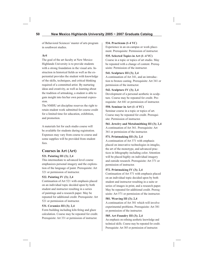of Behavioral Sciences' master of arts program in southwest studies.

### **Art**

The goal of the art faculty at New Mexico Highlands University is to provide students with a strong foundation in the visual arts. Instruction in historical fields as well as the experiential provides the student with knowledge of the skills, techniques, and critical thinking required of a committed artist. By nurturing ideas and creativity, as well as learning about the tradition of artmaking, a student is able to gain insight into his/her own personal expression.

The NMHU art discipline reserves the right to retain student work submitted for course credit for a limited time for education, exhibition, and promotion.

A materials list for each studio course will be available for students during registration. Expenses may vary from course to course and some supplies will be provided from student fees.

# **Courses in Art (Art)**

### **521. Painting III (3); 2,4**

This intermediate to advanced level course emphasizes personal imagery and the exploration of the language of paint. Prerequisite: Art 321 or permission of instructor.

### **522. Painting IV (3); 2,4**

Continuation of Art 521 with emphasis placed on an individual topic decided upon by both student and instructor resulting in a series of paintings and a research paper. May be repeated for additional credit. Prerequisite: Art 521 or permission of instructor.

### **531. Ceramics III (3); 2,4**

Form building including kiln firing and glaze calculation. Course may be repeated for credit. Prerequisite: Art 331 or permission of instructor.

### **534. Practicum (1-4 VC)**

Experience in an on-campus or work placement. Prerequisite: Permission of instructor.

### **535. Selected Topics in Art (1–4 VC)**

Course in a topic or topics of art studio. May be repeated with a change of content. Prerequisite: Permission of the instructor.

### **541. Sculpture III (3); 2,4**

A continuation of Art 341, and an introduction to bronze casting. Prerequisite: Art 341 or permission of the instructor.

### **542. Sculpture IV (3); 2,4**

Development of a personal aesthetic in sculpture. Course may be repeated for credit. Prerequisite: Art 441 or permission of instructor.

### **550. Seminar in Art (1–4 VC)**

Seminar course in a topic or topics of art. Course may be repeated for credit. Prerequisite: Permission of instructor.

### **561. Jewelry and Metalsmithing III (3); 2,4**

A continuation of Art 361. Prerequisite: Art 361 or permission of the instructor.

### **571. Printmaking III (3); 2,4**

A continuation of Art 371 with emphasis placed on innovative technologies in intaglio, the art of the monotype, and advanced practices in lithography including color. Attention will be placed highly on individual imagery and outside research. Prerequisite: Art 371 or permission of instructor.

### **572. Printmaking IV (3); 2,4**

Continuation of Art 571 with emphasis placed on an individual topic decided upon by both student and instructor resulting in a suite or series of images in print, and a research paper. May be repeated for additional credit. Prerequisite: Art 571 or permission of the instructor.

### **581. Weaving III (3); 2,4**

A continuation of Art 381 which will involve experimental problems. Prerequisite: Art 381 or permission of the instructor.

### **585. Art Foundry III (3); 2,4**

An emphasis on refining aesthetic knowledge and technical skills. Course may be repeated for credit. Prerequisite: Art 385 or permission of instructor.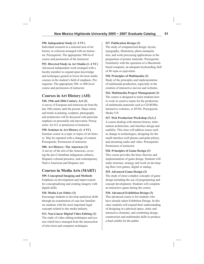#### **590. Independent Study (1–4 VC)**

Individual research in a selected area of art history or criticism arranged with an instructor. Prerequisite: The appropriate 300-level course and permission of the instructor.

**593. Directed Study in Art Studio (1–4 VC)**

Advanced independent work arranged with a faculty member to expand upon knowledge and techniques gained in lower division studio courses in the student's field of emphasis. Prerequisite: The appropriate 300- or 400-level course and permission of instructor.

# **Courses in Art History (AH)**

### **540. 19th and 20th Century Art (3)**

A survey of European and American art from the late 18th century until the present. Major artists and trends in painting, sculpture, photography and architecture will be discussed with particular emphasis on personality and innovation. Prerequisite: Art 411 or permission of instructor.

**550. Seminar in Art History (1–4 VC)** 

Seminar course in a topic or topics of art history. May be repeated with a change of content. Prerequisite: Permission of instructor.

### **580. Art History: The Americas (3)**

A survey of the arts of the Americas, covering the pre-Columbian indigenous cultures, Hispanic colonial presence, and contemporary Native American and Hispanic arts.

# **Courses in Media Arts (MART)**

### **509. Conceptual Imaging and Methods**

Emphasis on development and improvement for conceptualizing and creating imagery with digital skills.

### **510. Media Law Ethics (3)**

Encourage students to develop analytical skills through an examination of case law familiarize students with the most important legal concepts related to the media industry.

### **513. Non-Linear Digital Video Editing (3)**

The study of video editing techniques and system which have emerged from the intersection of television and computer techniques.

### **517. Publication Design (3)**

The study of computerized design, layout, typography, illustration, photo manipulation, and work processing applications in the preparation of printer materials. Prerequisite: Familiarity with the operation of a Macintoshbased computer, an adequate keyboarding skill of 40 wpm or equivalent.

### **518. Principles of Multimedia (3)**

Study of the principles and implementation of multimedia production, especially in the creation of interactive movies and websites.

### **526. Multimedia Project Management (3)**

The course is designed to teach students how to work in creative teams for the production of multimedia materials such as CD-ROMs, interactive websites, or DVDs. Prerequisite: Media 518.

### **527. Web Production Workshop (3);2,2**

A course dealing with internet history, information architecture, and interface design and usability. This class will address issues such as change in technologies, designing for the small interface (cell phones and palm pilots), and streaming audio and video. Prerequisite: Permission of instructor.

### **528. Principles of Game Design (3)**

This course provides the basic theories and implementation of game design. Students will study structure, strategy and work on developing their own games, digital or analog.

### **529. Advanced Game Design (3)**

The study of more complex concepts of game design including the use of programming and concept development. Students will complete an interactive game during the course.

### **530. Advanced Exhibition Design (3)**

This advanced course is for students who have already taken Exhibition Design. In this class students will expand their understanding of designing in a physical space, static and interactive elements, and combining design, construction and multimedia skills to produce a final exhibit for the public.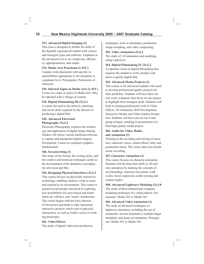### **533. Advanced Digital Imaging (3)**

This class is designed to further the skills of the digitally experienced student with various and emergent types and software. Emphasis at the advanced level is on complexity, efficiency, appropriateness, and output.

### **534. Media Arts Practicum (1-4VC)**

Campus work placement with specific responsibilities appropriate to the discipline at a graduate level. Prerequisite: Permission of instructor.

### **535. Selected Topics in Media Arts (1-4VC)**

Course in a topic or topics in Media Arts. May be repeated with a change of content.

### **536. Digital Filmmaking III (3);2,2**

A course devoted to the analysis, planning, and on-set skills required by the director in producing a digital film.

#### **545. Advanced Electronic Photography (3);2,2**

Electronic Photography explores the technology and application of digital image making. Student will utilize various hardware/software to capture and manipulate digital imagery. Prerequisite: Course in computerr graphics fundamentals.

### **546. Screenwriting (3)**

The study of the format, the writing styles, and the creative and technical techniques useful in the development of the dramatics screenplay for television and film.

### **556. Designing Physical Interfaces (3);2,2**

This course focuses on physically interactive technology, enabling student's work to sense and respond to its environment. This course is geared toward people interested in exploring new possibilities for scree-based and installation art, robotics, and "smart" architecture. The course begins with the basic theories of electronics and leads to fully functional interactive projects which react to physical interactions, as well as, build a series of working prototypes.

### **562. Video Effects**

The study of digital video post-production

techniques, such as chromakey production, image morphing, and video composting.

### **563. Video Animation (3);2,2**

The study of 3-D animation and modeling, using Lightwave.

#### **564. Digital Filmmaking IV (3);2,2**

A capstone course in digital filmmaking that requires the student to write, produce and direct a quality digital film.

### **565. Advanced Media Projects (3)**

This course is for advanced students who need to develop professional quality projects for their portfolios. Students will have their current work evaluated, then focus on one project to highlight their strongest skills. Students will look at existing professional work in Video Effects, 3D Animation, Web Development, Interactive Media, and Video/Audion Production. Students will have one-on-one d and group critique, resulting in presentation of a final high quality media project.

### **566. Audio for Video, Radio, and Animation (3)**

Training in the recording and mixing of narration, character voices, sound effects, foley and production music. The course does not include music recording.

### **567. Character Animation (3)**

This course focuses on character animation. Students will develop their skills in 2D and clay animation by learning the concepts of storyboarding, character movement, walk cycles, facial expression, audio syncing and camera angles.

**568. Advanced Lightwave Modeling (3);3,0** The study of three-dimensional computer modeling techniques for virtual objects. Prerequisite: Media 363 or Media 563.

### **569. Advanced Video Animation (3)** The study of advanced techniques of lightwave animation, including the use of metanurbs, inverse kinematics, multiple-target morphine, and quasi-cel animation. Prerequisite: Media 363 or Media 563.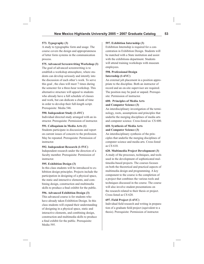#### **573. Typography (3)**

A study to typographic form and usage. The course covers the design and appropriateness of letter form systems in the communication process.

#### **575. Advanced Screenwriting Workshop (3)**

The goal of advanced screenwriting is to establish a workshop atmosphere, where students can develop seriously and intently into the discussion of each other's work. To serve this goal , the class will meet 7 times during the semester for a three-hour workshop. This alternative structure will appeal to students who already have a full schedule of classes and work, but can dedicate a chunk of time in order to develop their full-length script. Prerequisite: Media 546.

#### **590. Independent Study (1-4VC)**

Individual directed study arranged with an instructor. Prerequisite: Permission of instructor.

#### **591. Colloquium in Media Arts (1)**

Students participate in discussions and report on current issues of concern to the profession. May be repeated. Prerequisite: Permission of instructor.

#### **592. Independent Research (1-5VC)**

Independent research under the direction of a faculty member. Prerequisite: Permission of instructor.

#### **595. Exhibition Design (3)**

In this class students will be introduced to exhibition design principles. Projects include the participation in designing of a physical space, the static and interactive elements, and combining design, construction and multimedia skills to produce a final exhibit for the public.

#### **596. Advanced Exhibition Design (3)**

This advanced course is for students who have already taken Exhibition Design. In this class students will expand their understanding of designing in a physical space, static and interactive elements, and combining design, construction and multimedia skills to produce a final exhibit for the public. Prerequisite: Media 595.

#### **597. Exhibition Internship (3)**

Exhibition Internship is required for a concentration in Exhibition Design. Students will be matched with a State institution and assist with the exhibitions department. Students will attend training workshops with museum employees.

#### **598. Professional Design Internship (1-6VC)**

An external job placement in a position appropriate to the discipline. Both an instructor of record and an on-site supervisor are required. The position may be paid or unpaid. Prerequisite: Permission of instructor.

#### **600. Principles of Media Arts and Computer Science (3)**

An interdisciplinary investigation of the terminology, roots, assumptions and principles that underlie the merging disciplines of media arts and computer science. Cross-listed as: CS 600.

#### **610. Synthesis of Media Arts and Computer Science (3)**

An interdisciplinary synthesis of the principles that underlie the merging disciplines of computer science and media arts. Cross-listed as CS 610.

#### **620. Multimedia Project Development (3)**

A study of the processes, techniques, and tools used in the development of sophisticated multimedia-based projects. The courses focuses on both the theoretical and practical aspects of multimedia design and programming. A key component to the course is the completion of a project that combines the various tools and techniques discussed in the course. The course will also involve student presentations on the research related to their thesis or project. Cross-listed as CS 620.

#### **697. Field Project (1-6VC)**

Individual field research and writing in preparation of a graduate field project (equivalent to a thesis). Prerequisite: Permission of instructor.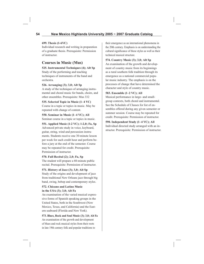#### **699. Thesis (1-6VC)**

Individual research and writing in preparation of a graduate thesis. Prerequisite: Permission of instructor.

# **Courses in Music (Mus)**

**525. Instrumental Techniques (4); Alt Sp**

Study of the performing and teaching techniques of instruments of the band and orchestra.

### **526. Arranging (3); 3,0; Alt Sp**

A study of the techniques of arranging instrumental and choral music for bands, choirs, and other ensembles. Prerequisite: Mus 332

**535. Selected Topic in Music (1–4 VC)** Course in a topic or topics in music. May be repeated with change of content.

**550. Seminar in Music (1–4 VC); All** Seminar course in a topic or topics in music.

**551. Applied Music (1-2 VC); 1-2,0; Fa, Sp** Advanced private study in voice, keyboard,

guitar, string, wind and percussion instruments. Students receive one 30-minute lesson per week for each credit hour and perform before a jury at the end of the semester. Course may be repeated for credit. Prerequisite: Permission of instructor.

### **570. Full Recital (2); 2,0; Fa, Sp**

The student will prepare a 60-minute public recital. Prerequisite: Permission of instructor.

### **571. History of Jazz (3); 3,0; Alt Sp**

Study of the origins and development of jazz from traditional New Orleans jazz through big band, swing, bebop and contemporary styles.

### **572. Chicano and Latino Music in the USA (3); 3,0; Alt Fa**

An examination of the varied musical expressive forms of Spanish speaking groups in the United States, both in the Southwest (New Mexico, Texas, and California) and the Eastern seaboard (Florida and New York).

**573. Blues, Rock and Soul Music (3); 3,0; Alt Fa**  An examination of the growth and development of blues and rock musical styles from their roots in late 19th century folk and popular traditions to

their emergence as an international phenomena in the 20th century. Emphasis is on understanding the cultural significance of these styles as well as their technical musical structure.

### **574. Country Music (3); 3,0; Alt Sp**

An examination of the growth and development of country music from its beginnings as a rural southern folk tradition through its emergence as a national commercial popular music industry. The emphasis is on the processes of change that have determined the character and style of country music.

### **583. Ensemble (1–2 VC); All**

Musical performance in large- and smallgroup contexts, both choral and instrumental. See the Schedule of Classes for list of ensembles offered during any given semester or summer session. Course may be repeated for credit. Prerequisite: Permission of instructor.

## **590. Independent Study (1–4 VC); All**

Individual directed study arranged with an instructor. Prerequisite: Permission of instructor.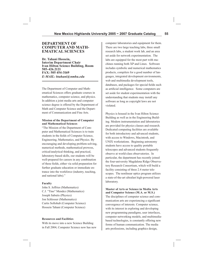### **DEPARTMENT OF COMPUTER AND MATH-EMATICAL SCIENCES**

**Dr. Tahani Hossein, Interim Department Chair Ivan Hilton Science Building, Room 505-426.2121 FAX: 505 454-3169** *E-MAIL: htahani@nmhu.edu*

The Department of Computer and Mathematical Sciences offers graduate courses in mathematics, computer science, and physics. In addition a joint media arts and computer science degree is offered by the Department of Math and Computer Science and the Department of Communication and Fine Arts.

#### **Mission of the Department of Computer and Mathematical Sciences**

"The Mission of the Department of Computer and Mathematical Sciences is to train students in the fields of Computer Science, Engineering, Mathematics, and Physics. By encouraging and developing problem-solving, numerical methods, mathematical prowess, critical/analytical thinking, and practical, laboratory-based skills, our students will be well-prepared for careers in any combination of these fields, either via solid preparation for further graduate education or immediate entrance into the workforce (industry, teaching, and national labs)."

#### **Faculty**

John S. Jeffries (Mathematics) C.J. "Tino" Mendez (Mathematics) Joseph Sabutis (Physics) Jon Schlosser (Mathematics) Curtis Sollohub (Computer Science) Hossein Tahani (Computer Science)

#### **Resources and Facilities**

With its move into a new Science Building in Fall 2004, Computer Science now has new computer laboratories and equipment for them. There are two large teaching labs, three small research labs, a student work lab, and an area set aside for network experimentation. The labs are equipped for the most part with machines running both XP and Linux. Software includes symbolic and numerical mathematics products, compilers for a good number of languages, integrated development environments, web and multimedia development tools, databases, and packages for special fields such as artificial intelligence. Some computers are set aside for student experimentation with the understanding that students may install any software as long as copyright laws are not violated.

Physics is housed in the Ivan Hilton Science Building as well as in the Engineering Building. Modern instrumentation and laboratories are provided for physics classes and research. Dedicated computing facilities are available for both introductory and advanced students, with access to Windows, Macintosh, and UNIX workstations. Beginning astronomy students have access to quality portable telescopes and advanced students frequently observe at world-class observatories. In particular, the department has recently joined the four-university Magdalena Ridge Observatory Research Consortium, which will build a facility consisting of three 2.4 meter telescopes. The nonlinear optics program utilizes a state-of-the-art ultrafast high-powered laser laboratory.

#### **Master of Arts or Science in Media Arts and Computer Science (M.A. or M.S.)**

The disciplines of computer science and communication arts are experiencing a significant convergence of interests. Computer science, with its interest in exploring and developing new programming paradigms, user interfaces, computer networking models, and multimediabased technologies, is constantly offering new forms of human communication. The media arts professions, including graphics design,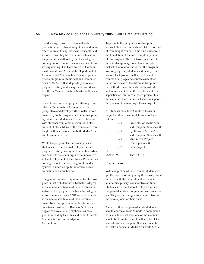broadcasting, as well as video and audio production, have always sought new and more effective ways to express ideas, concepts, and visions. Thus, they have a natural interest in the possibilities offered by the technologies coming out of computer science and electronics engineering. The Department of Communication and Fine Arts and the Department of Computer and Mathematical Sciences jointly offer a program in Media Arts and Computer Science (MACS) that, depending on one's program of study and background, could lead to either a Master of Arts or Master of Science degree.

Students can enter the program starting from either a Media Arts or Computer Science perspective and develop further skills in both areas. Key to the program is its interdisciplinary nature and students are expected to work with students from other disciplines in class and out of class. Many of the courses are team taught with instructors from both Media Arts and Computer Science.

While the program itself is broadly based students are expected to develop a focused program of study in conjunction with an advisor. Students are encourages to be innovative in the development of their focus. Possibilities could grow out of networking, multimedia systems, human-computer interface issues, animation and visualization.

The general entrance requirement for the program is that a student has a bachelor's degree in an area related to one of the disciplines involved in this program or a bachelor's degree in some unrelated area AND work experience in an area related to one of the discipline areas. To be accepted into the Master of Science track must have a Bachelor's of Science degree of have a strong mathematics background including Calculus and either Discrete Mathematics or Linear Algebra. Curriculum

To promote the integration of disciplines stressed above, all students will take a core set of team taught courses. This nine-unit core is the foundation of the interdisciplinary nature of this program. The first two courses create the interdisciplinary, collective atmosphere that sets the tone for the rest of the program. Working together, students and faculty from various backgrounds will strive to create a common language and educate each other in the core ideas of the different disciplines. In the third course students use industrial techniques and tolls in the development of a sophisticated multimedia-based project. In all three courses there is time set aside to support the process of developing a thesis project.

All students must take 6 units of thesis or project work so the complete code looks as follows:

| CS              | 600 | Principles of Media Arts |
|-----------------|-----|--------------------------|
|                 |     | and Computer Science (3) |
| CS <sup>-</sup> | 610 | Synthesis of Media Arts  |
|                 |     | and Computer Science (3) |
| CS <sup>-</sup> | 620 | Multimedia Project       |
|                 |     | Development (3)          |
| CS.             | 697 | Field Project            |
| 0R              |     |                          |
| <b>MACS 699</b> |     | Thesis $(1-6)$           |

#### **Required core: 15**

With completion of these course, students begin the process of integrating their own special interests with the commitment to maintain an interdisciplinary, collaborative attitude. Students are expected to develop a focused program of study in conjunction with an advisor. They are encouraged to be innovative in the development of their focus.

As part of their program of study students should choose at least 21 units in conjunction with an advisor. At least one of these courses should be from the discipline that is NOT their specialization - Computer Science students will take a course in Media Arts while Media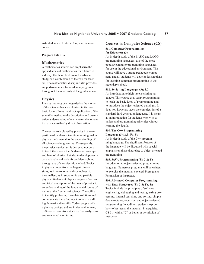Arts students will take a Computer Science course.

#### **Program Total: 36**

### **Mathematics**

A mathematics student can emphasize the applied areas of mathematics for a future in industry, the theoretical areas for advanced study, or a combination of the two for teachers. The mathematics discipline also provides supportive courses for academic programs throughout the university at the graduate level.

## **Physics**

Physics has long been regarded as the mother of the sciences because physics, in its most basic form, allows the direct application of the scientific method to the description and quantitative understanding of elementary phenomena that are accessible by direct observation.

The central role played by physics in the exposition of modern scientific reasoning makes physics fundamental to the understanding of all science and engineering. Consequently, the physics curriculum is designed not only to teach the student the fundamental concepts and laws of physics, but also to develop practical and analytical tools for problem-solving through use of the scientific method. Topics in physics range from the largest dimensions, as in astronomy and cosmology, to the smallest, as in sub-atomic and particle physics. Students of physics progress from an empirical description of the laws of physics to an understanding of the fundamental forces of nature at the frontiers of science. The ability to identify problems, formulate solutions and communicate these findings to others are all highly marketable skills. Today, people with a physics background are in demand in many different careers from stock market analysis to environmental monitoring.

### **Courses in Computer Science (CS)**

## **511. Computer Programming**

#### **for Educators (3)**

An in-depth study of the BASIC and LOGO programming languages, two of the most popular computer programming languages for use in the educational environment. This course will have a strong pedagogic component, and all students will develop lesson plans for teaching computer programming in the secondary school.

#### **512. Scripting Languages (3); 2,2**

An introduction to high-level scripting languages. This course uses script programming to teach the basic ideas of programming and to introduce the object-oriented paradigm. It does not, however, teach the complexities of a standard third generation language. It is meant as an introduction for students who wish to understand programming principles without learning the details.

### **514. The C++ Programming Language (3); 2,3; Fa, Sp**

An in-depth study of the C++ programming language. The significant features of the language will be discussed with special emphasis on those that relate to object oriented programming.

#### **515. JAVA Programming (3); 2,2; Fa**

Introduction to object-oriented programming language. Numerous programs will be written to exercise the material covered. Prerequisite: Permission of instructor.

# **516. Advanced Computer Programming with Data Structures (3); 2,3; Fa, Sp**

Topics include the principles of software engineering, debugging and testing, string processing, internal searching and sorting, simple data structures, recursion, and object-oriented programming. In addition, students explore how to best teach the material. Prerequisite: CS 514 with a "C" or better or permission of instructor.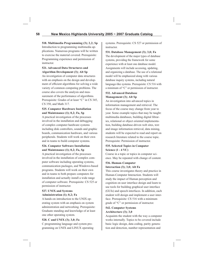**518. Multimedia Programming (3); 2,2; Sp** Introduction to programming multimedia applications. Numerous programs will be written to exercise the material covered. Prerequisite: Programming experience and permission of instructor.

#### **521. Advanced Data Structures and Algorithm Development (3); Alt Sp**

An investigation of computer data structures with an emphasis on the design and development of efficient algorithms for solving a wide variety of common computing problems. The course also covers the analysis and measurement of the performance of algorithms. Prerequisite: Grades of at least "C" in CS 345, CS 350, and Math 317.

#### **525. Computer Hardware Installation and Maintenance (1); 0,2; Fa, Sp**

A practical investigation of the processes involved in the installation and debugging of complex computer hardware systems including disk controllers, sounds and graphic boards, communication hardware, and various peripherals. Students will work on their own and in teams to build computer systems.

### **526. Computer Software Installation and Maintenance (1); 0,2; Fa, Sp**

A practical investigation of the processes involved in the installation of complex computer software including operating systems, communication packages, and Windows-based programs. Students will work on their own and in teams to both prepare computers for installation and actually install a wide range of computer software. Prerequisite: CS 525 or permission of instructor.

### **527. UNIX and Systems Administration (1); 0,2; Fa**

A hands-on introduction to the UNIX operating system with an emphasis on system administration and networking. Prerequisite: Graduate standing and knowledge of at least one other operating system.

### **528. C and UNIX (3); 3,0; Fa**

C programming language and system programming on UNIX and LINUX operating systems. Prerequisite: CS 527 or permission of instructor.

**531. Database Management (3); 3,0; Fa** The development of the major types of database systems, providing the framework for some experience with at least one database model. Assignments will include accessing, updating, and organizing a database. The use of a relational model will be emphasized along with various database inquiry systems, including natural language-like systems. Prerequisite: CS 516 with a minimum of "C" or permission of instructor.

#### **532. Advanced Database Management (3); Alt Sp**

An investigation into advanced topics in information management and retrieval. The focus of the course may change from year to year. Some example topics that may be taught: multimedia databases, building digital libraries, relational or object oriented implementation, building database-driven web sites, text and image information retrieval, data mining, students will be expected to read and report on research literature related to the course topic. Prerequisite: Permission of instructor.

### **535. Selected Topics in Computer Science (1 - 4 VC)**

Course in a topic or topics in computer science. May be repeated with change of content.

### **536. Human-Computer Interaction (3); 3,0; Alt Fa**

This course investigates theory and practice in Human-Computer Interaction. Students will study the impact of Human perception and cognition on user interface design and learn to use tools for building graphical user interface (GUIs) and speech interfaces. In addition, each student will design and implement a user interface. Prerequisite: CS 516 with a minimum grade of "C" or permission of instructor.

### **542. Computer Systems Architecture (3); 3,0**

Acquaints the student with the way a computer works internally. Topics to be covered include basic logic design, data coding, parity generation and detection, number representation and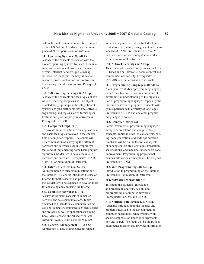arithmetic, and computer architecture. Prerequisites: CS 341 and CS 516 with a minimum grade of "C" or permission of instructor.

#### **543. Operating Systems (3); Alt Fa**

A study of the concepts associated with the modern operating system. Topics will include supervisors, command processors, device drivers, interrupt handlers, queue managers, resource managers, memory allocation schemes, process activation and control, and timesharing or multi-task control. Prerequisite: CS 341.

#### **551. Software Engineering (3); Alt Sp**

A study of the concepts and techniques of software engineering. Emphasis will be objectoriented design principles, the integration of systems analysis methodologies into software engineering, and topics such as formal specifications and proof of program correctness. Prerequisite: CS 350.

#### **555. Computer Graphics (3)**

To provide an introduction to the applications and basic techniques involved in the general field of computer graphics. The course will be a combination of surveying the different hardware and software used in graphic systems and of implementing some basic graphic algorithms. Students will have access to SGI hardware and software. Prerequisite: CS 516, Math 331 or permission of instructor.

#### **556. Internet Services (3); 2,2; Fa**

An introduction to telecommunications and the Internet. This course introduces the use of Internet for both research and problem-solving. Students will be expected to develop tools for enhancing and accessing the Internet.

#### **557. Computer Networks (3); Fa**

A study of the major concepts of computer networks and data communications. Topics discussed will include data communication networking, computer communications architectures and protocols as well as applications including Local Area Networks (LAN) and Wide Area Networks (WAN). Cross-listed as: MIS 520.

**558. Network Management (3); Alt Sp** Application of networking concepts related to the management of LANs. Includes topics related to repair, setup, management and maintenance of LANs. Prerequisite: CS 557, MIS 520 or experience with computer networks, with permission of instructor.

#### **559. Network Security (3); Alt Sp**

This course addresses security issues for TCP/ IP-based and NT networks, access control and communications security. Prerequisite: CS 557, MIS 520, or permission of instructor.

**561. Programming Languages (3); Alt Fa**

A comparative study of programming languages and their features. The course is aimed at developing an understanding of the organization of programming languages, especially the run-time behavior of programs. Students will gain experience with a variety of languages. Prerequisite: CS 245 and one other programming language course.

#### **562. Compiler Design (3)**

Formal treatment of programming language interpreter, translator, and compiler design concepts. Topics include lexical analysis, parsing, code generation, and code optimization. Emphasis will be on the theoretical aspects of parsing context-free languages, translation specifications, and machine-independent code improvement. Programming projects that demonstrate various concepts will be assigned. Prerequisite: CS 561.

**563. Web Programming (3); 2,2; Sp**

Introduction to programming on the Internet. Prerequisite: Permission of instructor.

#### **564. Network Programming (3);**

To extend the students' knowledge and practice in analysis, design, and programming of computer networks. Prerequisites: CS 245 and CS 528

**571.** Artificial Intelligence (3); Alt Sp A general introduction to the theories and problems involved in the development of computer-based intelligence systems with specific emphasis on knowledge representation and search. The focus will be on artificial intelligence research that provides information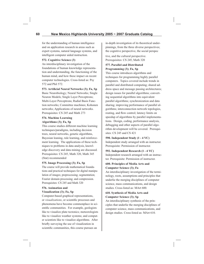for the understanding of human intelligence and on application research in areas such as expert systems, natural language systems, and intelligent computer aided instruction.

#### **572. Cognitive Science (3)**

An interdisciplinary investigation of the foundations of human knowledge representation and understanding, the functioning of the human mind, and how these impact on recent computer technologies. Cross-listed as: Psy 572 and Phil 572.

#### **573. Artificial Neural Networks (3); Fa, Sp**

Basic Neurobiology; Neural Networks; Single Neuron Models; Single Layer Perceptrons; Multi-Layer Perceptrons; Radial Basis Function networks; Committee machines; Kohonen networks; Applications of neural networks. Prerequisites: CS 245 and Math 273

### **574. Machine Learning Algorithms (3); Fa, Sp**

This course studies different machine learning techniques/paradigms, including decision trees, neural networks, genetic algorithms, Bayesian leaning, rule learning, and reinforcement learning. The applications of these techniques to problems in data analysis, knowledge discovery and data mining are discussed. Prerequisites: CS 245, Math 320, Math 345 (Stat) recommended

### **575. Image Processing (3); Fa, Sp**

The course will provide mathematical foundations and practical techniques for digital manipulation of images; preprocessing; segmentation; Fourier domain processing; and compression. Prerequisites: CS 245 and Math 320

#### **576. Animation and Visualization (3); Fa, Sp**

Computer-based graphical representations, or *visualizations*, or scientific processes and phenomena have become commonplace in scientific communities. For example, geologists like to visualize plate tectonics; meteorologists like to visualize weather systems; and computer scientists like to visualize algorithms. After briefly surveying the use of visualization in scientific communities, this course pursues an

in-depth investigation of its theoretical underpinnings, from the three diverse perspectives; the cognitive perspective, the social perspec

tive, and the cultural perspective. Prerequisites: CS 245, Math 320

#### **577. Parallel and Distributed Programming (3); Fa, Sp**

This course introduces algorithms and techniques for programming highly parallel computers. Topics covered include trends in parallel and distributed computing; shared address space and message passing architectures; design issues for parallel algorithms; converting sequential algorithms into equivalent parallel algorithms; synchronization and data sharing; improving performance of parallel algorithms; interconnection network topologies, routing, and flow control; latency limits on speedup of algorithms by parallel implementations. Design, coding, performance analysis, debugging and other aspects of parallel algorithm development will be covered. Prerequisites: CS 245 and CS 421

#### **590. Independent Study (1 - 4 VC)**

Independent study arranged with an instructor. Prerequisite: Permission of instructor.

# **592. Independent Research (1 - 4 VC)**

Independent research arranged with an instructor. Prerequisite: Permission of instructor.

#### **600. Principles of Media Arts and Computer Science (3); Fa**

An interdisciplinary investigation of the terminology, roots, assumptions and principles that underlie the merging disciplines of computer science, mass communications, and design studies. Cross-listed as: MArt 600.

### **610. Synthesis of Media Arts and Computer Science (3); Sp**

An interdisciplinary synthesis of the principles that underlie the merging disciplines of computer science, mass communications, and design studies. Cross-listed as: MArt 610.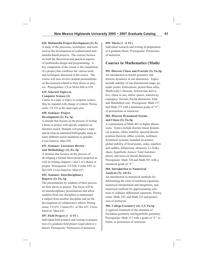#### **620. Multimedia Project Development (3); Fa**

A study of the processes, techniques, and tools used in the development of sophisticated multimedia-based projects. The courses focuses on both the theoretical and practical aspects of multimedia design and programming. A key component of the course is the completion of a project that combines the various tools and techniques discussed in the course. The course will also involve student presentations on the research related to their thesis or project. Prerequisites: CS or MArt 600 or 610

#### **635. Selected Topics in Computer Science (3)**

Course in a topic or topics in computer science. May be repeated with change of content. Prerequisite: CS 535 in the same topic area.

### **650. Seminar: Project Development (1); Fa, Sp**

A seminar that focuses on the process of writing a thesis or project with specific emphasis on literature search. Students will propose a topic and develop an annotated bibliography using as many different search modalities as possible. Cross-listed as: Mart 650.

#### **651. Seminar: Literature Review and Methodology (1); Fa, Sp**

A seminar that focuses on the process of developing a formal thesis/project proposal as well as writing chapters 1 and 2 of a thesis or project. Prerequisite: CS 650, Comm 650, or Des 650. Cross-listed as: Mart 651.

#### **652. Seminar: Interdisciplinary Reports (1); Fa, Sp**

The presentations by students of their process on their thesis or project. The focus will be on interdisciplinary presentations that allow students from one discipline to understand a subject from another discipline and on the development of collaborative efforts. Prerequisite: CS 651, Comm 651, or Des 651. Crosslisted as: Mart 652.

#### **697. Field Project (1 –6 VC)**

Individual field research and writing in preparation of a graduate field project (equivalent to a thesis). Prerequisite: Permission of instructor.

#### **699. Thesis (1 –6 VC)**

Individual research and writing in preparation of a graduate thesis. Prerequisite: Permission of instructor.

### **Courses in Mathematics (Math)**

#### **501. Discrete Chaos and Fractals (3); Fa,Sp**

An introduction to fractal geometry and discrete dynamics in one dimension. Topics include stability of one dimensional maps, periodic points, bifurcations, period three orbis, Sharkovsky's theorem, Schwarzian derivative, chaos in one, metric spaces, transitivity, conjugacy, fractals, fractal dimension, Julia and Mandelbrot sets. Prerequisite: Math 317 and Math 275 with a minimum grade of "C", or permissions of instructor.

#### **502. Discrete Dynamical Sytems and Chaos (3); Fa,Sp**

A continuation of Math 401 in higher dimensions. Topics include discrete linear dynamical systems, orbits, stability, spectral decomposition theorem, affine systems, nonlinear dynamical systems, bounded invariance, global stability of fixed points, sinks, repellers and saddles, bifuraction, attractors, Li-Yorke chaos, hyperbolic Anosov Toral Automorphism, and more on fractal dimension. Prerequisite: Math 320 and Math 501 with a minimum grade of "C".

#### **504. Introduction to Numerical Analysis (3); Alt Fa**

An introduction to numerical methods for determining the roots of nonlinear equations, numerical interpolation and integration, and numerical methods for approximating solutions to ordinary differential equations. Prerequisite: Math 320, and Math 325 and permission of instructor.

**506. College Geometry (4); 3,2; Fa,Sp** A rigorous treatment of the elements of Euclidena geometry and hyperbolic geometry. Prerequisite: Math 317 with a grade of "C" or better, or permission of instructor.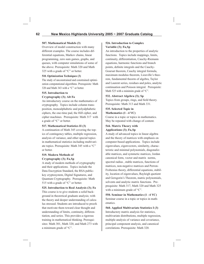#### **507. Mathematical Models (3)**

Overview of model construction with many different examples. The course includes differential equations, Markov chains, linear programming, zero sum games, graphs, and queues, with computer simulations of some of the above. Prerequisite: Math 320 and Math 325 with a grade of "C" or better.

#### **510. Optimization Techniques (3)**

The study of unconstrained and constrained optimization computational algorithms. Prerequisite: Math 320 and Math 343 with a "C" or better.

#### **515. Introduction to**

#### **Cryptography (3); Alt Fa**

An introductory course on the mathematics of cryptography. Topics include column transposition, monoalphabetic and polyalphabetic ciphers, the one-time pad, the Hill cipher, and cipher machines. Prerequisite: Math 317 with a grade of "C" or better.

#### **517. Mathematical Statistics II (3)**

A continuation of Math 345 covering the topics of contingency tables, multiple regression, analysis of variance, and other special topics in mathematical statistics including multivariate topics. Prerequisite: Math 345 with a "C" or better.

#### **519. Modern Methods of Cryptography (3); Fa,Sp**

A study of modern methods of cryptography and their applications. Topics include the Data Encryption Standard, the RSA publickey cryptosystem, Digital Signatures, and Quantum Cryptography. Prerequisite: Math 515 with a grade of "C" or better.

#### **525. Introduction to Real Analysis (3); Fa**

This course is to give students a solid background in theoretical graduate analysis; with the theory and deeper understanding of calculus stressed. Students are introduced to proofs that motivate them toward clear thought and understanding of limits, continuity, differentiation, and series. This provides a rigorous training in mathematical thinking. Prerequisites: Math 301, Math 320, and Math 273 with a minimum grade of "C".

#### **526. Introduction to Complex Variable (3); Fa,Sp**

An introduction to the properties of analytic functions. Topics include mappings, limits, continuity, differentiation, Cauchy-Riemann equations, harmonic functions and branch points, definite integrals and the Cauchy-Goursat theorem, Cauchy integral formula, maximum modulus theorem, Liouville's theorem, fundamental theorm of algebra, Taylor and Laurent series, residues and poles, analytic continuation and Poisson integral. Prerequisite: Math 525 with a minimim grade of "C".

#### **532. Abstract Algebra (3); Sp**

Topics from groups, rings, and field theory. Prerequisite: Math 313 and Math 331.

# **535. Selected Topic in**

**Mathematics (1 –4 VC)**

Course in a topic or topics in mathematics. May be repeated with change of content.

#### **544. Matrix Theory with Applications (3); Fa,Sp**

A study of advanced topics in linear algebra and the theory of matrices with emphasis on computer-based applications. Topics include eigenvalues, eigenvectors, similarity, characteristic and minimal polynomials, diagonalizable matrices, and symmetic matrices, Jordan canonical form, vector and matrix norms, spectral radius , stable matrices, functions of matrices, non-negative matrices and Perron-Frobenius theory, differential equations, stability, location of eigenvalues, Rayleigh quotient and Gersgorin's Theorem, matric polynomials, solvents and analytic matrix functions. Preprequisite: Math 317, Math 320 and Math 325 with a minimum grade of "C".

**550. Seminar in Mathematics (1 –4 VC)** Seminar course in a topic or topics in mathematics.

**560. Applied Multivariate Statistics I (3)** Introductory matrix analysis for statistics, multivariate distributions, multiple regression, multiple analysis of variance and covariance, principal component analysis, and canonical correlations. Prerequisite: Math 320.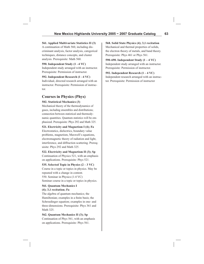#### **561. Applied Multivariate Statistics II (3)**

A continuation of Math 560, including discriminant analysis, factor analysis, categorical techniques, distance concepts, and cluster analysis. Prerequisite: Math 560.

#### **590. Independent Study (1 –4 VC)**

Independent study arranged with an instructor. Prerequisite: Permission of instructor.

**592. Independent Research (1 –4 VC)**

Individual, directed research arranged with an instructor. Prerequisite: Permission of instructor.

# **Courses in Physics (Phys)**

### **502. Statistical Mechanics (3)**

Mechanical theory of the thermodynamics of gases, including ensembles and distributions; connection between statistical and thermodynamic quantities. Quantum statistics will be emphasized. Prerequisite: Phys 292 and Math 325.

#### **521. Electricity and Magnetism I (4); Fa**

Electrostatics, dielectrics, boundary value problems, magnetism, Maxwell's equations, electromagnetic theory of radiation and light, interference, and diffraction scattering. Prerequisite: Phys 292 and Math 325.

### **522. Electricity and Magnetism II (3); Sp**

Continuation of Physics 521, with an emphasis on applications. Prerequisite: Phys 521.

### **535. Selected Topic in Physics (2 – 3 VC)**

Course in a topic or topics in physics. May be repeated with a change in content. 550. Seminar in Physics (1-4 VC) Seminar course in a topic or topics in physics.

#### **561. Quantum Mechanics I (4); 3,1 recitation; Fa**

The algebra of quantum mechanics; the Hamiltonian; examples in a finite basis; the Schroedinger equation; examples in one- and three-dimensions. Prerequisite: Phys 361 and Math 325.

### **562. Quantum Mechanics II (3); Sp**

Continuation of Phys 561, with an emphasis on applications. Prerequisite: Phys 561.

### **568. Solid State Physics (4); 3,1 recitation** Mechanical and thermal properties of solids, the electron theory of metals, and band theory. Prerequisite: Phys 461 or Phys 561.

**590-690. Independent Study (1 – 4 VC)** Independent study arranged with an instructor. Prerequisite: Permission of instructor.

# **592. Independent Research (1 – 4 VC)** Independent research arranged with an instruc-

tor. Prerequisite: Permission of instructor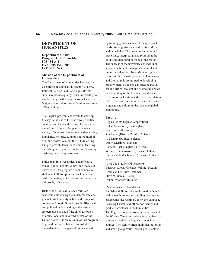### **DEPARTMENT OF HUMANITIES**

**Department Chair Douglas Hall, Room 144 505 454-3414 FAX: 505 454-3389 E-MAIL: N/A**

#### **Mission of the Department of Humanities**

The Department of Humanities includes the disciplines of English, Philosophy, History, Political Science, and Languages. Its mission is to provide quality education leading to intellectual growth and professional success. Majors and/or minors are offered in each area of Humanities.

The English program endeavors to develop fluency in the use of English through critical, creative, and technical writing. The departmental curriculum is designed to meet a variety of interests: literature, creative writing, linguistics, rhetoric, cultural studies, mythology, and professional writing. Study of English prepares students for careers in teaching, publishing, arts, journalism, technical writing, business, law, and government.

Philosophy involves critical and reflective thinking about beliefs, values, and modes of knowledge. Our program offers courses for students of all disciplines in such areas as critical thinking, ethics, art and aesthetics, and philosophy of science.

History and Political Science forms an academic unit serving the undergraduate and graduate student body with a wide range of courses and possibilities for study. Historical and political understanding and awareness are perceived as one of the chief attributes of a functional and involved citizen of the United States. It is the mission of this program to provide services that will contribute to the realization to the general populace and

by training graduates to work in appropriate fields utilizing historical and political skills and knowledge. The program is committed to preserving, interpreting, and promoting the unique multicultural heritage of the region. The success of the university depends upon an appreciation of the region's cultural and linguistics identities. New Mexico Highlands University's graduate program in Languages and Literature is committed to developing broadly literate students educated in analytical and critical thought and promoting a wide understanding of the liberal arts and sciences. Because of its location and student population, NMHU recognizes the importance of Spanish language and culture in the local and global community.

#### **Faculty**

Regina Briefs-Elgin (Composition) Helen Aparicio Blythe (English) Peter Linder (History) Roy Lujan (History, Political Science) A. Manafy (Political Science) Daniel Martinez (English) Barbara Risch (English Linguistics) Veronica Saunero-Ward (Spanish, Italian) Carmen Vidal-Lieberman (Spanish, Portuguese) Alice Lee Stauffer (Philosophy) Eduardo Tafoya (Creative Writing- Fiction, American Lit., New Testament) Steve Williams (History) Donna Woodford (Enlgish)

#### **Resources and Facilities**

English and Philosophy are located in Douglas Hall, a newly renovated building that houses classrooms, the Writing Center, the Language Learning Center, and offices for faculty and graduate assistants in the humanities. The English program provides the services of the Writing Center to students in all university courses as well as in English composition courses. The facility offers individual tutoring and small group work. Teaching assistants in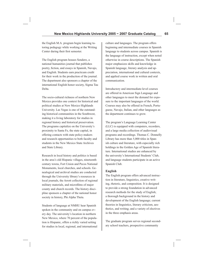the English M.A. program begin learning tutoring pedagogy while working at the Writing Center during their first semester.

The English program houses Sendero, a national humanities journal that publishes poetry, fiction, and essays in Spanish, Navajo, and English. Students earn practicum credit for their work in the production of the journal. The department also sponsors a chapter of the international English honor society, Sigma Tau Delta.

The socio-cultural richness of northern New Mexico provides one context for historical and political studies at New Mexico Highlands University. Las Vegas is one of the outstanding historical communities in the Southwest, making it a living laboratory for studies in regional history and historical preservation. The programs capitalize on the University's proximity to Santa Fe, the state capital, in offering contacts with state policy-makers and research opportunities to both faculty and students in the New Mexico State Archives and State Library.

Research in local history and politics is based in the area's old Hispanic villages, nineteenth century towns, Fort Union and Pecos National Monuments, local churches, and schools. Genealogical and archival studies are conducted through the University library's resources in local journals, the Arrott collection of regional military materials, and microfilms of major county and church records. The history discipline sponsors a chapter of the national honor society in history, Phi Alpha Theta.

Students of language at NMHU hear Spanish spoken in the community and on campus every day. The university's location in northern New Mexico, where 70 percent of the population is Hispanic, offers a richly varied setting for studies in local, regional, and international culture and languages. The program offers beginning and intermediate courses in Spanish language to students across campus. Spanish is the language of instruction, except when noted otherwise in course descriptions. The Spanish major emphasizes skills and knowledge in Spanish language, literary analysis and appreciation, international and cultural contexts, and applied course work in written and oral communication.

Introductory and intermediate-level courses are offered in American Sign Language and other languages to meet the demand for exposure to the important languages of the world. Courses may also be offered in French, Portuguese, Navajo, Italian, and other languages as the department continues to grow.

The program's Language Learning Center (LLC) is equipped with computers, recorders, and a large media collection of audiovisual programs and recordings. Thomas C. Donnelly Library has more than 5,000 titles in Spanish culture and literature, with especially rich holdings in the Golden Age of Spanish literature. International studies are enhanced by the university's International Students' Club, and language students participate in an active Spanish Club.

#### **English**

The English program offers advanced instruction in literature, linguistics, creative writing, rhetoric, and composition. It is designed to provide a strong foundation in advanced research methods for the study of English; a thorough background in the history and development of the English language; current theories in linguistics, literary criticism, aesthetics, and writing; and a variety of electives in the three emphasis areas.

The graduate program serves regional secondary school teachers, prospective community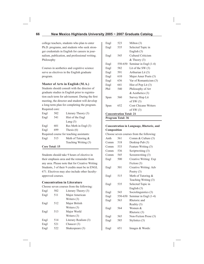college teachers, students who plan to enter Ph.D. programs, and students who seek stronger credentials in English for careers in journalism, publication, and professional writing. Philosophy

Courses in aesthetics and cognitive science serve as electives in the English graduate program.

### **Master of Arts in English (M.A.)**

Students should consult with the director of graduate studies in English prior to registration each term for advisement. During the first meeting, the director and student will develop a long-term plan for completing the program. Required core:

| Engl                  | 502 | Literary Theory (3)                      |
|-----------------------|-----|------------------------------------------|
| Engl                  | 541 | Hist of the Engl                         |
|                       |     | Lang $(3)$                               |
| Engl                  | 601 | Res Meth in Engl (3)                     |
| Engl                  | 699 | Thesis $(6)$                             |
|                       |     | Required course for teaching assistants: |
| Engl                  | 515 | Meth of Tutoring &                       |
|                       |     | Teaching Writing (3)                     |
| <b>Core Total: 15</b> |     |                                          |

Students should take 9 hours of elective in their emphasis area and the remainder from any area. Please note that for Creative Writing Students, 3 of their 9 credits must be in ENGL 671. Electives may also include other facultyapproved courses.

#### **Concentration in Literature**

Choose seven courses from the following:

| Engl | 502 | Literary Theory (3)  |
|------|-----|----------------------|
| Engl | 511 | Major American       |
|      |     | Writers $(3)$        |
| Engl | 512 | Major British        |
|      |     | Writers (3)          |
| Engl | 513 | Major World          |
|      |     | Writers (3)          |
| Engl | 514 | Literary Realism (3) |
| Engl | 521 | Chaucer (3)          |
| Engl | 522 | Shakespeare (3)      |

| Engl                           | 523     | Milton $(3)$                |
|--------------------------------|---------|-----------------------------|
| Engl                           | 535     | Selected Topic in           |
|                                |         | English $(3)$               |
| Engl                           | 545     | Cultural Criticism          |
|                                |         | $&$ Theory $(3)$            |
| Engl                           | 550-650 | Seminar in Engl (1-4)       |
| Engl                           | 582     | Lit of the SW $(3)$         |
| Engl                           | 591     | Arthurian Lit (3)           |
| Engl                           | 610     | Major Amer Poets (3)        |
| Engl                           | 636     | Var of Romanticism (3)      |
| Engl                           | 641     | Hist of Pop Lit $(3)$       |
| Phil                           | 540     | Philosophy of Art           |
|                                |         | & Aesthetics (3)            |
| Span                           | 560     | Survey Hisp Lit             |
|                                |         | of SW $(3)$                 |
| Span                           | 652     | <b>Cont Chicano Writers</b> |
|                                |         | of SW $(3)$                 |
| <b>Concentration Total: 21</b> |         |                             |
|                                |         |                             |

**Program Total: 36**

#### **Concentration in Language, Rhetoric, and Composition**

Choose seven courses from the following:

| Anth | 561     | Comm & Culture (3)    |
|------|---------|-----------------------|
| Comm | 518     | Desktop Pub (3)       |
| Comm | 533     | Feature Writing (3)   |
| Comm | 536     | Scriptwriting (3)     |
| Comm | 545     | Screenwriting (3)     |
| Engl | 500     | Creative Writing: Exp |
|      |         | Fiction (3)           |
| Engl | 501     | Creative Writing: Adv |
|      |         | Poetry $(3)$          |
| Engl | 515     | Meth of Tutoring &    |
|      |         | Teaching Writing (3)  |
| Engl | 535     | Selected Topic in     |
|      |         | English $(3)$         |
| Engl | 543     | Sociolinguistics (3)  |
| Engl | 550-650 | Seminar in Engl (1-4) |
| Engl | 563     | Rhetoric and          |
|      |         | Reality (3)           |
| Engl | 564     | Women &               |
|      |         | Rhetoric (3)          |
| Engl | 565     | Non-Fiction Prose (3) |
| Engl | 585     | Stylistics (3)        |
| Engl | 651     | Images & Words:       |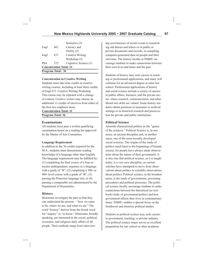| Program Total: 36              |     |                         |  |
|--------------------------------|-----|-------------------------|--|
| <b>Concentration Total: 21</b> |     |                         |  |
| Phil                           | 572 | Cognitive Science (3)   |  |
|                                |     | Workshop (3)            |  |
| Engl                           | 671 | <b>Creative Writing</b> |  |
|                                |     | Orality (3)             |  |
| Engl                           | 661 | Literacy and            |  |
|                                |     | Semiotics (3)           |  |

#### **Concentration in Creative Writing**

Students must take nine credits in creative writing courses, including at least three credits of Engl 671: Creative Writing Workshop. This course may be repeated with a change of content. Creative writers may choose an additional 12 credits of electives from either of the first two emphasis areas.

**Concentration Total: 21 Program Total: 36**

#### **Examinations**

All students must pass a written qualifying examination based on a reading list approved by the Master of Arts Committee.

#### **Language Requirement**

In addition to the 36 credits required for the M.A., students must demonstrate reading knowledge of a language other than English. The language requirement may be fulfilled by:  $(1)$  completing the final course of a four-semester undergraduate sequence in a language with a grade of "B"; (2) completing a 300- or 400- level course with a grade of "B"; (3) passing the Princeton language test; or (4) passing a comparable test administered by the Department of Humanities.

#### **History**

Historians investigate the past so that they can understand the present – "how we came to be, where we are, and what we are." The word "history" derives from the Greek word for "inquiry" or "to know." Historians, broadly speaking, are interested in the social, political, economic, and religious daily affairs of all people. Their methods range from interviewing eyewitnesses of recent events to researching old diaries and letters or in public or private documents and records, to compiling computer-generated data on people and their activities. The history faculty at NMHU encourage students to make connections between their own lives and times and the past.

Students of history may seek careers in teaching or professional applications, and many will continue for an advanced degree or enter law school. Professional applications of history and social science include a variety of careers in public affairs, business, and the private sector, where research, communication, and other liberal arts skills are valued. Some history students obtain positions in museums or archival settings or in historical research and preservation for private and public institutions.

#### **Political Science**

Aristotle characterized politics as the "queen of the sciences." Political Science is, in one sense, an ancient discipline and, in another sense, one of the most recently developed social sciences. The origins of the study of politics reach back to the beginnings of human society, for people have always made observations about the nature of their government. It is also true that political science, as it is taught today, is a very new discipline, as current scholars have attempted to move from observations about politics to scientific observations about politics. Political science, in the broadest sense, is the study of governments, governing procedures and political processes. The political science faculty encourage students to make connections between the theoretical (or textbook) study of government/politics and how government affects their lives in contemporary times. NMHU enables a special focus on the Southwest and minority political studies.

Students in political science may seek careers in government, teaching, or private industry. The political science major serves as excellent preparation for law school or other academic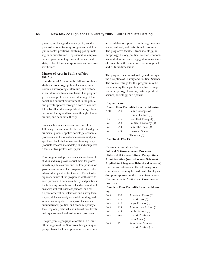pursuits, such as graduate study. It provides pre-professional training for governmental or public sector positions involving policy-making or administration. Representative employers are government agencies at the national, state, or local levels, corporations and research institutions.

### **Master of Arts in Public Affairs (M.A.)**

The Master of Arts in Public Affairs combines studies in sociology, political science, economics, anthropology, literature, and history in an interdisciplinary emphasis. The program gives a comprehensive understanding of the social and cultural environment in the public and private spheres through a core of courses taken by all students in political theory, classical social theory and historical thought, human culture, and economic theory.

Students then select courses from one of the following concentration fields: political and governmental process, applied sociology, economic processes, and historical and cross-cultural perspectives. Each student receives training in appropriate research methodologies and completes a thesis or two professional papers.

This program will prepare students for doctoral studies and may provide enrichment for professionals in public careers such as law, politics, or government service. The program also provides advanced preparation for teachers. The interdisciplinary nature of the program is well suited to such purposes. It combines theory and practice in the following areas: historical and cross-cultural analysis; archival research; personal and participant observation, interview, and survey techniques; statistical analysis, model building, and simulation as applied to analysis of social and cultural trends; political and economic policy at local, regional, national, and international levels; and organizational and institutional processes.

The program's geographic location in a multiethnic region of the Southwest brings unique perspectives. Field and practicum experiences

are available to capitalize on the region's rich social, cultural, and institutional resources. The program's faculty – from sociology, anthropology, history, political science, economics, and literature – are engaged in many kinds of research, with special interests in regional and cultural dimensions.

The program is administered by and through the discipline of History and Political Science. The course listings for this program may be found among the separate discipline listings for anthropology, business, history, political science, sociology, and Spanish.

#### **Required core: Choose 12 to 15 credits from the following:**

| Anth | 650 | Sem: Concepts of      |
|------|-----|-----------------------|
|      |     | Human Culture (3)     |
| Hist | 615 | Cont Hist Thought(3)  |
| PolS | 563 | Political Economy (3) |
| PolS | 654 | Sem: The State (3)    |
| Soc  | 539 | Classical Social      |
|      |     | Theories (3)          |

### **Core Total: 12 – 15**

Choose concentrations from:

**Political & Governmental Processes Historical & Cross-Cultural Perspectives Administration (see Behavioral Sciences) Applied Sociology (see Behavioral Sciences)** Elective substitutions in the following concentration areas may be made with faculty and discipline approval in the concentration area. Concentration in Political and Governmental Processes

### **Complete 12 to 15 credits from the following:**

| PolS | 510 | American Const (3)   |
|------|-----|----------------------|
| PolS | 515 | Govt & Bus $(3)$     |
| PolS | 517 | Legis Process (3)    |
| PolS | 518 | Admin Law & Proc (3) |
| PolS | 519 | Public Admin (3)     |
| PolS | 546 | Govt & Politics in   |
|      |     | Latin Amer (3)       |
| PolS | 551 | Sem: New Mexico      |
|      |     | Govt & Politics (3)  |
|      |     |                      |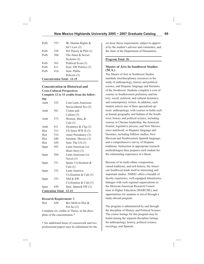| PolS                              | 553 | IR, Human Rights $&$<br>Int'l Law $(3)$ |
|-----------------------------------|-----|-----------------------------------------|
| PolS                              | 558 | Pol Theory & Phil $(3)$                 |
| PolS                              | 560 | The Amer & Soviet                       |
|                                   |     | Systems $(3)$                           |
| PolS                              | 563 | Political Econ (3)                      |
| PolS                              | 611 | Sem: SW Politics (3)                    |
| PolS                              | 614 | Sem: Public                             |
|                                   |     | Policies (3)                            |
| <b>Concentration Total: 12-15</b> |     |                                         |

#### **Concentration in Historical and Cross-Cultural Perspectives Complete 12 to 15 credits from the following:**

| шg.         |                          |                           |
|-------------|--------------------------|---------------------------|
| Anth        | 525                      | Cont Latin American       |
|             |                          | Sociocultural Sys (3)     |
| Anth        | 561                      | Comm and                  |
|             |                          | Culture (3)               |
| Anth        | 573                      | Women, Men, &             |
|             |                          | Cult(3)                   |
| Anth        | 611                      | Dynamics & Chg $(3)$      |
| <b>Hist</b> | 513                      | US Since WW II $(3)$      |
| <b>Hist</b> | 514                      | Amer Presidency (3)       |
| <b>Hist</b> | 640                      | Seminar: Mexico (3)       |
| <b>Hist</b> | 650                      | Sem: The US (3)           |
| Span        | 503                      | Latin American Lit:       |
|             |                          | Short Story (3)           |
| Span        | 504                      | Latin American Lit:       |
|             |                          | Novel $(3)$               |
| Span        | 531                      | Spain: Civilization &     |
|             |                          | Cult(3)                   |
| Span        | 532                      | Latin America:            |
|             |                          | Civilization & Cult $(3)$ |
| Span        | 533                      | <b>NM &amp; SW:</b>       |
|             |                          | Civilization & Cult $(3)$ |
| Span        | 650                      | Sem: Spanish SW (3)       |
|             | <b>Contration Total:</b> | $12 - 15$                 |

#### **Research Requirement: 3**

Hist 620 Res Meth in Hist & Pol Sci (3) Complete six credits in Thesis, in the discipline of the concentration.\*

\* Six additional hours of coursework and two professional papers may be substituted for the six-hour thesis requirement, subject to approval by the student's advisor and committee, and the chair of the Department of Humanities.

#### **Program Total: 36**

#### **Master of Arts In Southwest Studies (M.A.)**

The Master of Arts in Southwest Studies marshals interdisciplinary resources in the study of anthropology, history and political science, and Hispanic language and literature of the Southwest. Students complete a core of courses in Southwestern prehistory and history; social, political, and cultural dynamics, and contemporary writers. In addition, each student selects one of three specialized options: anthropology, with courses in fields such as human geography and Indians of the Southwest; history and political science, including courses in Chicano leadership, the American frontier, legislative process, and New Mexico since statehood; or Hispanic language and literature, including folklore studies, New Mexican and Southwestern Spanish language, and a comprehensive survey of Hispanic traditions. Instruction in appropriate research methodologies then prepares each student for the culminating experience of a thesis.

Because of its multi-ethnic composition, varied traditions, and rich history, the American Southwest lends itself to interesting and important studies. NMHU offers a breadth of faculty experience, well-equipped laboratories, linkages with such regional organizations as the Mexican-American Research Consortium in Higher Education (MARCHE), and opportunities for students to travel through a study-abroad program.

The program is administered by and through the discipline of History and Political Science. The course listings for this program may be found among the separate discipline listings for anthropology, history, political science, sociology, and Spanish.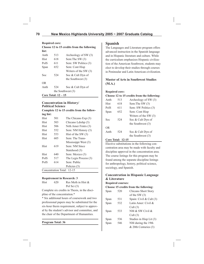#### **Required core:**

#### **Choose 12 to 15 credits from the following list:**

| nst:           |                     |                         |
|----------------|---------------------|-------------------------|
| Anth           | 513                 | Archeology of SW (3)    |
| Hist           | 618                 | Sem: The SW (3)         |
| PolS           | 611                 | Sem: SW Politics (3)    |
| Span           | 652                 | Sem: Cont Hisp          |
|                |                     | Writers of the SW $(3)$ |
| Soc            | 52.4                | Soc & Cult Dyn of       |
|                |                     | the Southwest $(3)$     |
| 0 <sub>R</sub> |                     |                         |
| Anth           | 524                 | Soc & Cult Dyn of       |
|                | the Southwest $(3)$ |                         |
|                |                     |                         |

**Core Total: 12 – 15**

### **Concentration in History/ Political Science**

#### **Complete 12 to 15 credits from the following list:**

| Hist | 501 | The Chicano Exp (3)        |
|------|-----|----------------------------|
| Hist | 503 | Chicano Ldrshp (3)         |
| Hist | 506 | Nrth Amer Frntrs (3)       |
| Hist | 552 | Sem: NM History (3)        |
| Hist | 553 | Hist of the SW $(3)$       |
| Hist | 605 | Sem: The Trans-            |
|      |     | Mississippi West (3)       |
| Hist | 619 | Sem: NM Since              |
|      |     | Statehood (3)              |
| Hist | 640 | Sem: Mexico (3)            |
| PolS | 517 | The Legis Process (3)      |
| PolS | 614 | Sem: Public                |
|      |     | Policies (3)               |
|      |     | Concentration Total: 12-15 |

### **Requirement in Research: 3**

| Hist | 620 | Res Meth in Hist & |
|------|-----|--------------------|
|      |     | Pol Sci $(3)$      |

Complete six credits in Thesis, in the discipline of the concentration.\*

\* Six additional hours of coursework and two professional papers may be substituted for the six-hour thesis requirement, subject to approval by the student's advisor and committee, and the chair of the Department of Humanities.

**Program Total: 36**

### **Spanish**

The Languages and Literature program offers advanced instruction in the Spanish language and in Hispanic literature and culture. While the curriculum emphasizes Hispanic civilization of the American Southwest, students may elect to develop their studies through courses in Peninsular and Latin American civilization.

### **Master of Arts in Southwest Studies (M.A.)**

#### **Required core:**

#### **Choose 12 to 15 credits from the following:**

| Anth | 513  | Archeology of SW (3)  |
|------|------|-----------------------|
| Hist | 618  | Sem: The SW (3)       |
| PolS | 611  | Sem: SW Politics (3)  |
| Span | 652  | Sem: Cont Hisp        |
|      |      | Writers of the SW (3) |
| Soc  | 52.4 | Soc & Cult Dyn of     |
|      |      | the Southwest (3)     |
| OR.  |      |                       |
| Anth | 52.4 | Soc & Cult Dyn of     |
|      |      | the Southwest $(3)$   |

### **Core Total: 12-15**

Elective substitutions in the following concentration area may be made with faculty and discipline approval in the concentration area. The course listings for this program may be found among the separate discipline listings for anthropology, history, political science, sociology, and Spanish.

## **Concentration in Hispanic Language & Literature**

#### **Required courses:**

**Choose 15 credits from the following:** 

| Span | 520 | Chicano Short Story     |
|------|-----|-------------------------|
|      |     | of the SW $(3)$         |
| Span | 531 | Spain: Civil & Cult (3) |
| Span | 532 | Latin Amer: Civil &     |
|      |     | Cult(3)                 |
| Span | 533 | NM & SW Civil &         |
|      |     | Cult(3)                 |
| Span | 536 | Studies in Hisp Lit (3) |
| Span | 546 | NM during the 19th      |
|      |     | & 20th Centuries (3)    |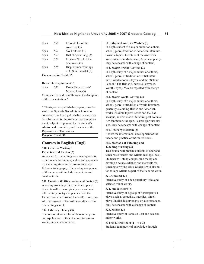| Span | 558 | Colonial Lit of the     |
|------|-----|-------------------------|
|      |     | Americas (3)            |
| Span | 562 | SW Folklore (3)         |
| Span | 567 | Hist of Span Lang (3)   |
| Span | 570 | Chicano Novel of the    |
|      |     | Southwest (3)           |
| Span | 575 | Hisp Women Writings     |
|      |     | of U.S. in Translat (3) |
|      |     |                         |

**Concentration Total: 15** 

#### **Research Requirement: 3**

Span 600 Rsrch Meth in Span/ Modern Lang(3) Complete six credits in Thesis in the discipline of the concentration.\*

\* Thesis, or two publishable papers, must be written in Spanish. Six additional hours of coursework and two publishable papers, may be substituted for the six-hour thesis requirement, subject to approval by the student's advisor and committee, and the chair of the Department of Humanities.

**Program Total: 36**

# **Courses in English (Engl)**

#### **500. Creative Writing: Experimental Fiction (3)**

Advanced fiction writing with an emphasis on experimental techniques, styles, and approaches, including stream-of-consciousness and fictive-autobiography. The reading component of this course will include theoreticak and creative texts.

**501. Creative Writing: Advanced Poetry (3)**

A writing workshop for experienced poets. Students will write original poems and read 20th century poetry and poetics from the United States and around the world. Prerequisite: Permission of the instructor after review of a writing sample.

#### **502. Literary Theory (3)**

Theories of literature from Plato to the present. Application of these theories to various works, ancient and modern.

#### **511. Major American Writers (3)**

In-depth student of a major author or authors, school, genre, tradition in American literature. Possible topics: literature of the American West; American Modernism; American poetry. May be repeated with change of content.

#### **512. Major British Writers (3)**

In-depth study of a major author or authors, school, genre, or tradition of British literature. Possible topics: Byron and the "Satanic School," The British Moderns (Lawrence, Woolf, Joyce). May be repeated with change of content.

#### **513. Major World Writers (3)**

In-depth study of a major author or authors, school, genre, or tradition of world literature, generally excluding British and American works. Possible topics: Kafka and the Kafkaesque, ancient erotic literature, post-colonial African fiction, the epic, Eastern spiritual classics. May be repeated with change of content.

#### **514. Literary Realism (3)**

Covers the international development of the theory and practice of the realist novel.

#### **515. Methods of Tutoring and Teaching Writing (3)**

This course will prepare students to tutor and teach basic readers and writers (college-level). Students will study composition theory and develop a course syllabus and materials for teaching a writing class. Students will also tutor college writers as part of their course work.

#### **521. Chaucer (3)**

Intensive study of The Canterbury Tales and selected minor works.

#### **522. Shakespeare (3)**

Intensive study of a group of Shakespeare's plays, such as comedies, tragedies, Greek plays, English history plays, or late romances. May be repeated with a change of content.

#### **523. Milton (3)**

Intensive study of Paradise Lost and selected minor works.

#### **534-634. Practicum (1 – 4 VC)**

Students gain practical knowledge through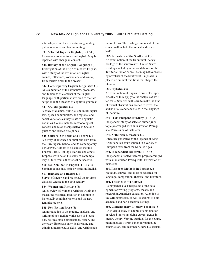internships in such areas as tutoring, editing, public relations, and feature writing.

**535. Selected Topic in English (1 – 4 VC)** Course in a topic or topics in English. May be repeated with change in content.

**541. History of the English Language (3)** Investigation of the origin of modern English, with a study of the evolution of English sounds, inflections, vocabulary, and syntax, from earliest times to the present.

#### **542. Contemporary English Linguistics (3)**

An examination of the structures, processes, and functions of elements of the English language, with particular attention to their description in the theories of cognitive grammar.

#### **543. Sociolinguistics (3)**

A study of dialects, bilingualism, multilingualism, speech communities, and regional and social variations as they relate to linguistic variables. Course includes methodological concern and relationships between Sociolinguistics and related disciplines.

### **545. Cultural Criticism and Theory (3)**

A survey of advanced cultural criticism from the Birmingham School and its contemporary derivatives. Authors to be studied include Foucault, Hall, Hebidge, Barthes and others. Emphasis will be on the study of contemporary culture from a theoretical perspective.

**550-650. Seminar in English (1 – 4 VC)** Seminar course in a topic or topics in English.

### **563. Rhetoric and Reality (3)**

Survey of rhetoric and rhetorical theory from classical Greece to the 20th century.

### **564. Women and Rhetoric (3)**

An overview of women's writings within the masculine rhetorical tradition in addition to historically feminine rhetoric and the new feminist rhetoric.

### **565. Non-Fiction Prose (3)**

An introduction to the reading, analysis, and writing of non-fiction works such as biography, political prose, propaganda, history and the essay. Emphasis on critical reading and thinking, interpretative skills, and writing nonfiction forms. The reading component of this course will include theoretical and creative texts.

### **582. Literature of the Southwest (3)**

An examination of the tri-cultural literary heritage of the southwestern United States. Readings include journals and diaries of the Territorial Period as well as imaginative works by novelists of the Southwest. Emphasis is placed on cultural traditions that shaped the literature.

### **585. Stylistics (3)**

An examination of linguistic principles, specifi cally as they apply to the analysis of written texts. Students will learn to make the kind of textual observations needed to reveal the stylistic traits and tendencies in the language of literature.

**590 – 690. Independent Study (1 – 4 VC)** Independent study of selected author(s) or topic(s) arranged with an instructor. Prerequisite: Permission of instructor.

### **591. Arthurian Literature (3)**

Literature generated by the legends of King Arthur and his court, studied in a variety of European texts from the Middles Ages.

### **592. Independent Research (1 – 4 VC)**

Independent directed research project arranged with an instructor. Prerequisite: Permission of instructor.

### **601. Research Methods in English (3)**

Methods, sources, and tools of research for language, composition, rhetoric, and literature.

### **602. Theories in Writing (3)**

A comprehensive background of the development of writing programs, theory, and research in American education. Attention to the writing process, as well as genres of both academic and non-academic settings.

**603. Contemporary Literary Theories (3)** An in-depth study of a topic or combination of related topics involving current trends in literary theory. Varying subtitles for the course might include literary canon formation, deconstruction, feminist theory, new historicism,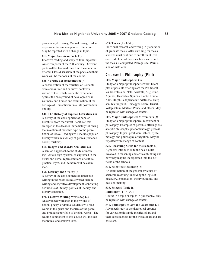psychoanalytic theory, Marxist theory, readerresponse criticism, comparative literature. May be repeated with a change in topic.

#### **610. Major American Poets (3)**

Intensive reading and study of four important American poets of the 20th century. Different poets will be featured each time the course is offered. Class discussion of the poets and their work will be the focus of the course.

#### **636. Varieties of Romanticism (3)**

A consideration of the varieties of Romanticism across time and cultures: contextualization of the British Romantic experience against the background of developments in Germany and France and examination of the heritage of Romanticism in all its postmodern vitality.

#### **641. The History of Popular Literature (3)**

A survey of the development of popular literature, from the "street literature" that emerged in the decades immediately following the invention of movable type, to the genre fiction of today. Readings will include popular literary works in a variety of genres (romance, horror, thrillers).

#### **651. Images and Words: Semiotics (3)**

A semiotic approach to the study of meaning. Various sign systems, as expressed in the visual and verbal representations of cultural practice, myth, and literature will be examined.

#### **661. Literacy and Orality (3)**

A survey of the development of alphabetic writing in the West. Issues covered include writing and cognitive development, conflicting definitions of literacy, politics of literacy, and literary education.

#### **671. Creative Writing Workshop (3)**

An advanced workshop in the writing of fiction, poetry, or drama. Students will read works in the genre and theories of the genre and produce a portfolio of original works. The reading component of this course will include theoretical and creative texts.

#### **699. Thesis (1 – 6 VC)**

Individual research and writing in preparation of graduate thesis. After enrolling for thesis, students must continue to enroll for at least one credit hour of thesis each semester until the thesis is completed. Prerequisite: Permission of instructor.

# **Courses in Philosophy (Phil)**

#### **500. Major Philosophers (3)**

Study of a major philosopher's work. Examples of possible offerings are the Pre-Socratics, Socrates and Plato, Aristotle, Augustine, Aquinas, Descartes, Spinoza, Locke, Hume, Kant, Hegel, Schopenhauer, Nietzsche, Bergson, Kierkegaard, Heidegger, Sartre, Huserl, Wittgenstein, Merleau-Ponty, and others. May be repeated with change of content.

#### **505. Major Philosophical Movements (3)**

Study of a major philosophical movement or philosophy. Examples of possible offerings are analytic philosophy, phenomenology, process philosophy, logical positivism, ethics, epistemology, and philosophy of negation. May be repeated with change of content.

### **525. Reasoning Skills for the Schools (3)** A general introduction to the basic skills involved in reasoning and critical thinking and how they may be incorporated into the curricula of the schools.

#### **530. Scientific Reasoning (3)**

An examination of the general structure of scientific reasoning, including the logic of discovery, explanation, theory building, and decision-making.

### **535. Selected Topic in**  Philosophy  $(1 - 4 \text{ VC})$

Course in a topic or topics in philosophy. May be repeated with change of content.

# **540. Philosophy of Art and Aesthetics (3)** Advanced study of the theoretical grounds

for various philosophic theories of art and their consequences for the world of art and art criticism.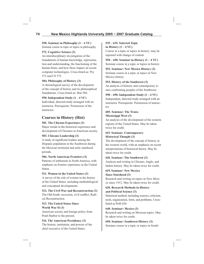**550. Seminar in Philosophy (1 – 4 VC)**

Seminar course in topic or topics in philosophy.

# **572. Cognitive Science (3)**

An interdisciplinary investigation of the foundations of human knowledge, representation and understanding, the functioning of the human brain, and how these impact on recent computer technologies. Cross-listed as: Psy 572 and CS 572.

# **584. Philosophy of History (3)**

A chronological survey of the development of the concept of history and its philosophical foundations. Cross-listed as: Hist 584.

# **590. Independent Study (1 – 4 VC)**

Individual, directed study arranged with an instructor. Prerequisite: Permission of the instructor.

# **Courses in History (Hist)**

**501. The Chicano Experience (3)** Major trends in the historical experience and

development of Chicanos in American society.

# **503. Chicano Leadership (3)**

A study of significant leaders among the Hispanic population in the Southwest during the Mexican territorial and early statehood periods.

# **506. North American Frontiers (3)**

Patterns of settlement in North America, with emphasis on frontier experience in the United States.

# **511. Women in the United States (3)**

A survey of the role of women in the history of the United States, including methodological and conceptual developments.

# **512. The Civil War and Reconstruction (3)**

The Old South, secession, civil conflict, Radical Reconstruction.

# **513. The United States Since World War II (3)**

American society and foreign policy from Pearl Harbor to the present.

**514. The American Presidency (3)** The history, institution, and powers of the chief executive of the United States.

# **535 – 635. Selected Topic in History (1 – 4 VC)**

Course in a topic or topics in history: may be repeated with change of content.

**550 – 650. Seminar in History (1 – 4 VC)** Seminar course in a topic or topics in history.

**552. Seminar: New Mexico History (3)** Seminar course in a topic or topics in New Mexico history.

# **553. History of the Southwest (3)**

An analysis of historic and contemporary issues confronting peoples of the Southwest.

# **590 – 690. Independent Study (1 – 4 VC)**

Independent, directed study arranged with an instructor. Prerequisite: Permission of instructor.

# **605. Seminar: The Trans-Mississippi West (3)**

An analysis of the development of the western regions of the United States. May be taken twice for credit.

# **615. Seminar: Contemporary Historical Thought (3)**

The development of the concept of history in the western world, with an emphasis on recent interpretations of historical theory. May be taken twice for credit.

# **618. Seminar: The Southwest (3)**

Analysis and writing in Chicano, Anglo, and Indian history. May be taken twice for credit.

# **619. Seminar: New Mexico Since Statehood (3)**

Research and writing on topics in New Mexico since 1912. May be taken twice for credit.

# **620. Research Methods in History and Political Science (3)**

Historical method, including sources, criticism, tools, organization, form, and problems. Crosslisted as PolS 620.

**640. Seminar: Mexico (3)** Research and writing on Mexican topics. May be taken twice for credit.

# **650. Seminar: Southwest History (3)** Seminar course in a topic or topics in South-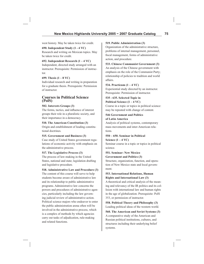west history. May be taken twice for credit.

**690. Independent Study (1 - 4 VC)** Research and writing on Mexican topics. May be taken twice for credit.

# **692. Independent Research (1 – 4 VC)**

Independent, directed study arranged with an instructor. Prerequisite: Permission of instructor.

# **699. Thesis (1 – 8 VC)**

Individual research and writing in preparation for a graduate thesis. Prerequisite: Permission of instructor.

# **Courses in Political Science (PolS)**

# **502. Interests Groups (3)**

The forms, tactics, and influence of interest groups their role in a pluralistic society, and their importance in a democracy.

# **510. The American Constitution (3)**

Origin and establishment of leading constitutional doctrines.

# **515. Government and Business (3)**

Case study of United States government regulations of economic activity with emphasis on the administrative process.

### **517. The Legislative Process (3)**

The process of law-making in the United States, national and state; legislation drafting and legislative procedure.

### **518. Administrative Law and Procedure (3)**

The content of this course will serve to help students become aware of administrative law and its relationship to public administrative programs. Administrative law concerns the powers and procedures of administrative agencies, particularly including the law governing judicial review of administrative action. Political science majors who endeavor to enter the public administration arena often will be involved in the administrative process, which is a complex of methods by which agencies carry out tasks of adjudication, rule-making and related functions.

### **519. Public Administration (3)**

Organization of the administrative structure, problems of internal management, personnel, fiscal management, forms of administrative action, and procedure.

## **533. Chinese Communist Government (3)**

An analysis of the Chinese government with emphasis on the role of the Communist Party; relationship of policies to tradition and world affairs.

# **534. Practicum (1 – 4 VC)**

Experiential study directed by an instructor. Prerequisite: Permission of instructor.

#### **535 - 635. Selected Topic in Political Science (1 – 4 VC)**

Course in a topic or topics in political science: may be repeated with change of content.

# **546 Government and Politics of Latin America**

Analysis of political systems, contemporary mass movements and inter-American relations.

# **550 – 650. Seminar in Political**

**Science (1 – 4 VC)**  Seminar course in a topic or topics in political science.

# **551. Seminar: New Mexico Government and Politics (3)**

Structure, organization, function, and operation of New Mexico state and local government.

# **553. International Relations, Human Rights and International Law (3)**

A theoretical and critical analysis of the meaning and relevancy of the IR politics and its collision with international law and human rights in the age of globalization. Prerequisite: PolS 353, or permission of instructor.

**558. Political Theory and Philosophy (3)** Leading political ideas of the western world.

**560. The American and Soviet Systems (3)** A comparative study of the American and Russian political institutions, cultures, and structures including their underlying belief systems.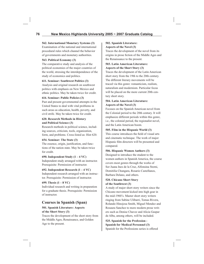# **562. International Monetary Systems (3)**

Examination of the national and international procedural rules which channel the behavior of governments and monetary authorities.

# **563. Political Economy (3)**

The comparative study and analysis of the political economies of the major countries of the world, stressing the interdependence of the study of economics and politics.

# **611. Seminar: Southwest Politics (3)**

Analysis and original research on southwest politics with emphasis on New Mexico and ethnic politics. May be taken twice for credit.

# **614. Seminar: Public Policies (3)**

Past and present governmental attempts in the United States to deal with vital problems in such areas as education, health, poverty, and civil strife. May be taken twice for credit.

# **620. Research Methods in History and Political Science (3)**

Research methods in political science, including sources, criticism, tools, organization, form, and problems. Cross-listed as: Hist 620.

# **654. Seminar: The State (3)**

The essence, origin, justification, and functions of the nation state. May be taken twice for credit.

# **690. Independent Study (1 – 4 VC)**

Independent study arranged with an instructor. Prerequisite: Permission of instructor.

# **692. Independent Research (1 – 4 VC)**

Independent research arranged with an instructor. Prerequisite: Permission of instructor.

# **699. Thesis (1 – 8 VC)**

Individual research and writing in preparation for a graduate thesis. Prerequisite: Permission of instructor.

# **Courses in Spanish (Span)**

# **501. Spanish Literature: Aspects of the Short Story (3)**

Traces the development of the short story from the Middle Ages, Renaissance, and Golden Age to the present.

# **502. Spanish Literature: Aspects of the Novel (3)**

Traces the development of the novel from its origins in prose fiction of the Middle Ages and the Renaissance to the present.

# **503. Latin American Literature: Aspects of the Short Story (3)**

Traces the development of the Latin American short story from the 19th to the 20th century. The different literary movements will be traced via this genre: romanticism, realism, naturalism and modernism. Particular focus will be placed on the more current 20th century short story.

# **504. Latin American Literature: Aspects of the Novel (3)**

Focuses on the Spanish American novel from the Colonial period to the 20th century. It will emphasize different periods within this genre, i.e., the colonial period, the regionalist novel, and the Latin American boom.

# **505. Film in the Hispanic World (3)**

This course introduces the field of visual arts and cinematic technique. The work of major Hispanic film directors will be presented and compared.

# **506. Hispanic Women Authors (3)**

Designed to introduce the student to the women authors in Spanish America, the course covers most genres through the works of Sor Juana Ines de la Cruz, Alfonsina Storni, Domitilia Chungara, Rosario Castellanos, Barbara Delano, and others.

# **520. Chicano Short Story of the Southwest (3)**

A study of major short story writers since the Chicano movement kicked into high gear in the mid-1960's. Master short story writers ringing from Sabine Ulibarri, Tomas Rivera, Rolando Hinojosa Smith, Miguel Mendez and Rosaura Sanchez to more modern prose writers such as Denise Chavez and Alicia Gaspar de Alba, among others, will be included.

**525. Spanish for the Profession - Spanish for Medical Personnel (3)** Spanish for the Professions series is offered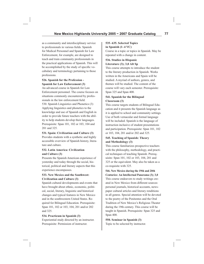as a community and interdisciplinary service to professionals in various fields. Spanish for Medical Personnel and Spanish for Law Enforcement, for example, are designed to teach and train community professionals in the practical applications of Spanish. This will be accomplished by the study of specific vocabulary and terminology pertaining to those professions.

# **526. Spanish for the Profession - Spanish for Law Enforcement (3)**

An advanced course in Spanish for Law Enforcement personnel. The course focuses on situations commonly encountered by professionals in the law enforcement field. 530. Spanish Linguistics and Phonetics (3) Applying linguistics and phonetics to the knowledge and use of Spanish and English in order to provide future teachers with the ability to help students develop their languages. Prerequisite: Span 101, 102 or 103, 104 and 201 and 325.

# **531. Spain: Civilization and Culture (3)**

Provides students with a synthetic and highly accessible overview of Spanish history, literature and culture.

# **532. Latin America: Civilization and Culture (3)**

Presents the Spanish American experience of yesterday and today through the social, historical, political and literary aspects that this experience encompasses.

# **533. New Mexico and the Southwest: Civilization and Culture (3)**

Spanish cultural developments and events that have brought about ethnic, economic, political, social, literary, linguistic and historical changes and typical features in New Mexico and in the southwestern United States. Required for Bilingual Education. Prerequisite: Span 101, 102 or 103, 104, 201 and/or 202 and 325.

# **534. Practicum in Spanish (3)**

Experiential study directed by an instructor. Prerequisite: Permission of instructor.

# **535–635. Selected Topics in Spanish (1–4 VC)**

Course in a topic or topics in Spanish. May be repeated with a change in content.

# **536. Studies in Hispanic Literature (3); 3,0 Alt Sp**

This course attempts to introduce the student to the literary production in Spanish. Works written in the Americans and Spain will be studied. A myriad of authors, genres, and themes will be studied. The content of the course will vary each semester. Prerequisite: Span 325 and Span 400.

# **541. Spanish for the Bilingual Classroom (3)**

This course targets students of Bilingual Education and it presents the Spanish language as it is applied to school and community settings. Use of both vernacular and formal language will be included. Spanish is the language of instruction inclusive of student presentations and participation. Prerequisite: Span 101, 102 or 103, 104, 201 and/or 202 and 325.

# **545. Teaching of Spanish: Theory and Methodology (3)**

This course familiarizes prospective teachers with the philosophy, methodology, and practical techniques of teaching Spanish. Prerequisite: Span 101, 102 or 103, 104, 201 and 325 or the equivalent. May also be taken as a co-requisite with 325.

### **546. New Mexico during the 19th and 20th Centuries: An Intellectual Panorama (3); 3,0**

This course endeavors to study writings created in New Mexico from different sources: personal journals, historical accounts, newspaper cultural articles and literary renditions in all genres. Special attention will be devoted to the poetry of the Penitentes and the Oral Tradition of New Mexico's Religious Theater during the 19th century. This course will be taught in Spanish. Prerequisite: Span 325 and Span 400.

**550. Seminar in Spanish (3)** Topic to be selected by instructor.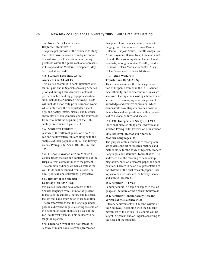# **552. Nobel Prize Laureates in Hispanic Literature (3)**

The principal purpose of the course is to study the Nobel Prize Laureates from Spain and/or Spanish America to ascertain their literary greatness within the genre each one represents in Europe and the Western Hemisphere. May be repeated for credit.

# **558. Colonial Literature of the Americas (3); 3,1 Alt Fa**

This course examines in depth literature written in Spain and in Spanish speaking America prior and during Latin America's colonial period which would, by geographical extension, include the American Southwest. Texts will include historically prior European works which influenced the conquistador's ideology, and poetry, letters, diaries, and historical chronicles of Latin America and the southwest from 1492 until the beginning of the 19th century.Prerequisite: Span 4/533.

# **562. Southwest Folklore (3)**

A study of the different genres of New Mexican and southwestern folklore along with the analysis of their popular, cultural, and literary values. Prerequisite: Span 201, 202, 260 and 325.

# **564. Hispanic Women of New Mexico (3)**

Course traces the role and contributions of the Hispana from colonial times to the present. The common-ordinary woman as well as the well-to-do will be studied from a social, cultural, political, and educational perspective.

### **567. History of the Spanish Language (3); 3,0 Alt Sp**

this course traces the development of the Spanish language from Latin to the present. It analyzes the cultural, literary and historical factors that have contributed to its evolution. The transformations that the language undergoes in a different linguistic setting are studied in a section on sociolinguistics issues of the U.S. southwest Spanish. This course will be taught in Spanish.

**570. Chicano Novel of the Southwest (3)** A study of major novelists who spearheaded this genre. This includes premier novelists ranging from the pioneers Tomas Rivera, Rolando Hinojosa Smith, Rudolfo Anaya, Ron Arias, Raymond Barrio, Nash Candelaria and Orlando Romero to highly acclaimed female novelists, among them Ana Castillo, Sandra Cisneros, Helena Maria Viramontes, Mary Helen Ponce, and Demetria Martinez.

## **575. Latina Writers in Translation (3); 3,0 Alt Sp**

This course examines the literary production of Hispanic women in the U.S. Gender, race, ethnicity, and socioeconomic issues are analyzed. Through their writings these women are active in developing new categories of knowledge and creative expression, which demonstrate how Hispanic women position themselves and are positioned within the context of history, culture, and society.

### **590–690. Independent Study (1–4 VC)** Individual directed study arranged with an in-

structor. Prerequisite: Permission of instructor.

# **600. Research Methods in Spanish/ Modern Languages (3)**

The purpose of this course is to teach graduate students the art of research methods and methodology for the study of Spanish/Modern Languages and Literature. Topics that will be addressed are: the meaning of scholarship, plagiarism, parts of a research paper and composition. There will be an oral presentation of the abstract of the final research paper. Other topics to be discussed are the literary theory and archival research.

# **650. Seminar (1–4 VC)**

Seminar course in a topic or topics in the language or literature of the Spanish Southwest.

# **652. Seminar: Contemporary Chicano Writers of the Southwest (3)**

Literary achievements of Chicano writers of the Southwest, beginning with the Chicano movement of the 1960s. This course will be taught in Spanish and/or English according to the needs of the students.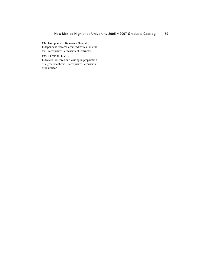#### **692. Independent Research (1–4 VC)**

Independent research arranged with an instructor. Prerequisite: Permission of instructor.

# **699. Thesis (1–6 VC)**

Individual research and writing in preparation of a graduate thesis. Prerequisite: Permission of instructor.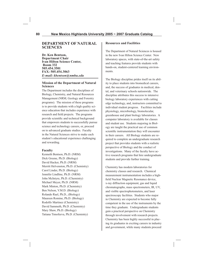# **DEPARTMENT OF NATURAL SCIENCES**

**Dr. Ken Bentson, Department Chair Ivan Hilton Science Center, Room 332 505.454.3501 FAX: 505.454.3063** *E-mail: kbentson@nmhu.edu*

#### **Mission of the Department of Natural Sciences**

The Department includes the disciplines of Biology, Chemistry, and Natural Resources Management (NRM; Geology and Forestry programs). The mission of these programs is to provide students with a high quality science education that includes experience with research and field projects. The programs provide scientific and technical background that empowers students to successfully pursue science and technology careers, or, proceed on to advanced graduate studies. Faculty in the Natural Sciences strive to make each student's educational experience challenging and rewarding.

#### **Faculty**

Kenneth Bentson, Ph.D. (NRM) Dick Greene, Ph.D. (Biology) David Hacker, Ph.D. (NRM) Merritt Helvenston, Ph.D. (Chemistry) Carol Linder, Ph.D. (Biology) Jennifer Lindline, Ph.D. (NRM) John McIntyre, Ph.D. (Chemistry) Michael Meyer, Ph.D. (NRM) Mark Minton, Ph.D. (Chemistry) Ben Nelson, V.M.D. (Biology) Rolando Rael, Ph.D., (Biology) Maureen Romine, Ph.D. (Biology) Rodolfo Martinez (Chemistry) David Sammeth, Ph.D. (Chemistry) Mary Shaw, Ph.D. (Biology) Tatiana Timofeeva, Ph.D. (Chemistry)

# **Resources and Facilities**

The Department of Natural Sciences is housed in the new Ivan Hilton Science Center. New laboratory spaces, with state-of-the-art safety and teaching features provide students with hands-on, student-centered learning environments.

The Biology discipline prides itself on its ability to place students into biomedical careers, and, the success of graduates in medical, dental, and veterinary schools nationwide. The discipline attributes this success to intensive biology laboratory experiences with cutting edge technology, and, instructors committed to individual student progress. Facilities include physiology, microbiology, biomolecular, greenhouse and plant biology laboratories. A computer laboratory is available for classes and student use. Students majoring in Biology are taught the practical use of common scientific instrumentation they will encounter in their careers. All Biology students are required to complete an undergraduate research project that provides students with a realistic perspective of Biology and the conduct of investigations. Many of the faculty have active research programs that hire undergraduate students and provide further training.

Chemistry has modern laboratories for chemistry classes and research. Chemical measurement instrumentation includes a highfield Nuclear Magnetic Resonance device, x-ray diffraction equipment, gas and liquid chromatographs, mass spectrometers, IR, UV, and visible spectrophotometers, and laser spectroscopy facilities. Students who major in Chemistry are expected to become fully competent in the use of the instruments by the time they graduate. Undergraduate students gain a practical perspective on Chemistry through involvement with research projects. Chemistry has been highly successful in placing its graduates in exciting careers in industry and government, while many students proceed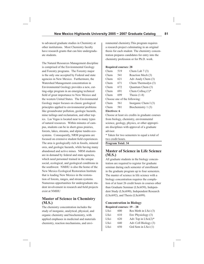to advanced graduate studies in Chemistry at other institutions. Most Chemistry faculty have research grants that can hire undergraduate students.

The Natural Resources Management discipline is comprised of the Environmental Geology and Forestry programs. The Forestry major is the only one accepted by Federal and state agencies in New Mexico. Furthermore, the Watershed Management concentration in Environmental Geology provides a new, cutting-edge program in an emerging technical field of great importance to New Mexico and the western United States. The Environmental Geology major focuses on classic geological principles applied to environmental problems like groundwater pollution, geologic hazards, mine tailings and reclamation, and other topics. Las Vegas is located near to many types of natural resources. Within minutes of campus, students can be in short-grass prairies, forests, lakes, streams, and alpine tundra ecosystems. Consequently, NRM programs are focused on extensive student field experiences. The area is geologically rich in fossils, mineral ores, and geologic hazards, while having many abandoned and active mines. NRM students are in demand by federal and state agencies, which need personnel trained in the unique social, ecological, and geological conditions in the southwest. NMHU is also the home of the New Mexico Ecological Restoration Institute that is leading New Mexico in the restoration of forests, ranges, and stream systems. Numerous opportunities for undergraduate student involvement in research and field projects exist at NMHU

# **Master of Science in Chemistry (M.S.)**

The chemistry concentration includes the study of inorganic, analytical, physical, and organic chemistry and biochemistry, with applied emphases in medicinal and materials chemistry, reaction mechanisms, and environmental chemistry.This program requires a research project culminating in an original thesis for each student. The chemistry concentration prepares candidates for entry into the chemistry profession or for Ph.D. work.

#### **Required courses: 28**

| Chem | 519 | Chem Lab $7(3)$              |
|------|-----|------------------------------|
| Chem | 541 | Reaction Mech (3)            |
| Chem | 621 | Adv Analy Chem (3)           |
| Chem | 671 | Chem Thermodyn (3)           |
| Chem | 672 | Quantum Chem (3)             |
| Chem | 691 | Chem Collog $(1)^*$          |
| Chem | 699 | Thesis $(1-8)$               |
|      |     | Choose one of the following: |
| Chem | 561 | Inorganic Chem I (3)         |
| Chem | 581 | Biochemistry 1(3)            |
|      |     |                              |

#### **Electives: 6**

Choose at least six credits in graduate courses from biology, chemistry, environmental science, geology, physics, or other appropriate disciplines with approval of a graduate advisor.

\* Taken for two semesters to equal a total of two credit hours.

### **Program Total: 34**

# **Master of Science in Life Science (M.S.)**

All graduate students in the biology concentration are required to register for graduate seminar during each semester of enrollment in the graduate program up to four semesters. The master of science in life science with a biology concentration requires the completion of at least 26 credit hours in courses other than Graduate Seminar (LSci650), Independent Study (LSci690), Independent Research (LSci692), and Thesis (LSci699).

### **Concentration in Biology Required courses: 19 – 28**

| LSci  | 600 | Res Meth in LSci (3) |
|-------|-----|----------------------|
| LSci  | 610 | Env Physiology (3)   |
| LSci  | 620 | Adv Top in LSci(2)*  |
| LSci  | 640 | Adv Cell Biology (3) |
| LSci. | 650 | Grd Sem in LSci (1)  |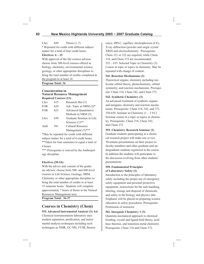LSci 699 Thesis (1-7) \* Repeated for credit with different subject matter for a total of four credit hours.

# **Electives: 6 – 15**

With approval of the life science advisor, choose from 500-level courses offered in biology, chemistry, environmental science, geology, or other appropriate disciplines to bring the total number of credits completed in the program to at least 34.

**Program Total: 34**

#### **Concentration in Natural Resource Management Required Courses (13):**

| LSci        | 615 | Research Met (3)             |
|-------------|-----|------------------------------|
| <b>FOR</b>  | 620 | Adv. Topic in NRM (2)*       |
| <b>FOR</b>  | 625 | <b>Advanced Quantitative</b> |
|             |     | Methods in NRM (3)           |
| <b>LSci</b> | 650 | Graduate Seminar in Life     |
|             |     | Sciences $(1)$ **            |
| Anth        | 581 | <b>Cultural Resource</b>     |
|             |     | Management (3)***            |
|             |     |                              |

\*May be repeated for credit with different subject matter for a total of 4 credit hours. \*\*Taken for four semesters to equal a total of

4 hours.

\*\*\* Prerequisite is waived by the Anthropology discipline.

# **Electives (20-24):**

With the advice and consent of the graduate advisor, choose from 500- and 600-level courses in Life Science, Geology, NRM, Chemistry or other appropriate discipline to bring the total number of credits to at least 33 semester hours. Students will complete approximately 7 hours of thesis in the Natural Resources Management area.

**Program Total: 36-37**

# **Courses in Chemistry (Chem)**

**519. Advanced Instrumental Analysis (3); 0,6**

Chemical instrumentation laboratory uses modern separation, purification, and instrumental analysis techniques including such techniques as NMR, GC-MS, FT-IR, fluorescence, HPLC, capillary electrophoresis (CE), X-ray diffraction (powder and single crystal XRD) and electrochemistry. Prerequisite: Chem 321 or 322 are required, while Chem 318, and Chem 372 are recommended. 535 – 635. Selected Topic in Chemistry (3) Course in topic or topics in chemistry. May be repeated with change of content.

# **541. Reaction Mechanisms (3)**

Theoretical organic chemistry including molecular orbital theory, photochemistry, orbital symmetry, and reaction mechanisms. Prerequisite: Chem 318, Chem 342, and Chem 372.

# **542. Synthetic Chemistry (3)**

An advanced treatment of synthetic organic and inorganic chemistry and reaction mechanisms. Prerequisite: Chem 318, 342, and 372. 550-650. Seminar in Chemistry  $(1 – 3 \text{ VC})$ Seminar course in a topic or topics in chemistry. Prerequisite: Chem 318, Chem 342, and Chem 372.

# **555. Chemistry Research Seminar (1)**

Graduate students participating in a chemical research project will make one or two 30-minute presentations on their project to faculty members and other graduate and undergraduate students registered in the course. In addition the students will participate in the discussion evolving from other students' presentations.

# **559. Fundamental Principles of Laboratory Safety (1)**

Introduction to the principles of laboratory safety including the proper use of emergency safety equipment and personal protective equipment, instructions for the safe handling, labeling, storage and disposal of chemicals, and safety in the biology and physics labs. Emphasis will be placed on preparing science educators in safety procedures. Prerequisite: Permission of instructor.

# **561. Inorganic Chemistry 1 (3)**

Quantum mechanical approach to chemical bonding, crystal and ligand field theory, acid/ base theories, and transition metal chemistry. Prerequisite: Chem 318 and Chem 372.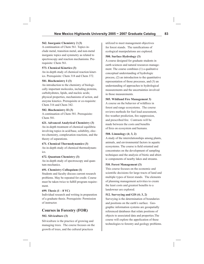# **562. Inorganic Chemistry 2 (3)**

A continuation of Chem 561. Topics include metal, transition metal, and non-metal inorganic topics and symmetry as related to spectroscopy and reaction mechanisms. Prerequisite: Chem 561.

# **573. Chemical Kinetics (3)**

An in-depth study of chemical reaction kinetics. Prerequisite: Chem 318 and Chem 372.

### **581. Biochemistry I (3)**

An introduction to the chemistry of biologically important molecules, including proteins, carbohydrates, lipids, and nucleic acids; physical properties, mechanisms of action, and enzyme kinetics. Prerequisite or co-requisite: Chem 316 and Chem 342.

# **582. Biochemistry II (3)**

A continuation of Chem 581. Prerequisite: Chem 581.

# **621. Advanced Analytical Chemistry (3)**

An in-depth treatment of chemical equilibria involving topics in acid/base, solubility, electro-chemistry, complexation reactions, and the theory of separations.

### **671. Chemical Thermodynamics (3)**

An in-depth study of chemical thermodynamics.

# **672. Quantum Chemistry (3)**

An in-depth study of spectroscopy and quantum mechanics.

# **691. Chemistry Colloquium (1)**

Students and faculty discuss current research problems. May be repeated for credit. Course must be taken twice to fulfill program requirement.

# **699. Thesis (1 – 8 VC)**

Individual research and writing in preparation of a graduate thesis. Prerequisite: Permission of instructor.

# **Courses in Forestry (FOR)**

# **502. Silviculture (3)**

Silviculture is the practice of growing and managing trees. The course focuses on the growth of trees, and the cultural practices

utilized to meet management objectives for forest stands. The ramifications of ecological manipulations are explored.

## **500. Surface Hydrology (3)**

A course designed for graduate students in earth sciences and natural resources management. The course combines (1) a qualitative conceptual understanding of hydrologic process, (2) an introduction to the quantitative representation of those processes, and (3) an understanding of approaches to hydrological measurements and the uncertainties involved in those measurements.

# **505. Wildland Fire Management 3)**

A course on the behavior of wildfires in forest and range ecosystems. The course reviews methods for fuel load assessment, fire weather prediction, fire suppression, and prescribed fire. Contrasts will be made between the costs and benefits of fires on ecosystem and humans.

### **508. Limnology (4; 3, 2)**

A study of the interrelationships among plants, animals, and environmental factors in aquatic ecosystems. The course is field oriented and concentrates on the development of sampling techniques and the analysis of biotic and abiotic components of nearby lakes and streams.

### **510. Forest Management (3)**

This course focuses on the economic and scientific decisions for large tracts of land and multiple types of forest stands. The elements of planning management activities to create the least costs and greatest benefits to a landowner are explored.

### **512. Surveying and GIS (4; 3, 2)**

Surveying is the determination of boundaries and positions on the earth's surface. Geographic information systems are geospatially referenced databases that relate positions of objects to associated data and properties.The course will explore the appolication of these technologies to forestry and geology problems.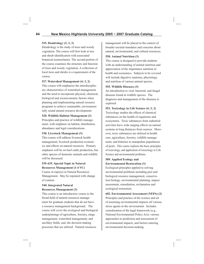# **515. Dendrology (3; 2, 2)**

Dendrology is the study of trees and woody vegetation. The course will first look at tree and shrub identification with associated botanical nomenclature. The second portion of the course examines the structure and function of trees and woody vegetation. A collection of local trees and shrubs is a requirement of the course.

# **517. Watershed Management (4; 3, 2)**

This course will emphasize the interdisciplinary characteristics of watershed management and the need to incorporate physical, chemical, biological and socioeconomic factors when planning and implementing natural resource programs to achieve sustainable, environmentally sound natural resource development.

# **520. Wildlife Habitat Management (3)**

Principles and practice of wildlife management; with emphasis on habitat, distribution, abundance and legal considerations.

### **530. Livestock Management (3)**

This course will address livestock health management, livestock production economics and effects on natural resources. Primary emphasis will be on beef cattle production, but other species of domestic animals and wildlife will be discussed.

# **535-635. Special Topic in Natural Resources Management (1-4 VC)**

Course in topic(s) in Natural Resources Management. May be repeated with change of content.

# **540. Integrated Natural Resources Management (3)**

This course is an introductory course to the broad field of natural resources management for graduate students that do not have a resource management background. The course will cover the ecological and biological underpinnings of agriculture, forestry, range management, watershed management, and ancillary fields, and, the decision making processes that are utilized. Natural resources

management will be placed in the context of broader societal mandates and concerns about natural, environmental, and cultural resources.

## **550. Animal Nutrition (3)**

This course is designed to provide students with an understanding of animal nutrition and appreciation of the importance nutrition in health and economics. Subjects to be covered will include digestive anatomy, physiology, and nutrition of various animal species.

# **555. Wildlife Diseases (3)**

An introduction to viral, bacterial, and fungal diseases found in wildlife species. The diagnosis and management of the diseases is explored.

# **553. Toxicology in Life Science (4; 3, 2)**

Toxicology studies the effects of chemical substances on the health of organisms and ecosystems. Toxic substances from industrial activities have wide ranging effects on natural systems at long distances from sources. Moreover, toxic substances are utilized in health care, agriculture, forestry, wildlife management, and fisheries to manipulate populations of pests. This course explores the basic principles of toxicology, and application of toxicology to Life Science and environmental problems.

# **589. Applied Ecology and Environmental Restoration (3)**

Ecological principles applied to solving environmental problems including pest and biological resource management, conservation biology, environmental planning, impact assessment, remediation, reclamation and ecological restoration.

# **602. Environmental Assessment (NEPA) (2)**

Principles and practice of the science and art of assessing environmental impacts oif various stress agents in the environment. Includes consideration of the legal framework (e.g., National Environmental Policy Act), various approaches to prediction and assessment of environmental impacts, and factors entering environmental decision-making.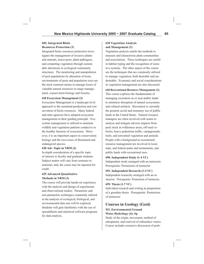# **605. Integrated Biotic Resources Protection (3)**

Integrated biotic resources protection investigates the management of invasive plants and animals, insect pests, plant pathogens, and competing vegetation through sustainable alterations in ecological community structures. The monitoring and manipulation of pest populations by alteration of hosts, environments of pests and population sizes are the most common means to manage losses of valuable natural resources in range management, conservation biology and forestry.

#### **610 Ecosystem Management (2)**

Ecosystem Management is a landscape level approach to the sustained production and conservation of biotic resources. Many federal and state agencies have adopted ecosystem management as their guiding principle. Ecosystem management is utilized to maintain wildlife and vegetation patterns conducive to the healthy function of ecosystems. Moreover, it is an important aspect in conservation biology and the recoveries of threatened and endangered species.

### **620 Adv. Topic in NRM (2)**

In-depth consideration of a specific topic of interest to faculty and graduate students. Subject matter will vary from semester to semester, and, the couse may be repeated for credit.

### **625 Advanced Quantitative Methods in NRM (3)**

The course will provide hands-on experience with the analysis and design of experiments and observational studies. Parametric and non-parametric techniques commonly utilized in the analysis of ecological, biological, and environmental data sets will be explored. Students will gain familiarity with the use of spreadsheets and statistical software programs for data analysis.

## **630 Vegetation Analysis and Management (3)**

Vegetation analysis entails the methods to measure and characterize plant communities and associations. These techniques are useful in habitat typing and the recognition of sensitive systems. The other aspect of the course are the techniques that are commonly utilized to manage vegetation, both desirable and undesirable. Economic and social considerations in vegetation management are also discussed.

### **640 Recreational Resource Management (2)**

This course explores the fundamentals of managing recreation on or near public lands to minimize disruption of natural ecosystems and cultural artifacts. Recreation is currently the greatest social and monetary use of public lands in the United States. Natural resource managers are often involved with teams to analyze and mitigate adverse impacts from pack stock in wilderness areas, off-road vehicles, heavy pedestrian traffic, campgrounds, trails, and unwanted vegetation and animals. People with a background in recreational resource management are involved in local, state, and federal parks and monuments, and public lands with recreational uses.

#### **690. Independent Study (1-4 VC)**

Independent study arranged with an instructor. Prerequisite: Permission of instructor.

### **692. Independent Research (1-4 VC)**

Independent researchy arranged with an instructor. Prerequisite: Permission of instructor.

#### **699. Thesis (1-7 VC)**

Individual research and writing in preparation of a graudate thesis. Prerequisite: Permission of instructor.

# **Courses in Geology (Geol)**

# **521. Environmental Ground Water Hydrology (4); Sp**

Study of the origin, movement, method of entrapment, and removal of subsurface waters. Course includes extensive discussion of prob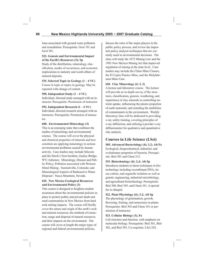lems associated with ground water pollution and remediation. Prerequisite: Geol 101 and Geol 301.

# **522. Genesis and Environmental Impact of the Earth's Resources (3); Sp**

Study of the distribution, mineralogy, classification, modes of occurrence, and economic implications to industry and world affairs of mineral deposits.

**535. Selected Topic in Geology (1 – 4 VC)** Course in topic or topics in geology. May be repeated with change of content.

### **590. Independent Study (1 – 4 VC)**

Individual, directed study arranged with an instructor. Prerequisite: Permission of instructor.

**592. Independent Research (1 – 4 VC)**

Individual, directed research arranged with an instructor. Prerequisite: Permission of instructor.

#### **600. Environmental Mineralogy (3)**

This is an emerging topic that combines the studies of mineralogy and environmental science. The course will cover the physical and chemical properties of minerals and how scientists are applying mineralogy to serious environmental problems caused by human activity. Case studies may include Silicosis and the Hawk's Nest Incident, Gauley Bridge, WV; Asbestos: Mineralogy, Disease and Public Policy; Pollution associated with Western Metal Mining - Summitville, Colorado; and Mineralogical Aspects of Radioactive Waste Disposal - Yucca Mountain, Nevada.

# **610. New Mexico Geological Resources and Environmental Policy (3)**

This course is designed to heighten student awareness about the environmental policies in place to protect public and private lands and rural communities in New Mexico from hard rock mining impacts. The course will briefly cover the nature and origin of the earth's rock and mineral resources; the methods of extraction, usage and disposal of natural resources; and their impacts on the environment. The course will cover at length the major types of regional and federal environmental policies,

discuss the roles of the major players in the public policy process, and review the important policy analysis techniques that are currently used in environmental decisions. The class will study the 1872 Mining Law and the 1993 New Mexico Mining Act that improved regulation of mining at the state level. Case studies may include the Chino Mine Closure, the El Cajete Pumice Mine, and the Molybdenum Mine Case.

### **620. Clay Mineralogy (4; 3, 2)**

A lecture and laboratory course. The lecture will provide an in-depth survey of the structures, classification, genesis, weathering, and importance of clay minerals in controlling nutrient uptake, influencing the plastic properties of earth materials; and retarding the mobilities of contaminants in the environment. Weekly laboratory time will be dedicated to providing x-ray safety training, covering principles of x-ray diffraction, and utilizing a powder x-ray diffractometer for qualitative and quantitative clay analysis.

# **Courses in Life Science (LSci)**

**505. Advanced Bacteriology (4); 3,2; Alt Fa** Ecological, biogeochemical, industrial, and evolutionary properties of bacteria. Prerequisite: Biol 301 and Chem 212.

### **515. Biotechnology (4); 2,4; Alt Sp**

Introduces students to latest techniques in biotechnology including recombinant DNA, tissue culture, and organelle isolation as well as genetic engineering, industrial microbiology, and agricultural biotechnology. Prerequisite: Biol 300, Biol 385, and Chem 341. A special fee is charged.

**522. Plant Physiology (4); 3,2; Alt Sp**

The physiology of germination, growth, flowering, fruiting, and senescence in plants. Prerequisite: Biol 303 and Chem 341 or permission of instructor.

### **523. Cellular Biology (3), Fa**

Cell structure and function, with emphasis on molecular biology. Prerequisite: Biol 301, Biol 302, and Biol 303. Co-requisite: LSci 524.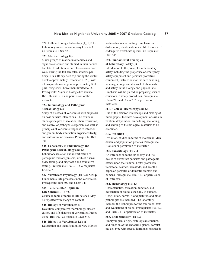524. Cellular Biology Laboratory (1); 0,2, Fa Laboratory course to accompany LSci 523. Co-requisite: LSci 523.

# **525. Marine Biology (2)**

Major groups of marine invertebrates and algae are observed and studied in their natural habitats. In addition to one class session each week during the fall semester, students participate in a 10-day field trip during the winter break (approximately December 13-23), with a transportation charge of approximately \$90 plus living costs. Enrollment limited to 16. Prerequisite: Major in biology/life science, Biol 302 and 303, and permission of the instructor.

# **527. Immunology and Pathogenic Microbiology (3)**

Study of diseases of vertebrates with emphasis on host-parasite interactions. The course includes principles of isolation, characterization, and control of pathogenic organisms as well as principles of vertebrate response to infection, antigen-antibody interaction, hypersensitivity, and auto-immune diseases. Prerequisite: Biol 301.

# **528. Laboratory in Immunology and Pathogenic Microbiology (2); 0,4**

Laboratory isolation and identification of pathogenic microorganisms, antibiotic sensitivity testing, and diagnostic and evaluative testing. Prerequisite: Biol 301. Co-requisite: LSci 527.

**532. Vertebrate Physiology (4); 3,2; Alt Sp** Fundamental life processes in the vertebrates. Prerequisite: Biol 302 and Chem 341.

# **535 – 635. Selected Topics in Life Science (1 – 4 VC)**

Course in topic or topics in life science. May be repeated with change of content.

# **545. Biology of Vertebrates (3)**

Evolution, comparative morphology, classification, and life histories of vertebrates. Prerequisite: Biol 302. Co-requisite: LSci 546.

# **546. Biology of Vertebrates Lab (1)** Description and identification of New Mexico

vertebrates in a lab setting. Emphasis on distribution, identification, and life histories of endangered vertebrate species. Co-requisite: LSci 545.

### **559. Fundamental Principles of Laboratory Safety (1)**

Introduction to the principles of laboratory safety including the proper use of emergency safety equipment and personal protective equipment, instructions for the safe handling, labeling, storage and disposal of chemicals, and safety in the biology and physics labs. Emphasis will be placed on preparing science educators in safety procedures. Prerequisite: Chem 211 and Chem 212 or permission of instructor.

# **561. Electron Microscopy (4); 2,4**

Use of the electron microscope and making of micrographs. Includes development of skills in fixation, dehydration, embedding, sectioning, and staining of the biological materials to be examined.

# **576. Evolution (3)**

Evolution, studied in terms of molecular, Mendelian, and population genetics. Prerequisite: Biol 300 or permission of instructor.

# **580. Parasitology (4); 2,4**

An introduction to the taxonomy and life cycles of vertebrate parasites and pathogenic effects upon their animal hosts; protozoan, trematode, cestode, nematode, and acanthocephalan parasites of domestic animals and humans. Prerequisite: Biol 423, or permission of instructor.

# **584. Hematology (4); 2,4**

Characteristics, formation, function, and destruction of blood, especially in humans. Coagulation, normal blood pictures, and blood pathologies are included. The laboratory includes the techniques for the traditional tests and evaluations of blood. Prerequisite: Biol 423 and Chem 341, or permission of instructor.

# **585. Endocrinology (4); 3,2**

Embryological origin, histological structure, and function of the endocrine glands, correlating cell type with special hormones produced;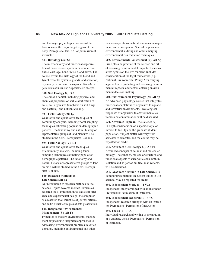and the major physiological actions of the hormones on the major target organs of the body. Prerequisite: Biol 423 or permission of instructor.

#### **587. Histology (4); 2,4**

The microanatomy and functional organization of basic tissues: epithelium, connective tissue, cartilage, bone, muscle, and nerve. The course covers the histology of the blood and lymph vascular systems, glands, and secretion, especially in humans. Prerequisite: Biol 432 or permission of instructor. A special fee is charged.

#### **588. Soil Ecology (4); 3,2**

The soil as a habitat, including physical and chemical properties of soil, classification of soils, soil organisms (emphasis on soil fungi and bacteria), and nutrient cycling.

### **593. Field Botany (2); 1,2**

Qualitative and quantitative techniques of community analysis, including floral sampling techniques estimating population demographic patterns. The taxonomy and natural history of representative groups of land plants will be studied in the field. Prerequisite: Biol 303.

### **594. Field Zoology (2); 1,2**

Qualitative and quantitative techniques of community analysis, including faunal sampling techniques estimating population demographic patterns. The taxonomy and natural history of representative groups of land animals will be studied in the field. Prerequisite: Biol 302.

#### **600. Research Methods in Life Science (3); Fa**

An introduction to research methods in life science. Topics covered include libraries as research tools, introduction to statistical inference and experimental design, the computer as a research tool, structure of journal articles, and audio-visual techniques of data presentation.

## **601. Integrated Environmental Management (3); Alt Fa**

Principles of modern environmental management emphasizing integrated approaches to addressing environmental problems in varied domains, including environmental and other

business operations, natural resources management, and development. Special emphasis on environmental auditing and other emerging environmental risk reduction techniques.

**602. Environmental Assessment (2); Alt Sp** Principles and practice of the science and art of assessing environmental impacts of various stress agents on the environment. Includes consideration of the legal framework (e.g., National Environmental Policy Act), varying approaches to predicting and assessing environ mental impacts, and factors entering environmental decision-making.

**610. Environmental Physiology (3); Alt Sp** An advanced physiology course that integrates functional adaptations of organisms to aquatic and terrestrial environments. Physiological responses of organisms to environmental extremes and contamination will be discussed.

**620. Advanced Topic in Life Science (2)** In-depth consideration of a specific topic of interest to faculty and the graduate student population. Subject matter will vary from semester to semester, and the course may be repeated for credit.

**640. Advanced Cell Biology (3); Alt Fa** Advanced concepts of cellular and molecular biology. The genetics, molecular structure, and functional aspects of eucaryotic cells, both in isolation and as part of multicellular systems, will be discussed.

**650. Graduate Seminar in Life Science (1)** Seminar presentations on current topics in life science. May be repeated for credit.

**690. Independent Study (1 – 4 VC)** Independent study arranged with an instructor. Prerequisite: Permission of instructor.

**692. Independent Research (1 – 4 VC)** Independent research arranged with an instructor. Prerequisite: Permission of instructor.

### **699. Thesis (1 – 7 VC)**

Individual research and writing in preparation of a graduate thesis. Prerequisite: Permission of instructor.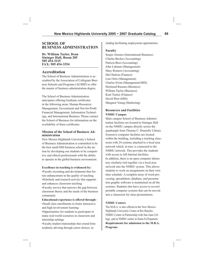# **SCHOOL OF BUSINESS ADMINISTRATION**

**Dr. William Taylor, Dean Sininger Hall, Room 205 505 454-3115 FAX: 505 454-3354**

# **Accreditation**

The School of Business Administration is accredited by the Association of Collegiate Business Schools and Programs (ACBSP) to offer the master of business administration degree.

The School of Business Administration anticipates offering Graduate certificates in the following areas: Human Resources Management, Government and Not-for-Profit Financial Management, Information Technology, and International Business. Please contact the School of Business for information on the availability of these certificates.

#### **Mission of the School of Business Administration**

New Mexico Highlands University's School of Business Administration is committed to be the best small HSI business school in the nation by developing our students to be competitive and ethical professionals with the ability to operate in the global business environment.

### **Excellence in teaching is evidenced by:**

•Faculty recruiting and development that fosters enhancement in the quality of teaching •Scholarly and research activity that supports and enhances classroom teaching

•Faculty service that narrows the gap between classroom theory and the needs of the business community

# **Educational experience is offered through:**

•Small class enrollments to foster interactive and high involvement learning

•Opportunities for students to participate in many real-world scenarios in classroom and internship settings

•Faculty-student relationships that extend from academic advising through career choices, including facilitating employment opportunities

### **Faculty**

Sergio Alsonso (International Business) Charles Becker (Accounting) Patricia Bost (Accounting) John Luhman (Management) Mary Romero (Accounting) Hal Olafson (Finance) Luis Ortiz (Management) Charles Swim (Management/MIS) Hormuzd Rassam (Business) William Taylor (Business) Kent Tucker (Finance) David West (MIS) Margaret Young (Marketing)

# **Resources and Facilities NMHU Campus**

Main campus School of Business Administration facilities are located in Sininger Hall on the NMHU campus directly across the quadrangle from Thomas C. Donnelly Library. Extensive computer facilities are located within the building, including a teaching classroom with 24 systems attached to a local area network which, in turn, is connected to the NMHU network. This provides the students with access to full Internet facilities. In addition, there is an open computer laboratory similarly tied together via a local area network into the NMHU system. This allows students to work on assignments on their own time schedule. A complete array of word processing, spreadsheet, database, and presentation graphic software is maintained on all the systems. Students also have access to several portable computer systems that can be moved into a classroom for class presentations.

### **NMHU Centers**

The M.B.A. is also offered at the New Mexico Highlands University Center at Rio Rancho, NMHU Center in Partnership with San Juan College, and at NMHU center in Santa Fe/Espanola. **Requirements for admission to the M.B.A. Program:**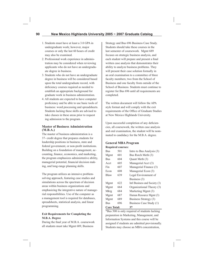- 1. Students must have at least a 3.0 GPA in undergraduate work; however, major courses or only the last 60 hours of credit may also be examined.
- 2. Professional work experience in adminis tration may be considered when reviewing applicants who do not have an undergradu ate degree in business.
- 3. Students who do not have an undergraduate degree in business will be considered based upon the total undergraduate record, with deficiency courses required as needed to establish an appropriate background for graduate work in business administration.
- 4. All students are expected to have computer proficiency and be able to use basic tools of business: word processing and spreadsheets. Students lacking these skills are advised to take classes in these areas prior to request ing admission to the program.

### **Master of Business Administration (M.B.A.)**

The master of business administration is a 37- credit degree that prepares students for leadership positions in business, state and federal government, or non-profit institutions. Building on a foundation of management, accounting, finance, economics, and marketing, the program emphasizes administrative ability, managerial potential, financial decision making, and long-range planning skills.

The program utilizes an intensive problemsolving approach, featuring case studies and simulations across the spectrum of decision areas within business organizations and emphasizing the integrative nature of managerial responsibilities. Use of the computer as a management tool is required for databases, spreadsheets, statistical analysis, and linear programming.

# **Exit Requirements for Completing the M.B.A. Degree**

During the final year of M.B.A. coursework all students must take Mgmt 689, Business

Strategy and Bus 696 Business Case Study. Students should take these courses in the last semester of coursework. Mgmt 689 focuses on strategic business analysis, and each student will prepare and present a final written case analysis that demonstrates their ability to analyze business problems. They will present their case solution formally in an oral examination to a committee of three faculty members; two from the School of Business and one faculty from outside of the School of Business. Students must continue to register for Bus 696 until all requirements are completed.

The written document will follow the APA style format and will comply with the exit requirements of the Office of Graduate Studies at New Mexico Highlands University.

Upon successful completion of any deficiencies, all coursework, the written case analysis and oral examination, the student will be nominated to candidacy for the M.B.A. degree.

### **General MBA Program Required courses:**

| Bus                | 501 | Intro to Bus Analysis (3)     |
|--------------------|-----|-------------------------------|
| Mgmt               | 601 | Bus Rsrch Meth (3)            |
| <b>Bus</b>         | 604 | Ouant Meth (3)                |
| Acct               | 605 | Managerial Acct (3)           |
| Fin                | 607 | Managerial Finance (3)        |
| Econ               | 608 | Managerial Econ (3)           |
| <b>Blaw</b>        | 639 | Legal Environment of          |
|                    |     | Business (3)                  |
| Mgmt               | 622 | Intl Business and Society (3) |
| Mgmt               | 664 | Organizational Theory (3)     |
| Mktg               | 684 | Marketing Mgmt (3)            |
| Mgmt               | 687 | Human Resource Mgmt (3)       |
| Mgmt               | 689 | Business Strategy (3)         |
| Bus                | 696 | Business Case Study (1)       |
| <b>Core Total:</b> |     | 37                            |

\*Bus 500 is only required of students lacking preparation in Marketing, Management, and Information Systems and this course will be assigned if students are admitted provisionally. Students may choose an MBA concentration,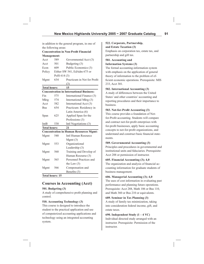in addition to the general program, in one of the following areas:

# **Concentration in Non-Profit Financial Management:**

| Acct                | 589                    | Governmental Acct (3)                           |
|---------------------|------------------------|-------------------------------------------------|
| Acct                | 501                    | Budgeting (3)                                   |
| Econ                | 609                    | Public Economics (3)                            |
| Policy              |                        | Either SW 541, EdAdm 675 or                     |
|                     | PolS 614 (3)           |                                                 |
| Mgmt                | 634                    | Practicum in Not for Profit                     |
|                     |                        | (3)                                             |
| <b>Total hours:</b> |                        | 15                                              |
|                     |                        | <b>Concentration in International Business:</b> |
| Fin                 | 575                    | International Finance (3)                       |
| Mktg                | 574                    | International Mktg (3)                          |
| Acct                | 582                    | International Acct (3)                          |
| <b>Bus</b>          | 654                    | Practicum: Residency in                         |
|                     |                        | Latin America (6)                               |
| Span                | 625                    | Applied Span for the                            |
|                     |                        | Professions (3)                                 |
| IntB                | 530                    | Intl Negotiations (3)                           |
| <b>Total hours:</b> |                        | 21                                              |
|                     |                        | <b>Concentration in Human Resources Mgmt:</b>   |
| Mgmt                | 540                    | Intl Human Resource                             |
|                     |                        | Mgmt(3)                                         |
| Mgmt                | 553                    | Organizational                                  |
|                     |                        | Leadership (3)                                  |
| Mgmt                | 560                    | Training and Develop of                         |
|                     |                        | Human Resourse (3)                              |
| Mgmt                | 565                    | Personnel Practices and                         |
|                     |                        | the Law $(3)$                                   |
| Mgmt                | 566                    | Compensation and                                |
|                     |                        | Benefits (3)                                    |
|                     | <b>Total hours: 15</b> |                                                 |

# **Courses in Accounting (Acct)**

### **501. Budgeting (3)**

A study of comprehensive profit planning and control.

# **510. Accounting Technology (3)**

This course is designed to introduce the student to the practical application and use of computerized accounting applications and technology using an integrated accounting system.

# **522. Corporate, Partnership, and Estate Taxation (3)**

Emphasis on corporation tax, estate tax, and partnership and gift tax.

# **581. Accounting and**

# **Information Systems (3)**

The formal accounting-information system with emphasis on the application of general theory of information to the problem of efficient economic operations. Prerequisite: MIS 233, Acct 301.

# **582. International Accounting (3)**

A study of differences between the United States' and other countries' accounting and reporting procedures and their importance to business.

# **583. Not-for-Profi t Accounting (3)**

This course provides a foundation of Notfor-Profit accounting. Students will compare and contract not-for-profit enterprises with for-profit businesses, apply basic accounting concepts to not-for-profit organizations, and understand and construct basic financial statements.

# **589. Governmental Accounting (3)**

Principles and procedures in governmental and institutional units and fiduciaries. Prerequisite: Acct 288 or permission of instructor.

# **605. Financial Accounting (3); 4,0**

The organization and analysis of financial accounting information for graduate students of business management.

# **606. Managerial Accounting (3); 4,0**

The uses of cost information in evaluating past performance and planning future operations. Prerequisite: Acct 288, Math 106 or Bus 110, and Math 360 or Bus 210 or equivalents.

# **689. Seminar in Tax Planning (3)**

A study of family tax minimization, taking into consideration federal income, gift, and estate taxes.

# **690. Independent Study (1 – 4 VC)**

Individual directed study arranged with an instructor. Prerequisite: Permission of the instructor.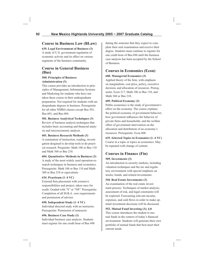# **Course in Business Law (BLaw)**

**639. Legal Environment of Business (3)** A study of U.S. government regulation of economic activity and its effect on various segments of the business community.

# **Course in General Business (Bus)**

# **500. Principles of Business Administration (3)**

This course provides an introduction to principles of Management, Information Systems and Marketing for students who have not taken these course in their undergraduate preparation. Not required for students with undergraduate degrees in business. Prerequisite for all other NMBA classes except Bus 501, Bus 601, and Bus 604.

# **501. Business Analytical Techniques (3)**

Review of business analysis techniques that includes basic accounting and financial analysis and microeconomic analysis.

# **601. Business Research Methods (3)**

A comination of instruction, reading, investigation desgined to develop tools to do practical research. Prequisite: Math 106 or Bus 110 and Math 360 or Bus 210.

# **604. Quantitative Methods in Business (3)**

A study of the most widely used operation-research techniques in business and economics. Prerequisite: Math 106 or Bus 110 and Math 360 or Bus 210 or equivalents.

# **634. Practicum (1–4 VC)**

External firm placement with extensive responsibilities and project, taken once for credit. Graded with "S" or "NP." Prerequisite: Completion of all M.B.A. core requirements and permission of advisor.

# **690. Independent Study (1–4 VC)**

Individual directed study with an instructor. Prerequisite: Permission of instructor.

# **696. Business Case Study (1)**

Individual business case analysis. Students must register for one credit hour of Bus 696 during the semester that they expect to complete their oral examination and receive their degree. Students must continue to register for one credit hour of Bus 696 until the business case analysis has been accepted by the School of Business.

# **Courses in Economics (Econ)**

# **608. Managerial Economics (3)**

Applied theory of the firm, with emphasis on marginalism, cost price, policy, executive decision, and allocation of resources. Prerequisite: Econ 217, Math 106 or Bus 110, and Math 360 or Bus 210.

# **609. Political Economy (3)**

Public economics is the study of government's effect on the economy. The course explains: the political economy of government behavior; how government influences the behavior of private firms and households; and the welfare effect of government intervention on the allocation and distribution of an economy's resources. Prerequisite: Econ 608.

**635. Selected Topics in Economics (1–4 VC)** Course in a topic or topics in economics. May be repeated with change of content.

# **Courses in Finance (Fin)**

# **509. Investments (3)**

An introduction to security markets, including valuation techniques and the tax and regulatory environment with special emphasis on stocks, bonds, and related investments.

# **510. Real Estate Investments (3)**

An examination of the real estate investment process. Techniques of market analysis, assessment of risk, and legal constraints will be explored. Forecasting relevant income, expenses, and cash flows in order to make optimal investment decisions will be discussed.

# **552. Mutual Fund Investing (3); 4,0**

This course introduces the student to mutual funds in the context of today's financial environment. Students will generate their own portfolio of mutual funds that best meet their current needs.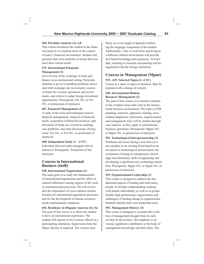#### **560. Portfolio Analysis (3); 4,0**

This course introduces the student to the financial analysis of common stock in the context of today's financial environment. Student will generate their own portfolio of stocks that best meet their current needs.

#### **575. International Financial Management (3)**

An overview of the workings of trade and finance in an international setting. Particular attention is given to handling problems associated with exchange rate movements, sources of funds for overseas operations and investments, and criteria to judge foreign investment opportunities. Prerequisite: Fin 341, or Fin 501, or permission of instructor.

#### **607. Financial Management (3)**

A study of the tools and techniques used in financial management. Analysis of financial needs, acquisition of financial resources, and allocation of funds are covered in readings, case problems, and class discussions. Prerequisite: Fin 341, or Fin 501, or permission of instructor.

#### **690. Independent Study (1 – 4 VC)**

Individual directed study arranged with an instructor. Prerequisite: Permission of the instructor.

# **Courses in International Business (IntB)**

#### **530. International Negotiations (3)**

The main goal os to study the fundamentals of international negotiations and the effect of cultural differences among regions of the work in communication processes. We will review also the importance of cross-cultural communication for international negotiation processes and for the development of human resources inside multinational companies.

## **654. Residency in Hispano America (6); Su**

The goal of this course is to allow the student to have an international experience. The student will register in two courses offered at a participating institution. Supervision from the Major Advisor is required. The courses most

likely are to be taught in Spanish reinforcing the language component of the student. Additionally, visits to local firms and living in a different cultural environment will provide first hand knowledge and experience. If available, teaching or research assistantship will be negotiated with the foreign institution.

# **Courses in Management (Mgmt)**

# **535– 635. Selected Topics (1–4 VC)**

Course in a topic or topics in business. May be repeated with a change of content.

### **540. International Human Resource Management (3)**

The goal of this course is to sensitize students to the complex issues that exist in the international business environment. The topics of HR planning, selection, appraisal, training, cross cultural adaptation, motivation, empowerment, and management style will be studied through case analysis as they apply to international business operations. Prerequisite: Mgmt 303, or Mgmt 501, or permission of instructor.

#### **552. Technological Entrepreneurship (3)**

Problems and issues facing a new firm (or a new product in an existing firm) based on an invention or technological advancement; the excitement of being an entrepreneur; knowledge and elementary skills of appraising and developing a significant new technology-based firm. Prerequisite: Mgmt 303, or Mgmt 501, or permission of instructor.

#### **553. Organizational Leadership (3)**

This course is designed to address the fundamental aspects of leading and motivating people. It includes understanding working with people individually, as well as in groups. Studies high performance organizations and challenges of leading change in organizations. Students identify their own leadership traits.

#### **555. Management History (3)**

This course is designed to examine the evolution of management thought from its earliest days to the present. The emphasis is on various significant contributors to the body of management knowledge and their ideas. The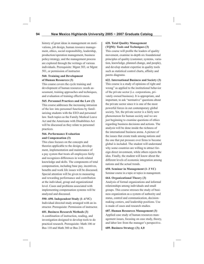history of great ideas in management on motivations, job design, human resource management, ethics, social responsibility, leadership, production/operation management, business policy/strategy, and the management process are explored through the writings of various individuals. Prerequisite: Mgmt 303, or Mgmt 501, or permission of instructor.

# **560. Training and Development of Human Resources (3)**

This course covers the cycle training and development of human resources: needs assessment, training approaches and techniques, and evaluation of training effectiveness.

**565. Personnel Practices and the Law (3)**

This course addresses the increasing intrusion of the law into personnel functions by familiarizing students with the EEO and personnel law. Such topics as the Family Medical Leave Act and the Americans with Disabilities Act will be discussed as they relate to personnel practices.

#### **566. Performance Evaluation and Compensation (3)**

This class focuses on the concepts and theories applicable to the design, development, implementation and maintenance of a pay system that treats all employees fairly and recognizes differences in work related knowledge and skills. The components of total compensation, including base pay, incentives, benefits and work life issues will be discussed. Special attention will be given to measuring and rewarding performance and contribution at the individual, group and organizational level. Cases and problems associated with implementing compensation systems will be analyzed and discussed.

**590–690. Independent Study (1–4 VC)**  Individual directed study arranged with an instructor. Prerequisite: Permission of instructor.

#### **601. Business Research Methods (3)**

A combination of instruction, reading, and investigation designed to develop tools to do practical research. Prerequisite: Math 106 or Bus 110 and Math 360 or Bus 210.

# **620. Total Quality Management (TQM): Tools and Techniques (3)**

This course will profile the leaders of quality movement, examine in-depth six foundational principles of quality (customer, systems, variation, knowledge, planned change, and people), and develop student expertise in quality tools such as statistical control charts, affinity and pareto diagrams.

**622. International Business and Society (3)** This course is a study of opinions of right and wrong" as applied to the institutional behavior of the private sector (i.e. corporations, privately owned business). It is appropriate, and important, to ask "normative" questions about the private sector since it is one of the most powerful forces in out contemporary global society. Yet, the private sector is a fairly new phenomenon for human society and we are just beginning to examine questions of ethics regarding business decisions and actions. The analysis will be done inside the richness of the international business arena. A picture of the issues that create trade among nations and the one that put pressure over firms to become global is included. The student will understand why some countries are willing to attract foreign direct investment, while others rejects the idea. Finally, the student will know about the different levels of economic integration among nations and the actual trends.

# **650. Seminar in Management (1–3 VC)**

Seminar course in a topic or topics in management.

# **664. Organizational Theory (3)**

Analysis of formal organizations and informal relationships among individuals and small groups. This course stresses the study of business organization as a system of authority and status, control and communication, decisionmaking centers, and leadership positions. Use is made of cases and research studies.

**687. Human Resources Management (3)** Applied case study of human resources management issues, focusing on case study, theory, and labor law from the manager's perspective.

**689. Business Strategy (3); 4,0**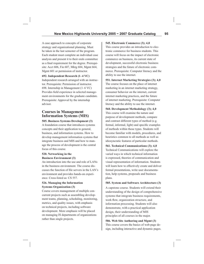A case approach to concepts of corporate strategy and organizational planning. Must be taken in the last semester of the program. Each student must complete an individual case analysis and present it to their orals committee as a final requirement for the degree. Prerequisite: Acct 606, Fin 607, Mktg 684, Mgmt 664, Mgmt 601 or permission of instructor.

#### **692. Independent Research (1–4 VC)**

Independent research arranged with an instructor. Prerequisite: Permission of instructor. 698. Internship in Management (1–6 VC) Provides field experience in selected management environments for the graduate candidate. Prerequisite: Approval by the internship advisor.

# **Courses in Management Information Systems (MIS)**

#### **505. Business Systems Development (3)**

A foundation course that introduces systems concepts and their application to general, business, and information systems. How to develop management information systems that integrate business and MIS and how to manage the process of development is the central focus of this course.

# **520. Networking in the Business Environment (3)**

An introduction into the use and role of LANs in the business environment. The course discusses the function of file servers in the LAN's environment and provides hands-on experience. Cross-listed as: CS 557.

### **526. Managing the Information Systems Organization (3)**

Course covers management of multiple concurrent projects such as assembling development teams, planning, scheduling, monitoring, metrics, and quality issues, with emphasis on technical projects, including software development. More emphasis will be placed on managing IS departments of organizations rather than single projects.

#### **545. Electronic Commerce (3); 4,0**

This course provides an introduction to electronic commerce for business students. This course will focus on the impact of electronic commerce on business, its current state of development, successful electronic business strategies and the future of electronic commerce. Prerequisite: Computer literacy and the ability to use the internet.

**551. Internet Marketing Strategies (3); 4,0** The course focuses on the place of internet marketing in an internet marketing strategy, consumer behavior on the internet, current internet marketing practices, and the future of internet marketing. Prerequisite: Computer literacy and the ability to use the internet.

**560. Development Methodology (3); 4,0** This course will examine the nature and purpose of development methods, compare and contrast different types of method (e.g. formal, informal, light) and specific examples of methods within those types. Students will become familiar with models, procedures, and heuristics common to all methods as well as idiosyncratic features of particular methods.

**561. Technical Communications (3); 4,0** Technical Communications will explore the varied ways in which technical information is expressed, theories of communication and visual representation of information. Students will learn how to effectively create and deliver formal presentations, write user documentation, help systems, proposals and business plans.

#### **585. System and Software Architecture (3)**

A capstone course. Students will extend their understanding of the design of comprehensive systems that integrate business requirements, work flow, organization structure, and information processing. Students will also demonstrate, with a practical application design, their understanding of MIS principles of all courses in the major.

**586. Web Site Authoring and Mgmt (3)** This course covers the basics of web-page design, including interactive and dynamic pages.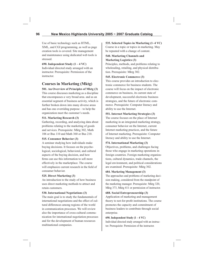Use of basic technology such as HTML, XML, and CGI programming, as well as page creation tools is covered. Site management and maintenance using dedicated web tools is stressed.

# **690. Independent Study (1 – 4 VC)**

Individual directed study arranged with an instructor. Prerequisite: Permission of the instructor.

# **Courses in Marketing (Mktg)**

# **501. An Overview of Principles of Mktg (3)**

This course discusses marketing as a discipline that encompasses a very broad area. and as an essential segment of business activity, which is further broken down into many diverse areas and has one overriding purpose – to help the organization meet the customer's needs.

# **511. Marketing Research (3)**

Gathering, recording, and analyzing data about problems relating to the marketing of goods and services. Prerequisite: Mktg 302, Math 106 or Bus 110 and Math 360 or Bus 210.

### **515. Consumer Behavior (3)**

A seminar studying how individuals make buying decisions. It focuses on the psychological, sociological, behavioral, and cultural aspects of the buying decision, and how firms can use this information to sell more effectively in the marketplace. The course will emphasize current research in the field of consumer behavior.

# **525. Direct Marketing (3)**

An introduction to the study of how business uses direct marketing methods to attract and retain customers.

### **530. International Negotiations (3)**

The main goal is to study the fundamentals of international negotiations and the effect of cultural differences among regions of the world in communication processes. We will review also the importance of cross-cultural communication for international negotiation processes and for the development of human resources multinational companies.

# **535. Selected Topics in Marketing (1–4 VC)**

Course in a topic or topics in marketing. May be repeated with a change of content.

#### **540. Marketing Channels and Marketing Logistics (3)**

Principles, methods, and problems relating to wholesaling, retailing, and physical distribution. Prerequisite: Mktg 302.

# **545. Electronic Commerce (3)**

This course provides an introduction to electronic commerce for business students. The course will focus on the impact of electronic commerce on business, its current state of development, successful electronic business strategies, and the future of electronic commerce. Prerequisite: Computer literacy and ability to use the Internet.

# **551. Internet Marketing Strategies (3)**  The course focuses on the place of Internet

marketing in an integrated marketing strategy, consumer behavior on the Internet, current Internet marketing practices, and the future of Internet marketing. Prerequisite: Computer literacy and ability to use the Internet.

# **574. International Marketing (3)**

Objectives, problems, and challenges facing those who engage in marketing operations in foreign countries. Foreign marketing organizations, cultural dynamics, trade channels, the legal environment, and political considerations are examined. Prerequisite: Mktg 302.

### **684. Marketing Management (3)**

The approaches and problems of marketing decision making, considered from the standpoint of the marketing manager. Prerequisite: Mktg 320, Mktg 373, Mktg 411 or permission of instructor.

### **688. Social Entrepreneurship (3)**

Application of marketing and management theory to not-for-profit institutions. The course promotes the capacity and commitment of business leaders to contribute through social enterprise.

### **690. Independent Study (1 – 4 VC)**

Individual directed study arranged with an instructor. Prerequisite: Permission of the instructor.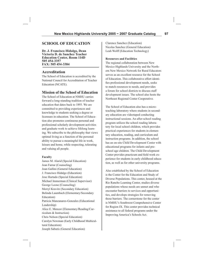# **SCHOOL OF EDUCATION**

**Dr. J. Francisco Hidalgo, Dean Victoria D. de Sanchez Teacher Education Center, Room 114D 505 454-3357 FAX: 505 454-3384**

# **Accreditation**

The School of Education is accredited by the National Council for Accreditation of Teacher Education (NCATE).

# **Mission of the School of Education**

The School of Education at NMHU carries forward a long-standing tradition of teacher education that dates back to 1893. We are committed to providing experiences and knowledge to students seeking a degree or licensure in education. The School of Education also promotes continuous personal and professional scholarly development activities and graduate work to achieve lifelong learning. We subscribe to the philosophy that views optimal living as a function of the personal ability to pursue a meaningful life in work, leisure and home, while respecting, tolerating and valuing all people.

#### **Faculty**

James M. Alarid (Special Education) Jean Farrar (Counseling) Joan Gallini (General Education) J. Francisco Hidalgo (Education) Jose Hurtado (Special Education) Michael Immerman (Clinical Supervisor) George Leone (Counseling) Merryl Kravitz (Secondary Education) Belinda Laumbach (Elementary/Secondary Education) Patricia Manzanares-Gonzales (Educational Leadership) Alice E. Menzor (Elementary/Reading/Curriculum & Instruction) Chris Nelson (Special Education) Carolyn Newman (Early Childhood Multicultural Education) Joseph Sabutis (General Education)

Clarence Sanchez (Education) Nicolas Sanchez (General Education) Leah Wolff (Education Technology)

#### **Resources and Facilities**

The regional collaboration between New Mexico Highlands University and the Northern New Mexico Network for Rural Educators serves as an excellent resource for the School of Education. This collaborative effort identifies professional development needs, seeks to match resources to needs, and provides a forum for school districts to discuss staff development issues. The school also hosts the Northeast Regional Center Cooperative.

The School of Education also has a microteaching laboratory where students in secondary education are videotaped conducting instructional sessions. An after-school reading program utilizes the school reading laboratory for local school children, which provides practical experiences for students in elementary education, reading, and curriculum and instruction programs. In addition, the school has an on-site Child Development Center with educational programs for infants and preschool age children. The Child Development Center provides practicum and field work experience for students in early childhood education, as well as for other university programs.

Also established by the School of Education is the Center for the Education and Study of Diverse Populations. This center, housed at the Rio Rancho Learning Center, studies diverse populations whose needs are unmet and who encounter barriers to services and opportunities, and develops strategies for removing those barriers. The cornerstone for the center is NMHU's Southwest Comprehensive Center for Region IX. This center provides technical assistance to all federal programs under the Improving America's Schools Act.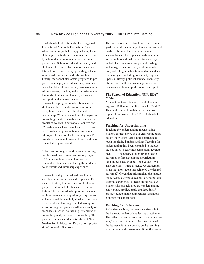The School of Education also has a regional Instructional Materials Evaluation Center, which contains publisher-supplied samples of state-approved texts and materials for review by school district administrators, teachers, parents, and School of Education faculty and students. The center also functions as an institutional curriculum library, providing selected samples of resources for short-term loan. Finally, the school also offers programs to prepare teachers, physical education specialists, school athletic administrators, business sports administrators, coaches, and administrators in the fields of education, human performance and sport, and leisure services.

The master's program in education accepts students with personal commitment to the discipline who also meet the standards of scholarship. With the exception of a degree in counseling, master's candidates complete 12 credits of courses in educational content and 12 credits in a selected emphasis field, as well as 12 credits in appropriate research methodologies. Education leadership requires 15 credits in the content areas and nine credits in a selected emphasis field.

School counseling, rehabilitation counseling, and licensed professional counseling require a 48-semester hour curriculum, inclusive of oral and written exams detailing the student's course work and internship experience.

The master's degree in education offers a variety of concentrations and emphases. The master of arts option in education leadership prepares individuals for licensure in administration. The master of arts option in special education provides the opportunity to specialize in the areas of the mentally disabled, behavior disordered, and learning disabled. An option in counseling and guidance offers a variety of emphases in school counseling, rehabilitation counseling, and professional counseling. The program qualifies students for State of New Mexico Public Education Department professional counselor licensure.

The curriculum and instruction option offers graduate work in a variety of academic content fields, with both elementary and secondary emphases. The emphasis fields available to curriculum and instruction students may include the educational subjects of reading, technology education, early childhood education, and bilingual education; and arts and sciences subjects including music, art, English, Spanish, history, political science, chemistry, life science, mathematics, computer science, business, and human performance and sport.

# **The School of Education "STURDY" Model**

"Student-centered Teaching for Understanding, with Reflection and Diversity for Youth" This model is the foundation for the conceptual framework of the NMHU School of Education.

#### **Teaching for Understanding**

Teaching for understanding means taking students as they arrive in our classroom, building on knowledge, skills, and experience to reach the desired understanding. Teaching for understanding has been expanded to include the notion of "backwards curriculum development." It is necessary to identify the desired outcomes before developing a curriculum (and, in our case, syllabus for a course). We ask ourselves, "What evidence would demonstrate that the student has achieved the desired outcome?" Given that information, the instructor develops a series of lessons, activities, and learning experiences to reach those goals. A student who has achieved true understanding can explain, predict, apply or adapt, justify, critique, judge, make connections, and avoid common misconceptions.

#### **Teaching for Reflection**

Reflective teaching assumes an active role for the instructor  $-$  that of a reflective practitioner. The reflective teacher focuses not only on content, but on such things as the interaction of the learner with that content, on the teaching environment and classroom culture, the teach-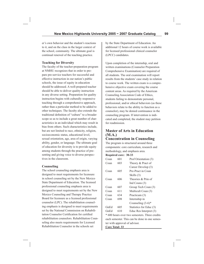er's own behavior and the student's reactions to it, and on the class in the larger context of the school, community. The ultimate goal is continual renewal of the teaching practice.

#### **Teaching for Diversity**

The faculty of the teacher-preparation program at NMHU recognizes that in order to prepare pre-service teachers for successful and effective instruction in our nation's public schools, the issue of equity in education should be addressed. A well-prepared teacher should be able to deliver quality instruction in any diverse setting. Preparation for quality instruction begins with culturally responsive teaching through a comprehensive approach, rather than a particular method to be added to other techniques. The faculty also extends the traditional definition of "culture" to a broader scope so as to include a great number of characteristics in an individual which may result in bias from others. Such characteristics include, but are not limited to race, ethnicity, religion, socioeconomic status, educational level, sexual orientation, age, area of origin, varying ability, gender, or language. The ultimate goal of education for diversity is to provide equity among students through the practice of presenting and giving voice to diverse perspectives in the classroom.

### **Counseling**

The school counseling emphasis area is designed to meet requirements for licensure in school counseling set by the New Mexico State Department of Education. The licensed professional counseling emphasis area is designed to meet requirements set by the New Mexico Counseling and Therapy Practice Board for licensure as a licensed professional counselor (LPC). The rehabilitation counseling emphasis is designed to meet requirements set by the National Commission on Rehabilitation Counselor Certification for certified rehabilitation counselors. Rehabilitation Counseling also meets requirements for Licensed Rehabilitation Counselor in the schools set

by the State Department of Education. An additional 12 hours of course work is available for licensed professional clinical counselor (LPCC) candidates.

Upon completion of the internship, oral and written examinations (Counselor Preparation Comprehensive Examination) are required of all students. The oral examination will report results from the students' case study in relation to course work. The written exam is a comprehensive objective exam covering the course content areas. As required by the American Counseling Association Code of Ethics, students failing to demonstrate personal, professional, and/or ethical behaviors (as these behaviors relate to the ability to function as a counselor), may be denied continuance in the counseling program. If intervention is indicated and completed, the student may petition for readmission.

# **Master of Arts in Education (M.A.) Concentration in Counseling**

The program is structured around three components: core curriculum, research and methodology, and emphasis area.

#### **Required core: 30-33**

| Coun | 601 | Prof Orientation (3)    |
|------|-----|-------------------------|
| Coun | 603 | Theory & Pract of       |
|      |     | Career Develop (3)      |
| Coun | 605 | Pre-Pract in Coun       |
|      |     | Skills (3)              |
| Coun | 606 | Theories & Prin of      |
|      |     | Ind Couns $(3)$         |
| Coun | 607 | Group Tech Coun (3)     |
| Coun | 611 | Multicult Coun (3)      |
| Coun | 634 | Practicum (3)           |
| Coun | 698 | Internship in           |
|      |     | Counseling $(3-6)^*$    |
| GnEd | 605 | Statistics for Educ (3) |
| GnEd | 610 | Educ Res Interpret (3)  |
|      |     |                         |

\* 600 hours over two semesters. Three credits each semester. This can be done in one semester with approval of advisor.

**Core Total: 33**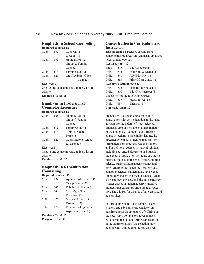# **Emphasis in School Counseling**

### **Required courses: 12**

| Coun | 602 | Coun Child         |
|------|-----|--------------------|
|      |     | $&$ Adol $(3)$     |
| Coun | 608 | Appraisal of Ind,  |
|      |     | Group, & Fam in    |
|      |     | Coun $(3)$         |
| Coun | 615 | Family Coun (3)    |
| Coun | 620 | Org & Admin of Sch |
|      |     | Coun $(3)$         |

# **Electives: 3**

Choose one course in consultation with an advisor.

**Emphasis Total: 15**

# **Emphasis in Professional Counselor Licensure**

#### **Required courses: 12**

| Coun | 608 | Appraisal of Ind,    |
|------|-----|----------------------|
|      |     | Group & Fam in       |
|      |     | Coun $(3)$           |
| Coun | 615 | Family Coun (3)      |
| Coun | 619 | Mgmt of Coun         |
|      |     | Prog $(3)$           |
| Coun | 625 | Couns Individ Across |
|      |     | Lifespan $(3)$       |
|      |     |                      |

### **Elective: 3**

Choose one course in consultation with an advisor. **Emphasis Total: 15**

# **Emphasis in Rehabilitation Counseling**

### **Required courses: 15**

| Coun                      | 608 | Appraisal of Individaul/ |
|---------------------------|-----|--------------------------|
|                           |     | Group/Family (3)         |
| Coun                      | 640 | Rehab Foundations (3)    |
| Coun                      | 642 | Case Mgmt/Job            |
|                           |     | Placement (3)            |
| SpEd                      | 673 | Medical Aspects of       |
|                           |     | Disability (3)           |
| SpEd                      | 674 | Psychocult/Psychosoc     |
|                           |     | Aspects of Disabil (3)   |
| <b>Emphasis Total: 15</b> |     |                          |
| <b>Program Total: 58</b>  |     |                          |

**Concentration in Curriculum and Instruction**

This program is structured around three components: required core, emphasis area, and research methodology.

# **Required core: 12**

| EdLd                     | 675                             | Educ Leadership (3)                  |
|--------------------------|---------------------------------|--------------------------------------|
| GnEd                     | 615                             | Instr Strat $&$ Ment (3)             |
| GnEd                     | 641                             | Adv Educ Psy (3)                     |
| GnEd                     | 663                             | Prin of Curr Const (3)               |
|                          | <b>Research Methodology: 12</b> |                                      |
| GnEd                     | 605                             | Statistics for Educ (3)              |
| GnEd                     | 610                             | Educ Res Interpret (3)               |
|                          |                                 | Choose one of the following courses: |
| GnEd                     | 697                             | Field Project (1-6)                  |
| GnEd                     | 699                             | Thesis $(1-6)$                       |
| <b>Emphasis Area: 12</b> |                                 |                                      |

Students will select an emphasis area in consultation with their education advisor and advisors for the field(s) of study selected. Emphasis area options are available in many of the university's content fields, offering course selections to meet individual needs. Specifically emphasis-area options may be formulated from programs which offer 500 and/or 600-level courses in many disciplines including advanced placement and outside the School of Education, including art, music, Spanish, English, philosophy, history, political science, business, human performance and sport, anthropology, sociology, psychology, computer science, mathematics, life science (in biology and environmental science), chemistry, geology, physics, and also in technology teacher education, reading, early childhood multicultural education, and bilingual education. The advisor for the area of interest should be consulted.

In formulating plans for the emphasis area, students and advisors must consider various limitations: the frequency of offering of the necessary 500- and 600-level courses, both during the fall and spring semesters and in the summer session (the selection may be especially limited for students who rely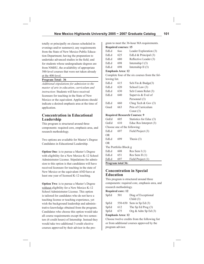totally or principally on classes scheduled in evenings and/or summers); any requirements from the State of New Mexico Public Education Department; having the preparation to undertake advanced studies in the field; and for students whose undergraduate degrees are from NMHU, the availability of appropriate 500-level courses that were not taken already at the 400-level.

#### **Program Total: 36**

*Additional stipulations for admission to the master of arts in education, curriculum and instruction*: Students will have received licensure for teaching in the State of New Mexico or the equivalent. Applications should indicate a desired emphasis area at the time of application.

# **Concentration in Educational Leadership**

This program is structured around three components: required core, emphasis area, and research methodology.

Two options are available for Master's Degree Candidates in Educational Leadership.

**Option One**: is to pursue a Master's Degree with eligibility for a New Mexico K-12 School Administrator License. Stipulations for admission to this option is that candidates will have received licensure for teaching in the state of New Mexico or the equivalent AND have at least one year of licensed K-12 teaching.

**Option Two**: is to pursue a Master's Degree without eligibility for a New Mexico K-12 School Administrator License. This option is tailored for candidates who do not have a teaching license or teaching experience, yet wish the background leadership and administrative knowledge obtained from the program. Candidates who choose this option would take all course requirements except the two semesters (6 credit hours) of Internship. Instead they would take two additional 3-credit elective courses approved by their advisor in the program to meet the 36-hour MA requirements.

**Required courses: 15**

| EdLd | 600 | Leader Exploration (3) |
|------|-----|------------------------|
| EdLd | 625 | EdLd & Principal (3)   |
| EdLd | 680 | Reflective Leader (3)  |
| EdLd | 698 | Internship $I(3)$      |
| EdLd | 698 | Internship II $(3)$    |
|      |     |                        |

#### **Emphasis Area: 12**

Complete four of the six courses from the following list.

| EdLd | 615 | Sch Fin $& Budge(3)$    |
|------|-----|-------------------------|
| EdLd | 620 | School Law (3)          |
| EdLd | 630 | Sch Comm Relat (3)      |
| EdLd | 640 | Supervis & Eval of      |
|      |     | Personnel (3)           |
| EdLd | 660 | Chng Tech $&$ Gov $(3)$ |
| Gned | 663 | Prin of Curriculum      |
|      |     | Const $(3)$             |

#### **Required Research Courses: 9**

| GnEd                         | 605 | Statistics for Educ (3) |  |  |
|------------------------------|-----|-------------------------|--|--|
| GnEd                         | 610 | Educ Res Interpret (3)  |  |  |
| Choose one of the following: |     |                         |  |  |
| EdLd                         | 697 | Field Project (3)       |  |  |
| OR.                          |     |                         |  |  |
| EdLd                         | 699 | Thesis $(3)$            |  |  |
| OR.                          |     |                         |  |  |
| The Portfolio Block:g        |     |                         |  |  |
| EdLd                         | 608 | Res Sem $I(1)$          |  |  |
| EdLd                         | 651 | Res Sem II(1)           |  |  |
| EdLd                         | 697 | Field Project (1)       |  |  |
| <b>Program total 36:</b>     |     |                         |  |  |

# **Concentration in Special Education**

This program is structured around three components: required core, emphasis area, and research methodology.

#### **Required core: 12**

| SpEd | 501 | Diag of Exceptional      |
|------|-----|--------------------------|
|      |     | Child $(3)$              |
| SpEd |     | 550-650 Sem in Sp Ed (3) |
| SpEd | 612 | The Sp Ed Prog $(3)$     |
| SpEd | 675 | Org & Adm Sp Ed (3)      |
|      |     |                          |

#### **Emphasis Area: 12**

Choose twelve credits from the following list or from additional courses approved by the program advisor.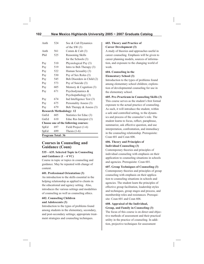| Anth                                 | 524 | Soc & Cult Dynamics        |  |  |
|--------------------------------------|-----|----------------------------|--|--|
|                                      |     | of the SW $(3)$            |  |  |
| Anth                                 | 561 | Comm $&$ Cult $(3)$        |  |  |
| Phil                                 | 525 | Reasoning Skills           |  |  |
|                                      |     | for the Schools (3)        |  |  |
| Psy                                  | 510 | Physiological Psy (3)      |  |  |
| Psy                                  | 519 | Intro to Beh Therapy (3)   |  |  |
| Psy                                  | 522 | Human Sexuality (3)        |  |  |
| Psy                                  | 530 | Psy of Sex Roles (3)       |  |  |
| Psy                                  | 545 | Beh Disorders in Child (2) |  |  |
| Psy                                  | 573 | Psy of Suicide (3)         |  |  |
| Psy                                  | 605 | Memory & Cognition $(3)$   |  |  |
| Psy                                  | 671 | Psychodynamics &           |  |  |
|                                      |     | Psychopathology (3)        |  |  |
| Psy                                  | 674 | Ind Intelligence Test (3)  |  |  |
| Psy                                  | 675 | Personality Assess (3)     |  |  |
| Psy                                  | 679 | Beh Therapy & Assess (3)   |  |  |
| <b>Research Methodology: 12</b>      |     |                            |  |  |
| GnEd                                 | 605 | Statistics for Educ (3)    |  |  |
| GnEd                                 | 610 | Educ Res Interpret (3)     |  |  |
| Choose one of the following courses: |     |                            |  |  |
| SpEd                                 | 697 | Field Project (1-6)        |  |  |
| SpEd                                 | 699 | Thesis $(1-6)$             |  |  |
| <b>Program Total: 36</b>             |     |                            |  |  |

# **Courses in Counseling and Guidance (Coun)**

# **535 – 635. Selected Topic in Counseling and Guidance (1 – 4 VC)**

Course in topic or topics in counseling and guidance. May be repeated with change of content.

### **601. Professional Orientation (3)**

An introduction to the skills essential in the helping relationship as applied to clients in the educational and agency setting. Also, introduces the various settings and modalities of counseling as well as counseling ethics.

#### **602. Counseling Children and Adolescents (3)**

Introduction to the types of problems found among students in the elementary, secondary, and post-secondary settings; appropriate treatment strategies and counseling techniques.

### **603. Theory and Practice of Career Development (3)**

A study of theories and approaches useful in career counseling. Emphasis will be given to career planning models, sources of information, and exposure to the changing world of work.

# **604. Counseling in the Elementary School (3)**

Introduction to the types of problems found among elementary school children; exploration of developmental counseling for use in the elementary school.

### **605. Pre-Practicum in Counseling Skills (3)**

This course serves as the student's first formal exposure to the actual practice of counseling. As such, it will introduce the student, within a safe and controlled setting, to the dynamics and process of the counselor's role. The student learns to focus, reflect, paraphrase, summarize, ask effective question, and use interpretation, confrontation, and immediacy in the counseling relationship. Prerequisite: Coun 601 and Coun 606.

# **606. Theory and Principles of Individual Counseling (3)**

Contemporary theories and principles of individual counseling with emphasis on their application to counseling situations in schools and agencies. Prerequisite: Coun 601.

### **607. Group Techniques of Counseling (3)**

Contemporary theories and principles of group counseling with emphasis on their application to counseling situations in schools and agencies. The student learn the principles of effective group facilitation, leadership styles and techniques, group stages and process, and membership roles and resistances. Prerequisite: Coun 601 and Coun 606.

# **608. Appraisal of the Individual, Group, and Family in Counseling (3)**

The focus of this course is on direct and objective methods of assessment and their practical utility in the practice of counseling. In addition, projective techniques for assessment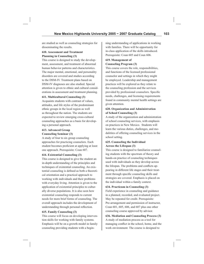are studied as well as counseling strategies for disseminating the results.

# **610. Assessment and Treatment Planning in Counseling (3)**

This course is designed to study the development, assessment, and treatment of abnormal human behavior patterns and characteristics. The major mental, emotional, and personality disorders are covered and studies according to the DSM-IV. Treatment plans based on DSM-IV diagnoses are also studied. Special attention is given to ethnic and cultural considerations in assessment and treatment planning.

# **611. Multicultural Counseling (3)**

Acquaints students with contrast of values, attitudes, and life styles of the predominant ethnic groups in the local region as well as throughout the nation. The students are expected to review emerging cross-cultural counseling approaches as a basis for developing a personal approach.

# **613. Advanced Group Counseling Seminar (3)**

A study of four to six group counseling approaches for practicing counselors. Each student becomes proficient at applying at least one approach. Prerequisite: Coun 607.

# **614. Existential Counseling (3)**

This course is designed to give the student an in-depth understanding of the principles and techniques of existential counseling. An existential counseling is defined as both a theoretical orientation and a practical approach to working with individuals and their problems with everyday living. Attention is given to the application of existential principles to culturally diverse populations. It is also seen how existential counseling responds to current needs for more brief forms of counseling. The overall approach includes the development of understanding through personal reflection.

# **615. Family Counseling (3)**

This course will focus on developing intervention skills for working with family systems. Emphasis will be on a growth model in family counseling providing students with a beginning understanding of applications in working with families. There will be opportunity for in-class application of the skills introduced. Prerequisite: Coun 605 and Coun 606.

# **619. Management of Counseling Program (3)**

This course covers the role, responsibilities, and functions of the licensed professional counselor and settings in which they might be employed. Leadership and management practices will be explored as they relate to the counseling profession and the services provided by professional counselors. Specific needs, challenges, and licensing requirements found in community mental health settings are given attention.

# **620. Organization and Administration of School Counseling (3)**

A study of the organization and administration of school counseling services, with emphasis on practices in New Mexico. Students will learn the various duties, challenges, and modalitites of offering counseling services in the school setting.

# **625. Counseling the Individual Across the Lifespan (3)**

This course is designed to familiarize counseling students with the spectrum of theory and hands-on practice of counseling techniques used with individuals as they develop across the lifespan. The problems and conflicts appearing in different life stages and their treatment through specific counseling skills and strategies are covered. Emphasis is placed on the individual within a family context.

# **634. Practicum in Counseling (3)**

Field experience in counseling and guidance in a planned, recorded, and evaluated project. May be repeated for credit. Prerequisite: Pre-arrangement and permission of instructor, Coun 601, 605, 606, and 607 plus one other counseling course approved by advisor.

**636. Mediation and Counseling Process (3)**  A study of mediation process as a tool for managing conflict in the school, home, and the work environment. The course is designed to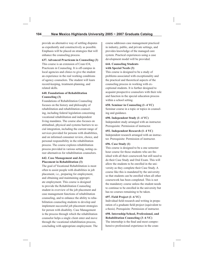provide an alternative way of settling disputes as expediently and constructively as possible. Emphasis will be placed on strategies that will enhance the counseling process.

# **637. Advanced Practicum in Counseling (3)**

This course is an extension of Coun 634, Practicum in Counseling. It is off-campus in local agencies and clinics to give the student an experience in the real working conditions of agency counselors. The student will learn record-keeping, treatment-planning, and related skills.

#### **640. Foundations of Rehabilitation Counseling (3)**

Foundations of Rehabilitation Counseling focuses on the history and philosophy of rehabilitation and rehabilitation counseling, including federal legislation concerning vocational rehabilitation and independent living mandates. The course also focuses on attitudinal, physical and systems barriers to social integration, including the current range of services provided for persons with disabilities, and on informed consumer review, choice, and personal responsibility in the rehabilitation process. The course explores rehabilitation process provided in various setting, noting career alternatives for rehabilitation counselors.

#### **642. Case Management and Job Placement in Rehabilitation (3)**

The goal of Vocational Rehabilitation is most often to assist people with disabilities in job placement, i.e., preparing for employment, and obtaining and maintaining appropriate employment. This course is designed to provide the Rehabilitation Counseling student in overview of the job placement and case management functions of rehabilitation counseling, and to enhance the ability to rehabilitation counseling students to develop and implement successful job placement strategies for person with disability. Case Management is the process through which the rehabilitation counselor helps a single client enter and move through the vocational rehabilitation process, concluding with appropriate employment. The course addresses case management practiced in industry, public, and private settings, and provides knowledge of the managed care system. Practical experiences using a case development model will be provided.

### **644. Counseling Students with Special Needs (3)**

This course is designed to be a study of problems associated with exceptionality and the practical and theoretical aspects of the counseling process in working with exceptional students. It is further designed to acquaint prospective counselors with their role and function in the special education process within a school setting.

#### **650. Seminar in Counseling (1–4 VC)**

Seminar course in a topic or topics in counseling and guidance.

#### **690. Independent Study (1–4 VC)**

Independent study arranged with an instructor. Prerequisite: Permission of instructor.

#### **692. Independent Research (1–4 VC)**

Independent research arranged with an instructor. Prerequisite: Permission of instructor.

#### **696. Case Study (1)**

This course is designed to be a one semester hour course for those students who are finished with all their coursework but still need to do their Case Study and Oral Exam. This will allow the students to be enrolled in the university as they complete their Case Study. A course like this is mandated by the university so that students can be enrolled when all other coursework has been completed. This is not the mandatory course unless the student needs to continue to be enrolled in the university but has no courses remaining to be taken.

#### **697. Field Project (1–6 VC)**

Individual field research and writing in preparation of a graduate field project (equivalent to a thesis). Prerequisite: Permission of instructor.

# **698. Internship/School, Professional, and Rehabilitation Counseling (3–6 VC)**

The internship is the final and most comprehensive professional experience in the coun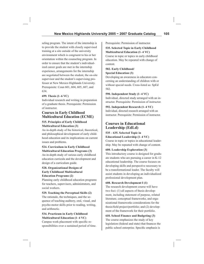seling program. The intent of the internship is to provide the student with closely supervised training at a site outside of the university environment which is congruent to his or her orientation within the counseling program. In order to ensure that the student's individualized career goals are met in the internship experience, arrangements for the internship are negotiated between the student, the on-site supervisor and the student's supervising professor at New Mexico Highlands University. Prerequisite: Coun 601, 604, 605, 607, and 634.

# **699. Thesis (1–6 VC)**

Individual research and writing in preparation of a graduate thesis. Prerequisite: Permission of instructor.

# **Courses in Early Childhood Multicultural Education (ECME)**

# **515. Principles of Early Childhood Multicultural Education (3)**

An in-depth study of the historical, theoretical, and philosophical development of early childhood education and its implications on current issues and problems.

# **524. Curriculum in Early Childhood Multicultural Education Programs (3)**

An in-depth study of various early childhood education curricula and the development and design of a curriculum guide.

# **528. Organizational Designs of Early Childhood Multicultural Education Programs (2)**

Planning early childhood education programs for teachers, supervisors, administrators, and social workers.

### **529. Teaching the Perceptual Skills (2)**

The rationale, the techniques, and the sequence of teaching auditory, oral, visual, and psycho-motor skills prior to reading, writing, and arithmetic.

### **534. Practicum in Early Childhood Multicultural Education (1–4 VC)**

Campus work placement with specific responsibilities over a sustained period of time. Prerequisite: Permission of instructor.

### **535. Selected Topic in Early Childhood Multicultural Education (1–4 VC)**

Course in topic or topics in early childhood education. May be repeated with change of content.

# **582. Early Childhood/ Special Education (3)**

Developing an awareness in educators concerning an understanding of children with or without special needs. Cross-listed as: SpEd 582.

# **590. Independent Study (1–4 VC)**

Individual, directed study arranged with an instructor. Prerequisite: Permission of instructor.

### **592. Independent Research (1–4 VC)**

Individual, directed research arranged with an instructor. Prerequisite: Permission of instructor.

# **Courses in Educational Leadership (EdLd)**

#### **535 – 635. Selected Topic in Educational Leadership (1–4 VC)**

Course in topic or topics in educational leadership. May be repeated with change of content.

### **600. Leadership Exploration (3)**

This introductory course is designed for graduate students who are pursuing a career in K-12 educational leadership. The course focuses on developing skills and perspective necessary to be a transformational leader. The faculty will assist students in developing an individualized professional development plan.

### **608. Research Development I (1)**

The research development course will have two foci: (1) all aspects of thesis development, including statement of purpose, related literature, conceptual frameworks, and organizational frameworks considerations for the thesis/field project/portfolio; and (2) development of the framework for their portfolio.

# **610. School Finance and Budgeting (3)**

The course emphasizes the study of key legislation (federal and state) that finances the public school enterprise. Specific emphasis is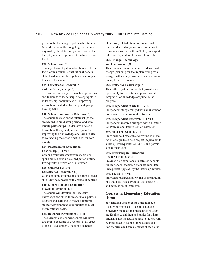given to the financing of public education in New Mexico and the budgeting procedures required by the state, and participation in the budget preparation process at the local district level.

# **620. School Law (3)**

The legal basis of public education will be the focus of this course. Constitutional, federal, state, local, and tort law; policies; and regulations will be studied.

### **625. Educational Leadership and the Principalship (3)**

This course is a study of the nature, processes, and functions of leadership, developing skills in leadership, communication, improving instruction for student learning, and group development.

# **630. School Community Relations (3)**

The course focuses on the relationships that are needed to build strong school and community partnerships. Students will be able to combine theory and practice (praxis) in improving their knowledge and skills related to connecting the schools with a larger community.

# **634. Practicum in Educational Leadership (1–4 VC)**

Campus work placement with specific responsibilities over a sustained period of time. Prerequisite: Permission of instructor.

# **635. Selected Topic in**

### **Educational Leadership (3)**

Course in topic or topics in educational leadership. May be repeated with change of content.

### **640. Supervision and Evaluation of School Personnel (3)**

The course will develop the necessary knowledge and skills for leaders to supervise teachers and staff and to provide appropriate staff development opportunities to meet organizational goals.

### **651. Research Development II (1)**

The research development course will have two foci to continue to develop: (1) all aspects of thesis development, including statement

of purpose, related literature, conceptual frameworks, and organizational frameworks considerations for the thesis/field project/portfolio; and (2) midpoint review of portfolio.

# **660. Change, Technology and Governance (3)**

This course is an introduction to educational change, planning for the implementing technology, with an emphasis on ethical and moral principles of governance.

### **680. Reflective Leadership (3)**

This is the capstone course that provided an opportunity for reflection, application and integration of knowledge acquired in the program.

# **690. Independent Study (1–4 VC)**

Independent study arranged with an instructor. Prerequisite: Permission of instructor.

# **692. Independent Research (1–4 VC)**

Independent research arranged with an instructor. Prerequisite: Permission of instructor.

# **697. Field Project (1–6 VC)**

Individual field research and writing in preparation of a graduate field project (equivalent to a thesis). Prerequisite: GnEd 610 and permission of instructor.

# **698. Internship in Educational Leadership (1–6 VC)**

Provides field experience in selected schools for the school leadership graduate candidate. Prerequisite: Approval by the internship advisor.

# **699. Thesis (1–6 VC)**

Individual research and writing in preparation of a graduate thesis. Prerequisite: GnEd 610 and permission of instructor.

# **Courses in Elementary Education (Elem)**

# **517. English as a Second Language (3)**

A study of English as a second language, conveying methods and procedures of teaching English to children and adults for whom English is not the native tongue. Students will be introduced to second language acquisition theories and basic elements of the sound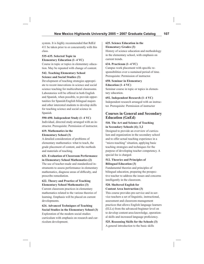system. It is highly recommended that RdEd 411 be taken prior to or concurrently with this class.

# **535-635. Selected Topic in Elementary Education (1–4 VC)**

Course in topic or topics in elementary education. May be repeated with change of content.

# **542. Teaching Elementary School Science and Social Studies (3)**

Development of teaching strategies appropriate to recent innovations in science and social science teaching for multicultural classrooms. Laboratories will be offered in both English and Spanish, when possible, to provide opportunities for Spanish/English bilingual majors and other interested students to develop skills for teaching science and social science in Spanish.

# **590-690. Independent Study (1–4 VC)**

Individual, directed study arranged with an instructor. Prerequisite: Permission of instructor.

### **619. Mathematics in the Elementary School (3)**

A detailed consideration of problems of elementary mathematics–what to teach, the grade placement of content, and the methods and materials of teaching.

# **621. Evaluation of Classroom Performance in Elementary School Mathematics (2)**

The use of teacher-made and standardized instruments to assess performance in elementary mathematics, diagnose areas of difficulty, and prescribe remediation.

# **622. Theory and Practice of Teaching Elementary School Mathematics (3)**

Current classroom practices in elementary mathematics related to the various theories of learning. Emphasis will be placed on current developments.

# **624. Advanced Techniques of Teaching Social Studies in the Elementary School (3)**

Exploration of the modern social studies curriculum with emphasis on research and curriculum development.

## **625. Science Education in the Elementary Grades (3)**

History of science education and methodology in the elementary school, with emphasis on current trends.

# **634. Practicum (1–4 VC)**

Campus work placement with specific responsibilities over a sustained period of time. Prerequisite: Permission of instructor.

# **650. Seminar in Elementary Education (1–4 VC)**

Seminar course in topic or topics in elementary education.

# **692. Independent Research (1–4 VC)**

Independent research arranged with an instructor. Prerequisite: Permission of instructor

# **Courses in General and Secondary Education (GnEd)**

# **510. The Art and Science of Teaching in Secondary Schools (4); 3,2**

Designed to provide an overview of curriculum and organization in the secondary school and to offer actual teaching experience in a "micro-teaching" situation, applying basic teaching strategies and techniques for the purpose of developing teacher competency. A special fee is charged.

# **512. Theories and Principles of Bilingual Education (3)**

Fundamental theories and principles of bilingual education, preparing the prospective teacher to address the issues and concerns intelligently in the classroom.

# **520. Sheltered English for Content Area Instruction (3)**

This course provides pre-service and in-service teachers a set of linguistic, instructional, assessment and classroom-management practices that allows English language learners (ELLs) from the advanced-beginner level on to develop content-area knowledge, operational skills and increased language proficiency.

**525. Reasoning Skills for the Schools (3)**  A general introduction to the basic skills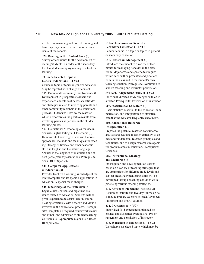involved in reasoning and critical thinking and how they may be incorporated into the curricula of the schools.

**527. Reading in the Content Area (3)**  Survey of techniques for the development of reading/study skills needed at the secondary level as students employ reading as a tool for learning.

# **535–635. Selected Topic in General Education (1–4 VC)**

Course in topic or topics in general education. May be repeated with change of content. 536. Parent and Community Involvement (3) Development in prospective teachers and experienced educators of necessary attitudes and strategies related to involving parents and other community members in the educational process. Students will review the research which demonstrates the positive results from involving parents as partners in the child's learning process.

537. Instructional Methodologies for Use in Spanish/English Bilingual Classrooms (3) Demonstrate knowledge of and use theories, approaches, methods and techniques for teaching literacy, bi-literacy and other academic skills in English and the native language. Spanish is the language of instruction and student participation/presentations. Prerequisite: Span 201 or Span 202.

### **544. Computer Applications in Education (3)**

Provides teachers a working knowledge of the microcomputer and its specific applications in education. A special fee is charged.

# **545. Knowledge of the Profession (3)**

Legal, ethical, career, and organizational issues related to education. Students will be given experiences to assist them in communicating effectively with different individuals involved in the educational process. Prerequisite: Complete all required coursework (major and minor) and admission to student teaching. Co-requisite: Appropriate major Field-Based III experience.

# **550-650. Seminar in General or Secondary Education (1-4 VC)**

Seminar course in a topic or topics in general or secondary education.

#### **555. Classroom Management (3)**

Introduces the student to a variety of techniques for managing behavior in the classroom. Major areas and specific techniques within each will be presented and practiced both in the class and in the student's own teaching situation. Prerequisite: Admission to student teaching and instructor permission.

# **590-690. Independent Study (1-4 VC)**

Individual, directed study arranged with an instructor. Prerequisite: Permission of instructor.

# **605. Statistics for Educators (3)**

Basic statistics essential to the collection, summarization, and interpretation of statistical data that the educator frequently encounters.

# **610. Educational Research Interpretation (3)**

Prepares the potential research consumer to analyze and evaluate research critically, to understand fundamental research principles and techniques, and to design research stratagems for problem areas in education. Prerequisite: GnEd 605.

# **615. Instructional Strategy and Mentoring (3)**

Investigation and development of lessons based on a variety of teaching strategies that are appropriate for different grade levels and subject areas. Peer mentoring skills will be developed through coaching activities while practicing various teaching strategies.

### **630. Advanced Placement Institute (3)**

A summer institute and two day follow up designed to prepare teachers to teach Advanced Placement and Pre AP courses.

### **634. Practicum (1–4 VC)**

Supervised field experiences; planned, recorded, and evaluated. Prerequisite: Pre-arrangement and permission of instructor.

# **636. Workshop in Education (1–4 VC)**

Workshop is a selected topic, which may be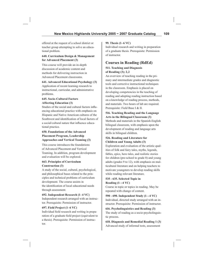offered at the request of a school district or teacher group attempting to solve an educational problem.

# **640. Curriculum Design & Management for Advanced Placement (3)**

This course will provide an in-depth discussion of academic content and methods for delivering instruction in Advanced Placement classrooms.

# **641. Advanced Educational Psychology (3)**

Application of recent learning research to instructional, curricular, and administrative problems.

## **645. Socio-Cultural Factors Affecting Education (3)**

Studies of the social and cultural factors influencing educational practice with emphasis on Hispanic and Native American cultures of the Southwest and identification of local factors of a social/cultural nature that influence educational practice.

# **650. Foundations of the Advanced Placement Program, Leadership Approaches and Vertical Teaming (3)**

This course introduces the foundations of Advanced Placement and Vertical Teaming. In addition, program development and evaluation will be explored.

# **663. Principles of Curriculum Construction (3)**

A study of the social, cultural, psychological, and philosophical bases related to the principles and technical problems of curriculum development. The course assists in the identification of local educational needs through assessment.

# **692. Independent Research (1–4 VC)**

Independent research arranged with an instructor. Prerequisite: Permission of instructor.

# **697. Field Project (1–6 VC)**

Individual field research and writing in preparation of a graduate field project (equivalent to a thesis). Prerequisite: Permission of instructor.

# **99. Thesis (1–6 VC)**

Individual research and writing in preparation of a graduate thesis. Prerequisite: Permission of instructor.

# **Courses in Reading (RdEd)**

# **511. Teaching and Diagnosis of Reading (3); 2,2**

An overview of teaching reading in the primary and intermediate grades and diagnostic tools and corrective instructional techniques in the classroom. Emphasis is placed on developing competencies in the teaching of reading and adopting reading instruction based on a knowledge of reading process, methods, and materials. Two hours of lab are required. Prerequisite: Field Base I & II.

# **516. Teaching Reading and the Language Arts in the Bilingual Classroom (3)**

Methods and materials in the Spanish-English bilingual classroom, with emphasis upon the development of reading and language arts skills in bilingual children.

# **526. Reading and Literature for Children and Young Adults (3)**

Exploration and evaluation of the artistic qualities of folk and fairy tales, myths, legends, fables, epics, hero tales, and realistic stories for children (pre-school to grade 8) and young adults (grades 9 to 12), with emphasis on multicultural literature and on helping teachers to motivate youngsters to develop reading skills while reading relevant literature.

# **535 - 635. Selected Topic in Reading (1–-4 VC)**

Course in topic or topics in reading. May be repeated with change of content.

# **590 - 690. Independent Study (1–-4 VC)**

Individual, directed study arranged with an instructor. Prerequisite: Permission of instructor.

# **616. Psycholinguistics and Reading (3)**  The study of reading as a socio-psycholinguistic process.

**618. Diagnosis and Remedial Reading 1 (3)**  Advanced study of informal tests, assessment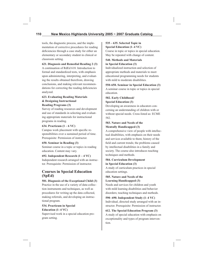tools, the diagnostic process, and the implementation of corrective procedures for reading deficiencies through a case study for either an elementary or secondary student in clinical or classroom setting.

#### **621. Diagnosis and Remedial Reading 2 (3)**

A continuation of RdEd 618. Introduction to formal and standardized tests, with emphasis upon administering, interpreting, and evaluating the results obtained therefrom, drawing conclusions, and making relevant recommendations for correcting the reading deficiencies analyzed.

## **623. Evaluating Reading Materials & Designing Instructional Reading Programs (3)**

Survey of reading resources and development and use of standards in selecting and evaluating appropriate materials for instructional programs in reading.

#### **634. Practicum (1 – 6 VC)**

Campus work placement with specific responsibilities over a sustained period of time. Prerequisite: Permission of instructor.

## **650. Seminar in Reading (3)**

Seminar course in a topic or topics in reading education. Content may vary.

## **692. Independent Research (1 – 4 VC)**

Independent research arranged with an instructor. Prerequisite: Permission of instructor.

# **Courses in Special Education (SpEd)**

#### **501. Diagnosis of the Exceptional Child (3)**

Practice in the use of a variety of data-collection instruments and techniques, as well as procedures for writing up the data collected, making referrals, and developing an instructional program.

#### **534. Practicum in Special Education (1–4 VC)**

Supervised work in a special education program setting.

#### **535 – 635. Selected Topic in Special Education (1–4 VC)**

Course in topic or topics in special education. May be repeated with change of content.

## **540. Methods and Materials in Special Education (3)**

Individualized instruction and selection of appropriate methods and materials to meet educational programming needs for students with mild to moderate disabilities.

## **550-650. Seminar in Special Education (3)**

A seminar course in topic or topics in special education.

# **582. Early Childhood/ Special Education (3)**

Developing an awareness in educators concerning an understanding of children with or without special needs. Cross-listed as: ECME 582.

## **583. Nature and Needs of the Mentally Handicapped (3)**

A comprehensive view of people with intellectual disabilities, with emphasis on their needs and services available to them; history of the field and current trends; the problems caused by intellectual disabilities in a family and society. The course also introduces teaching techniques and methods.

## **584. Curriculum Development in Special Education (3)**

A study of curriculum practices in special education settings.

## **585. Nature and Needs of the Learning Handicapped (3)**

Needs and services for children and youth with mild learning disabilities and behavior disorders; teaching techniques and methods.

**590–690. Independent Study (1–4 VC)** Individual, directed study arranged with an instructor. Prerequisite: Permission of instructor.

**612. The Special Education Program (3)** A study of special education with emphasis on exceptionality and types of program intervention.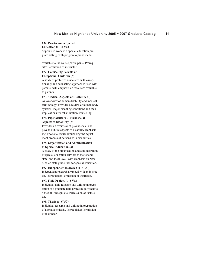## **634. Practicum in Special**  Education  $(1 - 8 \text{ VC})$

Supervised work in a special education program setting, with program options made

available to the course participants. Prerequisite: Permission of instructor.

## **672. Counseling Parents of Exceptional Children (3)**

A study of problems associated with exceptionality and counseling approaches used with parents, with emphasis on resources available to parents.

## **673. Medical Aspects of Disability (3)**

An overview of human disability and medical terminology. Provides a review of human body systems, major disabling conditions and their implications for rehabilitation counseling.

## **674. Psychocultural/Psychosocial Aspects of Disability (3)**

Provides an overview of psychosocial and psychocultural aspects of disability emphasizing emotional issues influencing the adjustment process of persons with disabilities.

## **675. Organization and Administration of Special Education (3)**

A study of the organization and administration of special education services at the federal, state, and local level, with emphasis on New Mexico state guidelines for special education.

## **692. Independent Research (1–4 VC)**

Independent research arranged with an instructor. Prerequisite: Permission of instructor.

## **697. Field Project (1–6 VC)**

Individual field research and writing in preparation of a graduate field project (equivalent to a thesis). Prerequisite: Permission of instructor.

## **699. Thesis (1–6 VC)**

Individual research and writing in preparation of a graduate thesis. Prerequisite: Permission of instructor.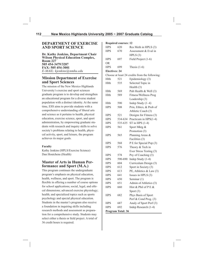## **DEPARTMENT OF EXERCISE AND SPORT SCIENCE**

**Dr. Kathy Jenkins, Department Chair Wilson Physical Education Complex, Room 227 505 454-3479/3287 FAX: 505 454-3001** *E-MAIL: kjenkins@nmhu.edu*

# **Mission Department of Exercise and Sport Sciences**

The mission of the New Mexico Highlands University's exercise and sport sciences graduate program is to develop and strengthen an educational program for a diverse student population with a distinct identity. At the same time, ESS aims to provide students with a comprehensive understanding of liberal arts and science as it pertains to health, physical education, exercise science, sport, and sport administration, by empowering graduate students with research and inquiry skills to solve society's problems relating to health, physical activity, sport, and leisure, the program achieves its major goals.

## **Faculty**

Kathy Jenkins (HPLS/Exercise Science) Dan Houtchens (Health)

# **Master of Arts in Human Performance and Sport (M.A.)**

This program continues the undergraduate program's emphasis on physical education, health, wellness, and sport. The program is flexible in offering a number of course options for school applications; social, legal, and ethical dimensions; advanced exercise physiology; health; and specialized topics such as sports psychology and special physical education. Students in the master's program also receive a foundation in inquiring skills including research methods and assessment as preparation for a comprehensive study. Students may select either a thesis or field project. A total of 36 credit hours is required.

| <b>Required courses: 12</b> |         |                                                |
|-----------------------------|---------|------------------------------------------------|
| <b>HPS</b>                  | 620     | Res Meth in HPLS (3)                           |
| <b>HPS</b>                  | 670     | Assessment & Eval in                           |
|                             |         | HPLS(3)                                        |
| <b>HPS</b>                  | 697     | Field Project (1-6)                            |
| OR                          |         |                                                |
| <b>HPS</b>                  | 699     | Thesis $(1-6)$                                 |
| <b>Electives: 24</b>        |         |                                                |
|                             |         | Choose at least 24 credits from the following: |
| Hlth                        | 521     | Epidemiology (3)                               |
| Hlth                        | 535     | Selected Topic in                              |
|                             |         | Health (3)                                     |
| Hlth                        | 569     | Pub Health & Well (3)                          |
| Hlth                        | 589     | Fitness/Wellness Prog                          |
|                             |         | Leadership (3)                                 |
| Hlth                        | 590     | Indep Study (1-4)                              |
| <b>HPS</b>                  | 508     | Prin, Ethics, & Prob of                        |
|                             |         | Athletic Coach (3)                             |
| <b>HPS</b>                  | 521     | Designs for Fitness (3)                        |
| <b>HPS</b>                  | 534-634 | Practicum in HPS(1-4)                          |
| <b>HPS</b>                  | 535-635 | ST in HPS $(1-4)$                              |
| <b>HPS</b>                  | 561     | Sport Mktg &                                   |
|                             |         | Promotion (3)                                  |
| <b>HPS</b>                  | 565     | Planning Areas &                               |
|                             |         | Facilities (3)                                 |
| <b>HPS</b>                  | 568     | P E for Special Pop (3)                        |
| <b>HPS</b>                  | 576     | Theory & Tech in                               |
|                             |         | Exer Stress Testing (3)                        |
| <b>HPS</b>                  | 578     | Psy of Coaching (3)                            |
| <b>HPS</b>                  | 590-690 | Indep Study (1-4)                              |
| <b>HPS</b>                  | 604     | Curriculum Design (3)                          |
| <b>HPS</b>                  | 612     | Sport in Society (3)                           |
| <b>HPS</b>                  | 613     | PE, Athletics & Law (3)                        |
| <b>HPS</b>                  | 641     | Issues in HPLS (3)                             |
| <b>HPS</b>                  | 650     | Seminar (1)                                    |
| <b>HPS</b>                  | 651     | Admin of Athletics (3)                         |
| <b>HPS</b>                  | 660     | Hist & Phil of P E &                           |
|                             |         | Sport (3)                                      |
| HPS                         | 682     | Phys Basis of Sport                            |
|                             |         | Perf & Cond Prog. (3)                          |
| <b>HPS</b>                  | 687     | Analy of Sport Perf (3)                        |
| <b>HPS</b>                  | 692     | Indep Research (1-4)                           |
| Program Total: 36           |         |                                                |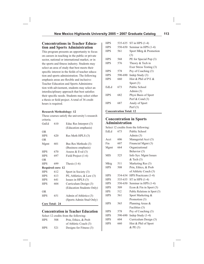# **Concentrations in Teacher Education and Sports Administration**

This program presents an opportunity to focus on careers in teaching in the public or private sector, national or international market, or in the sports and fitness industry. Students may select an area of study that best meets their specific interest in the fields of teacher education and sports administration. The following emphasis areas are flexible and inclusive: Teacher Education and Sports Administration with advisement, students may select an interdisciplinary approach that best satisfies their specific needs. Students may select either a thesis or field project. A total of 36 credit hours is required.

## **Research Methodology: 12**

These courses satisfy the university's research criteria.

| GnEd                  | 610                      | Educ Res Interpret (3)    |
|-----------------------|--------------------------|---------------------------|
|                       |                          | (Education emphasis)      |
| 0R                    |                          |                           |
| <b>HPS</b>            | 620                      | Res Meth HPLS (3)         |
| OR                    |                          |                           |
| Mgmt                  | 601                      | Bus Res Methods (3)       |
|                       |                          | (Business emphasis)       |
| <b>HPS</b>            | 670                      | Assess & Eval $(3)$       |
| <b>HPS</b>            | 697                      | Field Project (1-6)       |
| 0R                    |                          |                           |
| <b>HPS</b>            | 699                      | Thesis $(1-6)$            |
|                       | <b>Required core: 12</b> |                           |
| <b>HPS</b>            | 612                      | Sport in Society (3)      |
| <b>HPS</b>            | 613                      | PE, Athletics, $& Law(3)$ |
| <b>HPS</b>            | 641                      | Issues in HPLS $(3)$      |
| <b>HPS</b>            | 604                      | Curriculum Design (3)     |
|                       |                          | (Education Students Only) |
| OR                    |                          |                           |
| <b>HPS</b>            | 651                      | Admin of Athletics (3)    |
|                       |                          | (Sports Admin Stud Only)  |
| <b>Core Total: 24</b> |                          |                           |

# **Concentration in Teacher Education**

| Select 12 credits from the following: |     |                         |
|---------------------------------------|-----|-------------------------|
| <b>HPS</b>                            | 508 | Prin, Ethics, & Prob.   |
|                                       |     | of Athletic Coach (3)   |
| <b>HPS</b>                            | 521 | Designs for Fitness (3) |

| <b>HPS</b>                     | 535-635 | $ST$ in HPS $(1-4)$     |
|--------------------------------|---------|-------------------------|
| <b>HPS</b>                     | 550-650 | Seminar in HPS (1-4)    |
| <b>HPS</b>                     | 561     | Sport Mktg & Promotion  |
|                                |         | (3)                     |
| <b>HPS</b>                     | 568     | PE for Special Pop (3)  |
| <b>HPS</b>                     | 576     | Theory & Tech in        |
|                                |         | Exer Stress Testing (3) |
| <b>HPS</b>                     | 578     | Psy of Coaching (3)     |
| <b>HPS</b>                     | 590-690 | Indep Study $(3)$       |
| <b>HPS</b>                     | 660     | Hist & Phil of P E $\&$ |
|                                |         | Sport $(3)$             |
| EdLd                           | 673     | Public School           |
|                                |         | Admin $(3)$             |
| <b>HPS</b>                     | 682     | Physi Basis of Sport    |
|                                |         | Perf $& Cond(3)$        |
| <b>HPS</b>                     | 687     | Analy of Sport          |
|                                |         | Perf $(3)$              |
| <b>Concentration Total: 12</b> |         |                         |

# **Concentration in Sports Administration**

| Select 12 credits from the following: |         |                               |  |
|---------------------------------------|---------|-------------------------------|--|
| EdLd                                  | 673     | Public School                 |  |
|                                       |         | Admin $(3)$                   |  |
| Acct                                  | 606     | Managerial Acct (3)           |  |
| Fin                                   | 607     | Financial Mgmt (3)            |  |
| Mgmt                                  | 664     | Organizational                |  |
|                                       |         | Behavior (3)                  |  |
| <b>MIS</b>                            | 525     | Info Sys: Mgmt Issues         |  |
|                                       |         | $&$ Tech $(3)$                |  |
| Mktg                                  | 511     | Marketing Res (3)             |  |
| <b>HPS</b>                            | 508     | Prin, Ethics, & Prob          |  |
|                                       |         | of Athletic Coach (3)         |  |
| <b>HPS</b>                            | 534-634 | HPS Practicum (1-4)           |  |
| <b>HPS</b>                            | 535-635 | $ST$ in HPS $(1-4)$           |  |
| <b>HPS</b>                            | 550-650 | Seminar in HPS (1-4)          |  |
| <b>HPS</b>                            | 509     | Econ & Fin in Sport $(3)$     |  |
| <b>HPS</b>                            | 512     | Public Relations in Sport (3) |  |
| <b>HPS</b>                            | 561     | Sport Marketing &             |  |
|                                       |         | Promotion (3)                 |  |
| <b>HPS</b>                            | 565     | Planning Areas &              |  |
|                                       |         | Facilities (3)                |  |
| <b>HPS</b>                            | 578     | Psy of Coaching (3)           |  |
| <b>HPS</b>                            | 590-690 | Indep Study (1-4)             |  |
| <b>HPS</b>                            | 604     | Curriculum Design (3)         |  |
| <b>HPS</b>                            | 660     | Hist & Phil of Sport          |  |
|                                       |         | $&$ PE $(3)$                  |  |
|                                       |         |                               |  |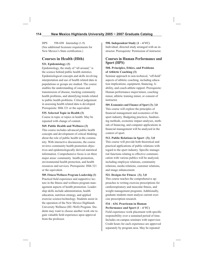HPS 598-698 Internship (1-9) (See additional licensure requirements for New Mexico's State certification.)

# **Courses in Health (Hlth)**

## **521. Epidemiology (3)**

Epidemiology, the study of "all around," is the science behind public health statistics. Epidemiological concepts and skills involving interpretation and use of health related data in populations or groups are studied. The course enables the understanding of causes and transmission of disease, tracking community health problems, and identifying trends related to public health problems. Critical judgement in assessing health related data is developed. Prerequisite: Hlth 321 or the equivalent.

## **535. Selected Topic in Health (3)**

Course in topic or topics in health. May be repeated with change of content.

## **569. Public Health and Wellness (3)**

This course includes advanced public health concepts and development of critical thinking about the role of public health in the community. With interactive discussions, the course reviews community health promotion objectives and epidemiologically derived statistical information. Comprehensive focus is on three major areas: community health promotion, environmental health protection, and health resources and services. Prerequisite: Hlth 321 or the equivalent.

**589. Fitness/Wellness Program Leadership (3)** Practical field experience and supportive lecture in the fitness and wellness program management aspects of health promotion. Leadership skills include administration, health education, nutrition strategy, and applied exercise science/technology. Students assist in the operation of the New Mexico Highlands University Wellness (HU-Well) Program. Students may want to choose another work site to gain valuable field experience upon approval from the professor.

## **590. Independent Study (1 – 4 VC)**

Individual, directed study arranged with an instructor. Prerequisite: Permission of instructor.

## **Courses in Human Performance and Sport (HPS)**

## **508. Principles, Ethics, and Problems of Athletic Coaching (3)**

Seminar approach to non-technical, "off-field" aspects of athletic coaching, including education implications, equipment, financing, liability, and coach-athlete rapport. Prerequisite: Human performance major/minor, coaching minor, athletic training minor, or consent of instructor.

**509. Economics and Finance of Sport (3); 3,0**  This course will explore the principles of financial management and economics of the sport industry. Budgeting practices, fundraising methods, economic impact analyses, methods of financing, and computer applications in financial management will be analyzed in the context of sport.

## **512. Public Relations in Sport (3); 3,0**

This course will provide both theoretical and practical applications of public relations with regard to the sport industry. Specific managerial functions relating to effective communication with various publics will be analyzed, including employee relations, community relations, media relations, customer relations, and image enhancement.

## **521. Designs for Fitness (3); 3,0**

This course teaches the comprehensive approaches to writing exercise prescriptions for cardiorespiratory and muscular fitness, and weight management programs. Additionally, graduate students must analyze current exercise prescription research.

## **534 – 634. Practicum in Human Performance and Sport (1 – 4 VC)**

Field experience work placement with specific responsibility over a sustained period of time. Includes on-campus seminars with supervisor. Credit hours for each experience are approved separately by program area. May be repeated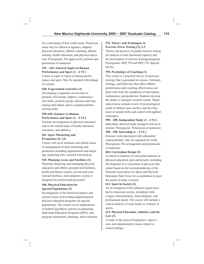for a maximum of four credit hours. Practicum areas may be offered in aquatics, adapted physical education, athletic coaching, athletic training, health education, and physical education. Prerequisite: Pre-approval by petition and permission of instructor.

## **535 – 635. Selected Topics in Human Performance and Sport (1 – 4 VC)**

Course in topic or topics in human performance and sport. May be repeated with change of content.

## **540. Experiential Activities (3)**

Developing a repertoire of activities to promote self esteem, improve communication skills, promote group cohesion and trust among individuals, and to expand problemsolving skills.

#### **550-650. Seminar in Human Performance and Sport (1 – 4 VC)**

Seminar investigations in physical education and/or the related areas of health education, recreation, and athletics.

## **561. Sport Marketing and Promotion (3); 3,0**

Course will cover elements and salient issues in management of sport marketing and promotion including segmentation and targeting, marketing mix, research and analysis.

## **565. Planning Areas and Facilities (3)**

Planning, financing, and managing physical education and athletic grounds and facilities, health and fitness centers, private and commercial facilities, and campsites–course is designed for professional personnel.

## **568. Physical Education for Special Populations (3)**

Investigations of the historical aspects and current issues of providing adapted/special physical education programs for special populations. The course covers implications of federal legislation, practice in preparing Individual Education Programs (IEPs), and program assessment, planning, and evaluation.

## **576. Theory and Techniques in Exercise Stress Testing (3); 2,2**

Theory and practice of graded exercise testing for analysis of safe functional capacity and for prescription of exercise training programs. Prerequisite: HPS 370 and HPS 376. Special lab fee.

## **578. Psychology of Coaching (3)**

This course is a practical survey of sport psychology that is grounded in science. Attitudes, feelings, and behaviors that affect athletic performance and coaching effectiveness are dealt with from the standpoint of description, explanation, and prediction. Students develop the ability to interpret research results. Major topical areas include review of psychological needs of athletes and coaches, and development of mental skills and control with applied techniques.

## **590 – 690. Independent Study (1 – 4 VC)** Individual, directed study arranged with an instructor. Prerequisite: Permission of instructor. **598 – 698. Internship (1 – 9 VC)**

External work placement with substantial responsibilities. May be repeated for credit. Prerequisite: Pre-arrangement and permission of instructor.

## **604. Curriculum Design (3)**

A critical evaluation of curriculum patterns in physical education, past and present, including development of a curriculum in physical education based on the recommendations of the National Association for Sport and Physical Education Task Force for accreditation to meet the needs of today's society.

## **612. Sport in Society (3)**

An investigation of the influence sports have had in American society, including Little League, interscholastic, intercollegiate, and professional sports. The course will include a critical analysis of such trends as violence in sports.

## **613. Physical Education, Athletics, and the Law (3)**

A study of the areas of negligence, supervision, and administrative issues related to school settings.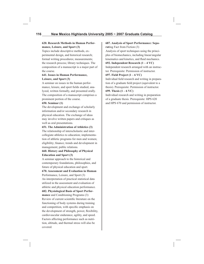## **620. Research Methods in Human Performance, Leisure, and Sport (3)**

Topics include descriptive methods, experimental design, and historical research; formal writing procedures; measurements; the research process; library techniques. The composition of a manuscript is a major part of the course.

## **641. Issues in Human Performance, Leisure, and Sport (3)**

A seminar on issues in the human performance, leisure, and sport fields studied, analyzed, written formally, and presented orally. The composition of a manuscript comprises a prominent portion of the course.

## **650. Seminar (1)**

The development and exchange of scholarly information and/or secondary research in physical education. The exchange of ideas may involve written papers and critiques as well as oral presentations.

## **651. The Administration of Athletics (3)**

The relationship of interscholastic and intercollegiate athletics to education; implementation of athletic programs for men and women; eligibility; finance; trends and development in management; public relations.

## **660. History and Philosophy of Physical Education and Sport (3)**

A seminar approach to the historical and contemporary foundations, philosophies, and future of physical education and sport.

**670. Assessment and Evaluation in Human**  Performance, Leisure, and Sport (3) An interpretation of practical statistical data utilized in the assessment and evaluation of athletic and physical education performance. **682. Physiological Basis of Sport Performance** and Conditioning Programs (3) Review of current scientific literature on the functioning of body systems during training and competition, with specific emphasis on the development of strength, power, flexibility, cardiovascular endurance, agility, and speed. Factors affecting performance such as nutrition, altitude, and thermal stress will also be covered.

## **687. Analysis of Sport Performance: Separat**ing Fact from Fiction (3)

Analysis of sport techniques using the principles of biomechanics, including linear/angular kinematics and kinetics, and fluid mechanics.

## **692. Independent Research (1 – 4 VC)**

Independent research arranged with an instructor. Prerequisite: Permission of instructor.

## **697. Field Project (1 – 6 VC)**

Individual field research and writing in preparation of a graduate field project (equivalent to a thesis). Prerequisite: Permission of instructor.

## **699. Thesis (1 – 6 VC)**

Individual research and writing in preparation of a graduate thesis. Prerequisite: HPS 620 and HPS 670 and permission of instructor.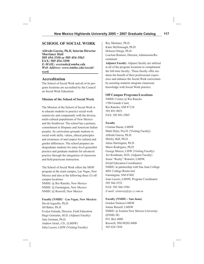# **SCHOOL OF SOCIAL WORK**

**Alfredo Garcia, Ph.D, Interim Director Mortimer Hall 505 454-3310 or 505 454-3563 FAX: 505 454-3290** *E-MAIL: eestrada@nmhu.edu Web Address: www.nmhu.edu/socialwork*

## **Accreditation**

The School of Social Work and all of its program locations are accredited by the Council on Social Work Education.

## **Mission of the School of Social Work**

The Mission of the School of Social Work is to educate students to practice social work sensitively and competently with the diverse, multi-cultural populations of New Mexico and the Southwest. The school has a primary commitment to Hispanic and American Indian peoples. Its curriculum grounds students in social work skills, values, ethical principles and awareness of and respect for cultural and gender differences. The school prepares undergraduate students for entry-level generalist practice and graduate students for advanced practice through the integration of classroom and field practicum instruction.

The School of Social Work offers the MSW program at the main campus, Las Vegas, New Mexico and also at the following three (3) off campus locations: NMHU @ Rio Rancho, New Mexico NMHU @ Farmington, New Mexico NMHU @ Roswell, New Mexico

## **Faculty (NMHU - Las Vegas, New Mexico)** David Arguello, Ph.D. Jill Baker, Ph.D. Evelyn Estrada, Director, Field Education Hugo Gonzales, M.D. (Adjunct Faculty) Jane Gorman, Ph.D. Andrew Israel, J.D., (LMSW) Julia Lucero, LISW (Visiting Faculty)

Rey Martinez, Ph.D. Katie McDonough, Ph.D. Dolores Ortega, Ph.D. LouAnn Romero, Director, Admissions/Recruitment

**Adjunct Faculty**: Adjunct faculty are utilized at all of the program locations to complement the full-time faculty.. These faculty offer students the benefit of their professional experience and enhance the Social Work curriculum by assisting students integrate classroom knowledge with Social Work practice.

#### **Off Campus Programs/Locations**

NMHU Center @ Rio Rancho 1700 Grande Court, Rio Rancho, NM 87124 505 891-9053 FAX: 505 891-2905

#### **Faculty**

Cristina Duran, LMSW Mark Dyke, Psy.D. (Visiting Faculty) Alfredo Garcia, Ph.D. Shirley Hall, Ph.D. Julius Harrington, Ph.D. Mario Rodriguez, Ph.D. George Mercer, LISW (Visiting Faculty) Avi Krishman, M.D. (Adjunct Faculty) Jessie "Rocky" Romero, LMSW, (Field Education Coordinator) NMHU in partnership with San Juan College 4601 College Boulevard Farmington, NM 87402 Joan Lucero, LMSW, Program Coordinator 505 566-3552 FAX: 505 566-3584 *E-mail: sisnerosj@sjc.cc.nm.us*

#### **Faculty (NMHU - San Juan)**

Gordon Nielson LMSW Jennie Russell, LMSW NMHU @ Eastern New Mexico University (ENMU-R) P.O. Box 6000 Roswell, NM 88202-6000 505 624-7458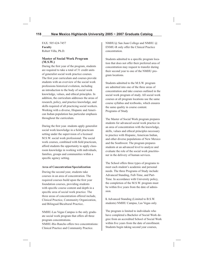FAX: 505 624-7457 **Faculty** Robert Villa, Ph.D.

## **Master of Social Work Program (M.S.W.)**

During the first year of the program, students are required to take a total of 31 credit units of generalist social work practice courses. The first year curriculum and courses provide students with an overview of the social work professions historical evolution, including an introduction to the body of social work knowledge, values, and ethical principles. In addition, the curriculum addresses the areas of research, policy, and practice knowledge, and skills required of all practicing social workers. Working with a diverse, Hispanic and American Indian population has particular emphasis throughout the curriculum.

During the first year. students apply generalist social work knowledge in a field practicum setting under the supervision of a licensed M.S.W. social work professional. The social work courses, combined with field practicum, afford students the opportunity to apply classroom knowledge in working with individuals, families, groups and communities within a specific agency setting.

## **Area of Concentration/Specialization**

During the second year, students take courses in an area of concentration. The required courses build upon the first year foundation courses, providing students with specific course content and depth in a specific area of social work practice. The three areas of concentration offered include, Clinical Practice, Community Organization, and Bilingual/Bicultural Practice..

NMHU-Las Vegas Campus is the only graduate social work program that offers all three program concentrations. NMHU-Rio Rancho offers two concentrations:

Clinical Practice and Community Practice.

NMHU@ San Juan College and NMHU @ ENMU-R only offer the Clinical Practice concentration.

Students admitted to a specific program location that does not offer their preferred area of concentration may request to transfer during their second year to one of the NMHU program locations.

Students admitted to the M.S.W. program are admitted into one of the three areas of concentration and take courses outlined in the social work program of study. All social work courses at all program locations use the same course syllabus and textbooks, which ensures the same quality in course content. Programs of Study

The Master of Social Work program prepares students for advanced social work practice in an area of concentration with the knowledge, skills, values and ethical principles necessary to practice with Hispanic, American Indian, and other diverse populations of New Mexico and the Southwest. The program prepares students at an advanced level to analyze and evaluate the role of the social work practitioner in the delivery of human services.

The School offers three types of programs to meet each student's academic and personal needs. The three Programs of Study include: Advanced Standing, Full-Time, and Part-Time. In accordance with University policy, the completion of the M.S.W. program must be within five years from the date of admission.

**I.** Advanced Standing (Limited to B.S.W. students) NMHU Campus, Las Vegas only.

The program is limited to individuals who have completed a Bachelor of Social Work degree from an accredited School of Social Work within five years from the date of enrollment. Students begin taking second year courses,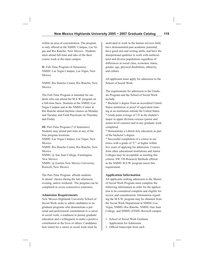within an area of concentration. The program is only offered at the NMHU Campus, Las Vegas and Rio Rancho, New Mexico. Students must attend full-time and take of the their course work at the main campus.

**II**. Full-Time Program (4 Semesters) NMHU Las Vegas Campus, Las Vegas, New Mexico

NMHU Rio Rancho Center, Rio Rancho, New Mexico

The Full-Time Program is intended for students who can attend the M.S.W. program on a full-time basis. Students at the NMHU-Las Vegas Campus and at the NMHU-Center at Rio Rancho attend daytime classes on Monday and Tuesday and Field Practicum on Thursday and Friday.

**III**. Part-Time Program (7-8 Semesters) Students may attend part-time at any of the four program locations. NMHU Las Vegas Campus, Las Vegas, New Mexico NMHU Rio Rancho Center, Rio Rancho, New Mexico NMHU @ San Juan College, Farmington, New Mexico NMHU @ Eastern New Mexico University, Roswell, New Mexico

The Part-Time Program affords students to attend classes during the late afternoon, evening, and/or weekend. The program can be completed in seven consecutive semesters.

#### **Admission Requirements**

New Mexico Highlands University School of Social Work seeks to admit candidates to its graduate programs who demonstrate a personal and professional commitment to a career in social work, a readiness to pursue graduate education and a willingness to make a positive contribution in the lives of others. Candidates best suited for a career in social work must be

motivated to work in the human services field, have demonstrated past academic potential, have good oral and writing skills, and have the interpersonal qualities to work with multicultural and diverse populations regardless of differences in social class, economic status, gender, age, physical disabilities, ethnicity, and culture.

All applicants must apply for admission to the School of Social Work.

The requirements for admission to the Graduate Program and the School of Social Work include:

\* Bachelor's degree from an accredited United States institution or proof of equivalent training at an institution outside the United States. \* Grade point average of 3.0 in the student's major or upper division courses (junior and senior-level courses) and in any graduate work completed.

\* Demonstrate a Liberal Arts education as part of the bachelor's degree.

\* Successful completion of a course in statistics with a grade of "C" or higher within five years of applying for admission. Courses from other educational institutions and Junior Colleges may be acceptable as meeting this criteria. SW 330 Research Methods offered in the NMHU B.S.W. program meets this requirement.

#### **Application Information**

All applicants seeking admission to the Master of Social Work Program must complete the following information in order for the application to be considered complete and eligible for review and consideration. Information regarding the M.S.W. program may be obtained from the Social Work Department at NMHU-Las Vegas, NMHU-Rio Rancho, NMHU-San Juan College, and NMHU-ENMU-Roswell campus.

- 1. School of Social Work Graduate Application for Admission
- 2. Official transcripts from each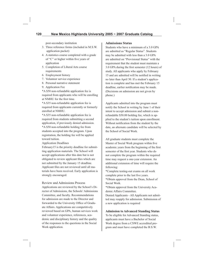post-secondary institution

- 3. Three reference forms (included in M.S.W. application packet)
- 4. A statistics course completed with a grade of "C" or higher within five years of application
- 5. Completion of Liberal Arts course requirements
- 6. Employment history
- 7. Volunteer service experience
- 8. Personal narrative statement
- 9. Application Fee

\*A \$50 non-refundable application fee is required from applicants who will be enrolling at NMHU for the first time.

\*A \$35 non-refundable application fee is required from applicants currently or formerly enrolled at NMHU.

\*A \$35 non-refundable application fee is required from students submitting a second application, if previously denied admission.

\*A \$50 non-refundable holding fee from students accepted into the program. Upon registration, the holding fee will be applied toward tuition.

Application Deadlines

February15 is the priority deadline for submitting application materials. The School will accept applications after this date but is not obligated to review applicant files which are not submitted by the January 15 deadline. Applicant files are not reviewed until all materials have been received. Early application is strongly encouraged.

Review and Admissions Process Applications are reviewed by the School's Director of Admissions, the Schools' Admissions Committee, and faculty. Recommendations for admission are made to the Director and forwarded to the University Office of Graduate Affairs. Applications are competitively reviewed based on GPA, human services work and volunteer experience, references, academic and disciplinary history and the quality of the responses to the questions in the Social Work application.

#### **Admissions Status**

Students who have a minimum of a 3.0 GPA are admitted as "Regular Status". Students may be admitted with less than a 3.0 GPA are admitted on "Provisional Status" with the requirement that the student must maintain a 3.0 GPA during the first semester (12 hours) of study. All applicants who apply by February 15 and are admitted will be notified in writing no later than April 30. If a student's application is complete and has met the February 15 deadline, earlier notification may be made. (Decisions on admission are not given by phone.)

Applicants admitted into the program must notify the School in writing by June 1 of their intent to accept admission and submit a nonrefundable \$50.00 holding fee, which is applied to the student's tuition upon enrollment. Without notification from the student by the date, an alternate candidate will be selected by the School of Social Work.

All graduate students must complete the Master of Social Work program within five academic years from the beginning of the first semester of the first year. Students who do not complete the program within the required time may request a one-year extension. An additional extension of time will require the following:

\*Complete testing-out exams on all work complete prior to the last five years. \*Obtain approval from the Dean, School of Social Work.

\*Obtain approval from the University Academic Affairs Committee.

Denied Applicants - All Applicants not admitted may reapply for admission. Submission of a new application is required

#### **Admission to Advanced Standing Status**

To be eligible for Advanced Standing status, applicants must have a Bachelor of Social Work degree from a CSWE accredited program and must have completed the B.S.W.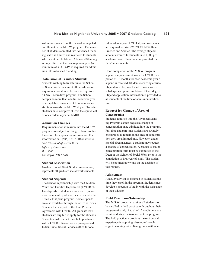within five years from the date of anticipated enrollment in the M.S.W. program. The number of students admitted into Advanced Standing status is limited and restricted to students who can attend full-time. Advanced Standing is only offered at the Las Vegas campus. (A minimum of a 3.0 GPA is required for admission into Advanced Standing)

## **Admission of Transfer Students**

Students wishing to transfer into the School of Social Work must meet all the admission requirements and must be transferring from a CSWE accredited program. The School accepts no more than one full academic year of acceptable course credit from another institution towards the M.S.W. degree. Transfer students must complete at least the equivalent of one academic year at NMHU.

## **Admission Changes**

Requirements for admission into the M.S.W. program are subject to change. Please contact the school for application information. For information call (505) 454-3310 or write to : *NMHU School of Social Work* **Office of Admissions** *Box 9000 Las Vegas, NM 87701*

## **Student Association**

Graduate Social Work Student Association, represents all graduate social work students.

## **Student Stipends**

The School in partnership with the Children Youth and Families Department (CYFD) offers stipends to students who wish to pursue a career in child protective services under the Title IV-E stipend program. Some stipends are also available through Indian Tribal Social Services that are part of the Joint Powers Agreement with CYFD. All graduate level students are eligible to apply for the stipends. Students must conduct their field practicum with a CYFD office or with a pre-approved Indian Tribal Social Services office for one

full academic year. CYFD stipend recipients are required to take SW 691 Child Welfare Practice and Service The average stipend amount awarded to students is \$10,000 per academic year. The amount is pro-rated for Part-Time students.

Upon completion of the M.S.W. program, stipend recipients must work for CYFD for a period of 18 months for each academic year a stipend is received. Students receiving a Tribal Stipend must be preselected to work with a tribal agency upon completion of their degree. Stipend application information is provided to all students at the time of admission notification.

## **Request for Change of Area of Concentration**

Students admitted into the Advanced Standing Program cannot request a change of concentration once admitted into the program. Full time and part time students are strongly encouraged to remain in the area of concentration they are admitted into. However, under special circumstances, a student may request a change of concentration. A change of major concentration form must be submitted to the Dean of the School of Social Work prior to the completion of first year of study. The student will be notified in writing on the decision of this request.

## **Advisement**

A faculty advisor is assigned to students at the time they enroll in the program. Students must develop a program of study with the assistance of their advisor.

## **Field Practicum/Internship**

The M.S.W. program requires all students to be enrolled in field practicum throughout their program of study. A total of 12 credit units are required during the two years of the program. The field practicum provides instruction and experience in applying classroom knowledge in working with client groups within an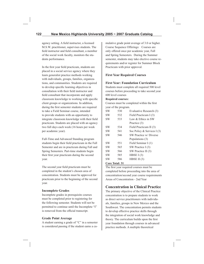agency setting. A field instructor, a licensed M.S.W. practitioner, supervises students. The field instructor and field consultant, a member of the social work faculty, monitors the students performance.

In the first year field practicum, students are placed in a social service agency where they learn generalist practice methods working with individuals, groups, families, organizations, and communities. Students are required to develop specific learning objectives in consultation with their field instructor and field consultant that incorporate and apply classroom knowledge to working with specific client groups or organizations. In addition, during the first semester students are required to take a Field Seminar course, intended to provide students with an opportunity to integrate classroom knowledge with their field practicum. Students are placed with an agency two full days each week (16 hours per week per academic year).

Full-Time and Advanced Standing program students begin their field practicum in the Fall Semester and are in practicum during Fall and Spring Semesters. Part-time students begin their first year practicum during the second year.

The second year field practicum must be completed in the student's chosen area of concentration. Students must be approved for practicum prior to the beginning of the second year.

## **Incomplete Grades**

Incomplete grades in prerequisite courses must be completed prior to registering for the following semester. Students will not be permitted to continue until the Incomplete "I" is removed from the official transcript.

#### **Grade Point Average**

A student earning a grade of "C" in a semester is considered passing if the student earns a cumulative grade point average of 3.0 or higher. Course Sequence Offerings: Courses are only offered once per academic year, Fall and Spring Semesters. During the Summer semester, students may take elective course requirements and/or register for Summer Block Practicum with prior approval.

## **First Year Required Courses**

#### **First Year: Foundation Curriculum**

Students must complete all required 500 level courses before proceeding to take second year 600 level courses

#### **Required courses:**

Courses must be completed within the first year of the program.

| <b>SW</b> | 530 | Evaluative Research (3)     |
|-----------|-----|-----------------------------|
| <b>SW</b> | 532 | Field Practicum I (3)       |
| <b>SW</b> | 533 | Law & Ethics in SW          |
|           |     | Practice (3)                |
| SW        | 534 | Field Practicum II (3)      |
| <b>SW</b> | 541 | Soc Policy & Services I (3) |
| <b>SW</b> | 546 | SW Practice w/ Diverse      |
|           |     | Populations (3)             |
| <b>SW</b> | 551 | Field Seminar I (1)         |
| <b>SW</b> | 565 | SW Practice I (3)           |
| <b>SW</b> | 566 | SW Practice II (3)          |
| <b>SW</b> | 585 | HBSE $I(3)$                 |
| <b>SW</b> | 586 | HBSE II $(3)$               |
|           |     |                             |

#### **Core Total: 31**

The first year required courses must be completed before proceeding into the area of concentration/second year course requirements Areas of Concentration - 2nd Year

# **Concentration in Clinical Practice**

The primary objective of the Clinical Practice concentration is to prepare students to work as direct service practitioners with individuals, families, groups in New Mexico and the Southwest. The concentration permits students to develop effective practice skills through the integration of social work knowledge and theory. The curriculum builds upon the first year foundation through courses in advanced practice methods. A multiple theoretical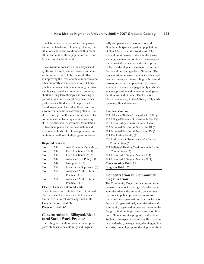orientation is relied upon which recognizes the inter-relatedness of human problems, life situations and social conditions within multiethnic and multicultural populations of New Mexico and the Southwest.

The curriculum focuses on the analysis and synthesis of direct practice theories and interventions determined to be the most effective in improving the lives of ethnic minorities and other culturally diverse populations. Clinical practice services include intervening in crisis, identifying available community resources, short and long-term therapy and working as part of an in a inter-disciplinary team other professionals. Students will be provided a broad awareness of social, cultural, and environmental conditions affecting clients. The skills developed in this concentration are clear communication, listening and interviewing skills, psychosocial assessment, formulation of treatment plans, and self evaluation and research methods. The clinical practice concentration is offered at all program locations.

#### **Required courses:**

| <b>SW</b> | 630 | Adv Research Methods (3)       |
|-----------|-----|--------------------------------|
| <b>SW</b> | 632 | Field Practicum III (3)        |
| <b>SW</b> | 634 | Field Practicum IV (3)         |
| <b>SW</b> | 642 | Advanced Soc Policy (3)        |
| <b>SW</b> | 644 | Group Work (3)                 |
| <b>SW</b> | 651 | Leadership & Supervision $(3)$ |
| <b>SW</b> | 665 | <b>Advanced Multicultural</b>  |
|           |     | Practice I $(3)$               |
| <b>SW</b> | 666 | <b>Advanced Multicultural</b>  |
|           |     | Practice II (3)                |

#### **Elective Courses : 8 credit units**

Students are required to take 8 credit units of electives which affords students to enhance their area of clinical knowledge and skills.

**Concentration Total: 32**

**Program Total: 63**

## **Concentration in Bilingual/Bicultural Social Work Practice**

The Bilingual/Bicultural concentration prepares students to be culturally and linguistically competent social workers to work directly with Spanish speaking populations of New Mexico and the Southwest. The curriculum immerses students in the Spanish language in order to obtain the necessary social work skills, values and ethical principles and develop an awareness and respect for the cultural and gender differences. The concentration prepares students for advanced practice through a unique bilingual/bicultural classroom setting and practicum placement whereby students are engaged in Spanish language application and interaction with peers, families and individuals. The focus is to obtain competency in the delivery of Spanish speaking clinical practice.

#### **Required Courses:**

615 Bilingual/Bicultural Immersion for SW I (4) 616 Bilingual/Bicultural Immersion for SW II (3) 631 Advanced Qualitative Research (3) 632 Bilingual/Bicultural Practicum III (3) 634 Bilingual/Bicultural Practicum IV (3) 654 The Latino Family (3) 656 Addictions & Treatments w/in Latino Communities (3) 657 Beliefs & Healing Traditions w/in Latino Communities (3) 667 Advanced Bilingual Practice I (3) 668 Advanced Bilingual Practice II (3) **Concentration Total: 31 Program Total: 62**

# **Concentration in Community Organization**

The Community Organization concentration prepares students for a range of professional, administrative and community development positions in public, private and non-profit social welfare organizations. Courses focus on the use of organizational, administrative and community organization practice theory in the design, initiation, improvement and modification of human service programs and policies. Students can expect to acquire skills in executive leadership, management, planning, policy analysis, research program development, fiscal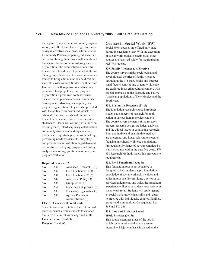management, supervision, community organization, and all relevant knowledge bases necessary in effective social work administration. Community Practice prepares graduates for a career combining direct work with clients and the responsibilities of administering a service organization. The administration concentration covers a broad base of personal skills and client groups. Student in this concentration are trained to bring administration and direct service into closer contact. Students will become familiarized with organizational dynamics, personnel, budget policies, and program organization. Specialized content focuses on such macro practice areas as community development, advocacy, social policy, and program organization. They are also provided with the ability to empower individuals to articulate their own needs and find resources to meet those specific needs. Specific skills students will learn are, working with individuals and groups, interdisciplinary collaboration, community assessment and organization, problem solving, strategies, decision making, performing needs assessments, budgeting and personnel administration, legislative and demonstrative lobbying, program and policy analysis, marketing, grants development, and program evaluation.

## **Required courses: 32**

| <b>SW</b> | 630  | Advanced Research I (3)        |
|-----------|------|--------------------------------|
| <b>SW</b> | 632  | Field Practicum III (3)        |
| <b>SW</b> | 634  | Field Practicum IV (3)         |
| <b>SW</b> | 642. | Adv Social Policy (3)          |
| <b>SW</b> | 644  | Group Work (3)                 |
| <b>SW</b> | 651  | Leadership & Supervision $(3)$ |
| <b>SW</b> | 687  | Community Organization (3)     |
| <b>SW</b> | 688  | Agency Practice &              |
|           |      | Administration (3)             |

#### **Elective Courses : 8 credit units**

Students are required to take 8 credit units of electives which affords students to enhance their area of clinical knowledge and skills.

#### **Concentration Total: 32**

**Program Total: 63**

# **Courses in Social Work (SW)**

Social Work courses are offered only once during the academic year. With the exception of social work graduate electives, all other courses are reserved solely for matriculating M.S.W. students.

#### **529. Family Violence (2); Elective**

The course surveys major sociological and psychological theories of family violence throughout the life span. Social and interpersonal factors contributing to family violence are explored in an ethnocultural context, with special emphasis on the Hispanic and Native American populations of New Mexico and the Southwest.

## **530. Evaluative Research (3); Sp**

The foundation research course introduces students to concepts of research for application in various human service contexts. The course covers elements of the research process, research design, statistical analysis, and the ethical issues in conducting research. Both qualitative and quantitative methods are presented, and issues relevant to research focusing on culturally diverse populations. Prerequisite: Evidence of having completed a statistics course within the past five years. SW 330 Research Methods meets this prerequisite requirement.

## **532. Field Practicum I (3); Fa**

This foundation practicum sequence is designed to help students apply foundation knowledge of social work skills, values and ethics in practice. By providing a series of supervised assignments and tasks, the practicum experience will expose students to a variety of social work roles. Students will apply generalist social work knowledge, skills and values to practice with individuals, couples, families, groups and communities. Co-requisite: SW 565 and SW 566.

#### **533. Law and Ethics in Social Work Practice (3); Fa**

This course examines areas of the law in which social work and the legal system intertwine. Major emphasis is placed on the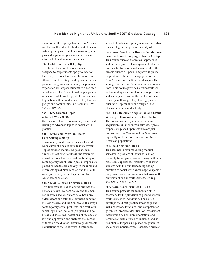operation of the legal system in New Mexico and the Southwest and introduces students to critical principles, guidelines, reasoning strategies and legal concepts necessary to make informed ethical practice decisions.

#### **534. Field Practicum II (3); Sp**

This foundation practicum sequence is designed to help students apply foundation knowledge of social work skills, values and ethics in practice. By providing a series of supervised assignments and tasks, the practicum experience will expose students to a variety of social work roles. Students will apply generalist social work knowledge, skills and values to practice with individuals, couples, families, groups and communities. Co-requisite: SW 565 and SW 566.

#### **535 – 635. Selected Topic in Social Work (1-3);**

One or more elective courses may be offered relating to advanced topics in social work practice.

#### **540 – 640. Social Work in Health Care Settings (2); Sp**

The course provides an overview of social work within the health care delivery system. Topics covered include the psychosocial dimensions of chronic illness, the treatment role of the social worker, and the funding of contemporary health care. Special emphasis is placed on health care delivery in the rural and urban settings of New Mexico and the Southwest, particularly with Hispanic and Native American populations.

#### **541. Social Policy and Services (3); Fa**

This foundational policy course outlines the history of social welfare policy and the manner in which social services have been provided before and after the European conquest of New Mexico and the Southwest. It surveys contemporary social problems, and evaluates social legislation, policies, programs and political and social manifestations of racism, sexism and oppression and analyzes the impact of these on the diverse, historically vulnerable populations of the Southwest. It introduces

students to advanced policy analysis and advocacy strategies that promote social justice..

**546. Social Work with Diverse Populations: Issues of Race, Class, Age, Gender (3); Sp** This course surveys theoretical approaches and outlines practice techniques and interventions useful for competent social work with diverse clientele. Special emphasis is placed on practice with the diverse populations of New Mexico and the Southwest, especially among Hispanic and American Indian populations. This course provides a framework for understanding issues of diversity, oppressions and social justice within the context of race, ethnicity, culture, gender, class, age, sexual orientation, spirituality and religion, and physical and mental disability.

#### **547 – 647. Resource Acquisition and Grant Writing in Human Services (2); Elective**

The course teaches systematic resource acquisition skills for human services. Special emphasis is placed upon resource acquisition within New Mexico and the Southwest, especially on behalf of Hispanic and Native American populations.

#### **551. Field Seminar (1); Fa**

This seminar is required during the first semester. It provides students with an opportunity to integrate practice theory with field practicum experience. Instructors will assist students with their understanding and application of social work knowledge to specific programs, issues, and concerns that arise in the provision of social work services. Co-requisite: SW 532 and SW 565.

#### **565. Social Work Practice I (3); Fa**

This course presents the foundation skills necessary for the provision of generalist social work services to individuals. The course develops the direct practice knowledge and skills necessary for ethical and competent engagement, problem identification, assessment, intervention design, implementation, and termination with diverse, vulnerable, and atrisk clients. Emphasis is placed on generalist social work practice with Hispanic, American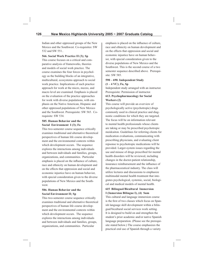Indian and other oppressed groups of the New Mexico and the Southwest. Co-requisites: SW 532 and SW 551..

**566. Social Work Practice II (3); Sp** This course focuses on a critical and comparative analysis of frameworks, theories and models of social work practice. The course examines the four forces in psychology as the building blocks of an integrative, multicultural, ecosystems approach to social work practice. Implications of each practice approach for work at the micro, mezzo, and macro level are examined. Emphasis is placed on the evaluation of the practice approaches for work with diverse populations, with emphasis on the Native American, Hispanic and other oppressed populations of New Mexico and the Southwest. Prerequisite: SW 565. Corequisite: SW 534.

#### **585. Human Behavior and the Social Environment I (3); Fa**

This two-semester course sequence critically examines traditional and alternative theoretical perspectives of human life course development and the environmental contexts within which development occurs. The sequence explores the interactions among individuals and between individuals and families, groups, organizations, and communities. Particular emphasis is placed on the influence of culture, race and ethnicity on human development and on the effects that oppression and social and economic injustice have on human behavior, with special consideration given to the diverse populations of New Mexico and the Southwest.

## **586. Human Behavior and the Social Environment II; Sp**

This two-semester course sequence critically examines traditional and alternative theoretical perspectives of human life course development and the environmental contexts within which development occurs. The sequence explores the interactions among individuals and between individuals and families, groups, organizations, and communities. Particular

emphasis is placed on the influence of culture, race and ethnicity on human development and on the effects that oppression and social and economic injustice have on human behavior, with special consideration given to the diverse populations of New Mexico and the Southwest. This is the second course of a two semester sequence described above. Prerequisite: SW 585.

## **590 – 690. Independent Study (1 – 4 VC); Fa, Sp**

Independent study arranged with an instructor. Prerequisite: Permission of instructor. **613. Psychopharmacology for Social Workers (2)**

This course will provide an overview of psychologically active (psychotropic) drugs commonly used in clinical practice and diagnostic conditions for which they are targeted. The focus will be on information relevant to mental health professionals whose clients are taking or may be prescribed psychotropic meidcaiton. Guidelines for referring clients for medication evaluations, communicating with prescribing physicians, and evaluating client repsonse to psychotropic medications will be provided. Larger-system issues regarding the use and misuse of drugs prescribed for mental health disorders will be reviewed, including changes in the doctor-patient relationship, insurance reimbursement and the influence of the pharmaceeutical industry. The class will utilize lectures and discussions to emphasize multimodal mental health treatment that integrates psychological, systemic, social, biological and medical models of mental health.

## **615 Bilingual/Bicultural Immersion I (Inmersion Bilingue I), (4) Sum**

This cultural and language immersion course is the first of two classes which focus on Spanish language skill development within a bilingual/bicultural social services work setting. It is designed to build on and strengthen the student's prior academic and/or native Spanish language preparation. (Please see the prerequisite stated below.) The course emphasizes the practical oral use of Spanish through a variety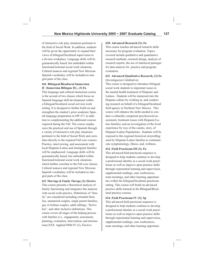of interactive role play situations pertinent to the field of Social Work. In addition, students will be given the opportunity to expand their views of bilingual/bicultural supervision in a diverse workplace. Language skills will be grammatically based, but embedded within functional/notional social work situations. Cultural nuances and regional New Mexican Spanish vocabulary will be included as integral parts of the class.

## **616 Bilingual/Bicultural Immersion II (Inmersion Bilingue II) , (3) Fa**

This language and cultural immersion course is the second of two classes which focus on Spanish language skill development within a bilingual/bicultural social services work setting. It is designed to further build on and strengthen the student's prior academic Spanish language preparation in SW 671 in addition to complementing the additional courses required during the Fall. The course emphasizes the practical oral use of Spanish through a variety of interactive role play situations pertinent to the field of Social Work and correlates directly to the required Fall core courses. Practice, interviewing, and assessment with local Hispanic/Latino and immigrant families will be emphasized. Language skills will be grammatically based, but embedded within functional/notional social work situations which further correlate to the Fall core classes. Cultural nuances and regional New Mexican Spanish vocabulary will be included as integral parts of the class.

**623. Marriage & Family Therapy (2); Elective** This course presents a theoretical analysis of family functioning and integrates this analysis with social work practice. Definitions of "family" are considered including extended families, unmarried couples, single parent families, gay or lesbian couples, adult siblings, "fictive" kin", and other inclusive definitions. This course covers all stages of the helping process with families (i.e., engagement, assessment, planning, evaluation, intervention, and termination).XXX Applied DSM IV (2), Elective

#### **630. Advanced Research (3); Fa**

This course teaches advanced research skills necessary for program evaluation. Topics covered include qualitative and quantitative research methods, research design, analysis of research reports, the use of statistical packages for data analysis for practice and program evaluation.

#### **631 Advanced Qualitative Research, (3) Fa** (Investigacion Culalitativa)

This course is designed to introduce bilingual social work students to important issues in the mental health treatment of Hispanic and Latinos. Students will be immersed into the Hispano culture by working in, and conducting research on behalf of a bilingual/bicultural field agency in Northern New Mexico. This course will enhance the skills needed to conduct a culturally competent psychosocial assessment; treatment issues with Hispanic/Latino families; and an investigation of the lived experience by way of the cuento, story, of Hispanic/Latino Populations. Students will be exposed to this regional historical storytelling used by Hispanic/Latino families to communicate symptomology, illness, and, wellness.

#### **632. Field Practicum III (3); Fa**

This advanced field practicum sequence is designed to help students continue to develop a professional identity as a social work practitioner as well as improve upon practice skills through experiential learning and supervision, supplemental readings, case conferences, team meetings, and other learning opportunities within the bilingual/bicultural practicum setting. This course will build on advanced practice skills learned in the Bilingual/Bicultural practice courses.

#### **634. Field Practicum IV (3); Sp**

This advanced field practicum sequence is designed to help students continue to develop a professional identity as a social work practitioner as well as improve upon practice skills through experiential learning and supervision, supplemental readings, case conferences, team meetings, and other learning opportuni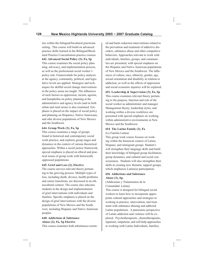ties within the bilingual/bicultural practicum setting. This course will build on advanced practice skills learned in the Bilingual/Bicultural Practice Concentration practice courses.

**642. Advanced Social Policy (3); Fa, Sp** This course examines the social policy planning, advocacy, and implementation process, as well as the professional social worker's policy role. Frameworkds for policy analysis at the agency, community, political, and legislative levels are applied. Strategies and techniques for skillful social change interventions in the policy arena are taught. The influences of such factors as oppression, racism, ageism, and homphobia on policy planning at the administrative and agency levels (and in both urban and rural areas) is also examined. Emphasis is placed on the impact of social policy and planning on Hispanics, Native Americans, and othe diverse populations of New Mexico and the Southwest.

#### **644. Group Work (3); Fa, Sp**

This course examines a range of groups found in historical and contemporary social work practice, and explores group stages and dynamics in the context of various theoretical approaches. Within a social justice framework, special emphasis is placed on ethical and practical issues of group work with historically oppressed populations.

#### **645. Grief and Loss (2); Elective**

The course surveys relevant theory pertaining to the grieving process. Multiple types of loss, including death, divorce, health problems and career transitions, are discussed in an ethnocultural context. The course also educates students in the design and implementation of grief interventions with individuals and families. Specific emphasis is placed on the design of grief interventions with the diverse populations of New Mexico and the Southwest, including Hispanic and Native American peoples.

## **648. Addictions & Substance Abuse (2); Fa, Sp Elective**

This course examines both asbstinence-orient-

ed and harm reduction interventions related to the prevention and treatment of addictive disorders, substance abuse and other compulsive behaviors. Approaches relevant to work with individuals, families, groups, and communities are presented, with special emphasis on the Hispanic and Native American populations of New Mexico and the Southwest. The influences of culture, race, ethnicity, gender, age, sexual orientation and disability in relation to addiction, as well as the effects of oppression and social economic injustice will be explored.

#### **651. Leadership & Supervision (3); Fa, Sp**

This course examines relevant theory pertaining to the purpose, function and role of the social worker as administrator and manager. Management theory, leadership styles, and working within a diverse workforce are presented with special emphasis on working within administrative environments in New Mexico and the Southwest.

#### **654 The Latino Family (3), Fa** (La Familia Latina)

This group work course focuses on working within the historical context of Latino, Hispano, and immigrant groups. Student's will strengthen their language skills and build their knowledge of bilingual group facilitation, group dynamics, and cultural and social consciousness. Students will also strengthen their skills in creating new thematic support groups, which emphasize Latino(a) participation.

## **656 Addictions and Substance Abuse (3), Sp.**

(Addiciones y Tratamientos de la Comunidad Latina)

This course is designed for bilingual social workers to learn how to incorporate appropriate cultural approaches and strategies in working in practice, intervention, and treatment with substance abusing and addicted Latino populations. A panoramic perspective of Latino addiction and violence will be explored. Psychotherapeutic, chemotherapeutic, inpatient, outpatient, and self-help approaches to working with Latino Individuals, families,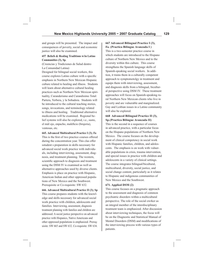and groups will be presented. The impact and consequences of poverty, social and economic justice will also be examined.

## **657 Beliefs & Healing Traditions w/in Latino Communities (3), Sp.**

(Creencias y Tradiciones de Salud dentro La Comunidad Latina)

Designed for bilingual social workers, this course explores Latino culture with a specific emphasis in Northern New Mexican Hispanic culture related to healing and illness. Students will learn about alternative cultural healing practices such as Northern New Mexican spirituality, Curanderismo and Curandisimo Total: Partera, Yerbera, y la Sobadora. Students will be introduced to the cultural teaching stories, songs, invocations, and terminology related to illness and healing. Traditional alternative medications will be examined. Regional belief systems will also be explored, i.e., susto, el mál ojo, enpacho, maléficio (brujeria), ventosas, etc.

**665. Advanced Multicultural Practice I (3); Fa** 

This is the first of two practice courses offered during the concentration year. This clas offer sstudent s preparation in skills necessary for advanced social work practice with individuals, including interviewing, assessment, diagnosis, and treatment planning. The western, scientific approach to diagnosis and treatment using the DSM IV is examined as well as alternative approaches used by diverse clients. Emphasis is place on practice with Hispanic, American Indian and other oppressed populations of New Mexico and the Southwest. Prerequisite or Co-requisite: SW 632.

**666. Advanced Multicultural Practice II (3); Sp** This course prepares students with the knowledge and skills necessary for advanced social work practice with children, adolescents and families. Interviewing, assessment, diagnosis treatment planning with families and children are addressed. A social justice perspective on advanced practice with Hispanics, Native Americans and other oppressed populations is emphasized. Prerequisite: SW 665 and SW 632. Co-requisite: SW 634.

#### **667 Advanced Bilingual Practice I (3), Fa. (Practica Bilingue Avanzada I )**

This is a two-semester practice course in which students are introduced to the Hispano culture of Northern New Mexico and to the diversity within this culture. This course strengthens the Spanish language skills of Spanish-speaking social workers. In addition, it trains them in a culturally competent approach to symptomotolgy in treatment and equips them with interviewing, assessment, and diagnosis skills from a bilingual, bicultural perspective using DSM IV. These treatment approaches will focus on Spanish-speaking rural Northern New Mexican clients who live in poverty and are vulnerable and marginalized. Gay and Lesbian issues in a Latino community will also be explored.

## **668 Advanced Bilingual Practice II (3), Sp.(Practica Bilingue Avanzada II)**

This is the second in a sequence of courses in advanced practice, with a particular focus on the Hispano populations of Northern New Mexico. The course focuses on the development of clinical competency in social work with Hispanic families, children, and adolescents. The emphasis is on work with vulnerable populations in crisis, trauma intervention, and special issues in practice with children and adolescents in a variety of clinical settings. The course integrates bilingual/bicultural, multicultural, diversity, social justice, and social change content, particularly as it relates to Hispanic and indigenous communities of New Mexico and the Southwest.

#### **671. Applied DSM (2)**

This course focuses on a pragmatic approach to the assessment and diagnosis of common psychiatric disorders within a multicultural perspective. The role of the social owrker as an integral member of the interdisciplinary treatment team is emphasized. After discussion about interviewing techniques, the focus will be on the Diagnostic and Statistical Manual of Mental Disorders (DSM) and modifications of the interviewing process with various types of patients.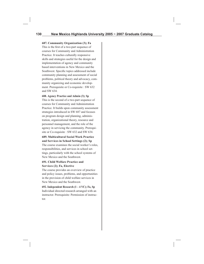#### **687. Community Organization (3); Fa**

This is the first of a two-part sequence of courses for Community and Administration Practice. It teaches culturally responsive skills and strategies useful for the design and implementation of agency and community based interventions in New Mexico and the Southwest. Specific topics addressed include community planning and assessment of social problems, political theory and advocacy, community organizing and economic development. Prerequisite or Co-requisite : SW 632 and SW 634.

## **688. Agency Practice and Admin (3); Sp**

This is the second of a two-part sequence of courses for Community and Administration Practice. It builds upon community assessment strategies introduced in SW 687 and focuses on program design and planning, administration, organizational theory, resource and personnel management, and the role of the agency in servicing the community. Prerequisite or Co-requisite : SW 632 and SW 634.

## **689. Multicultural Social Work Practice and Services in School Settings (2); Sp**

The course examines the social worker's roles, responsibilities, and services in school settings, particularly with the school systems of New Mexico and the Southwest.

## **691. Child Welfare Practice and Services (2); Fa, Elective**

The course provides an overview of practice and policy issues, problems, and opportunities in the provision of child welfare services in New Mexico and the Southwest.

**692. Independent Research (1 – 4 VC); Fa, Sp** Individual directed research arranged with an instructor. Prerequisite: Permission of instructor.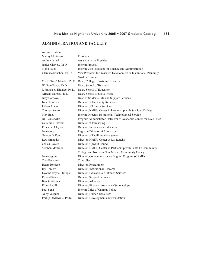# **ADMINISTRATION AND FACULTY**

| Administration              |                                                                    |
|-----------------------------|--------------------------------------------------------------------|
| Manny M. Aragon             | President                                                          |
| <b>Andrew Isreal</b>        | Assistant to the President                                         |
| Janice Chavez, Ph.D.        | Interim Provost                                                    |
| Manu Patel                  | Interim Vice President for Finance and Administration              |
| Clarence Sanchez, Ph. D.    | Vice President for Research Development & Institutional Planning/  |
|                             | <b>Graduate Studies</b>                                            |
|                             | C. G. "Tino" Mendez, Ph.D. Dean, College of Arts and Sciences      |
| William Tayor, Ph.D.        | Dean, School of Business                                           |
| J. Francisco Hidalgo, Ph.D. | Dean, School of Education                                          |
| Alfredo Garcia, Ph. D.      | Dean, School of Social Work                                        |
| Judy Cordova                | Dean of Students/Life and Support Services                         |
| Isaac Apodaca               | Director of University Relations                                   |
| Ruben Aragon                | Director of Library Services                                       |
| Thomas Atcitty              | Director, NMHU Center in Partnership with San Juan College         |
| Max Baca                    | Interim Director, Institutional Technological Service              |
| Jill Baskerville            | Program Administrator/Instructor of Academic Center for Excellence |
| Geraldine Chavez            | Director of Purchasing                                             |
| Ernestine Clayton           | Director, International Education                                  |
| John Coca                   | Registrar/Director of Admissions                                   |
| George DuFour               | Director of Facilities Management                                  |
| Lew Granados                | Director, NMHU Center at Rio Rancho                                |
| Carlos Lovato               | Director, Upward Bound                                             |
| Stephen Martinez            | Director, NMHU Center in Partnership with Santa Fe Community       |
|                             | College and Northern New Mexico Community College                  |
| John Olguin                 | Director, College Assistance Migrant Program (CAMP)                |
| Tino Pestalozzi             | Controller                                                         |
| Bazan Romero                | Director, Recruitment                                              |
| Ivy Romero                  | Director, Institutional Research                                   |
| Evonne Roybal-Tafoya        | Director, Educational Outreach Services                            |
| Roland Salas                | Director, Support Services                                         |
| Ben Santistevan             | Director, Athletics                                                |
| Eillen Sedillo              | Director, Financial Assistance/Scholarships                        |
| Paul Sena                   | Interim Chief of Campus Police                                     |
| Andy Vasquez                | Director, Human Resources                                          |
| Phillip Uzdawinis, Ph.D.    | Director, Development and Foundation                               |
|                             |                                                                    |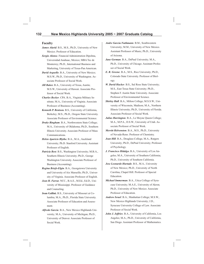#### **Faculty**

- *James Alarid*. B.S., M.S., Ph.D., University of New Mexico. Professor of Education.
- *Sergio Alonso*. Financial Administration Dipolma, Universidad Anahuac, Mexico; MBA Tec de Monterrey; Ph.D., International Business and Marketing, University of Texas-Pan American.
- *David Arguello*. B.A., University of New Mexico; M.S.W., Ph.D., University of Washington. Associate Professor of Social Work.
- *Jill Baker.* B.A., University of Texas, Austin; M.S.W., University of Hawaii. Associate Professor of Social Work.
- *Charles Becker*. CPA. B.A., Virginia Military Institute; M.A., University of Virginia. Associate Professor of Business (Accounting).
- *Kenneth P. Bentson.* B.S., University of California, Berkeley; M.S., Ph.D., Oregon State University. Associate Professor of Environmental Science.
- *Drake Bingham*. B.A., Northwestern State College; M.A., University of Oklahoma; Ph.D., Southern Illinois University. Associate Professor of Mass Communications.
- *Helen Aparicio Blythe.* B.A., M.A., Auckland University; Ph.D. Stanford University. Assistant Professor of English.
- *Patricia Bost*. B.S., Washington University; M.B.A., Southern Illinois University; Ph.D., George Washington University. Associate Professor of Business (Accounting).
- *Regina Briefs-Elgin*. B.A., Georgetown University and University of Aix Marseille; Ph.D., University of Virginia. Associate Professor of English.
- *Jean H. Farrar.* NCC., B.A.E., M.Ed., Ed.D., University of Mississippi. Professor of Guidance and Counseling.
- **Joan Gallini.** B.S., University of Missouri at Columbia; M.A., Ph.D., Florida State University. Associate Professor of Education and Assessment.
- *Alfredo Garcia*. B.A., New Mexico Highlands University; M.A., University of Michigan; Ph.D., University of Denver. Associate Professor of Social Work.
- *Andre Garcia-Nuthmann*. B.M., Southwestern University; M.M., University of New Mexico. Assistant Professor of Music; Ph.D., University of Arizona.
- *Jane Gorman*. B.A., DePaul University; M.A., Ph.D., University of Chicago. Assistant Professor of Social Work.
- *E. R. Greene*. B.A., M.S., Rice University; Ph.D., Colorado State University. Professor of Biology.
- *W. David Hacker*. B.S., Sul Ross State University; M.S., East Texas State University; Ph.D., Stephen F. Austin State University. Associate Professor of Environmental Science.
- *Shirley Hall*. B.A., Milton College; M.S.S.W., University of Wisconsin, Madison; M.A., Northern Illinois University; Ph.D., University of Florida. Associate Professor of Social Work.
- *Julius Harrington*. B.A., Le Moyne Queen College; M.A., M.P.A., D.S.W., University of Utah. Associate Professor of Social Work.
- *Merritt Helvenston*. B.A., M.S., Ph.D., University of Nevada-Reno. Professor of Chemistry.
- *Jean Hill*. B.A., Douglass College, M.A., Rutgers University; Ph.D., DePaul University; Professor of Psychology.
- *J. Francisco Hidalgo.* B.A., University of Los Angeles; M.A., University of Southern California; Ph.D., University of Southern California.
- *Jose Leonardo Hurtado*. B.S., M.A., University of New Mexico; Ph.D., University of North Carolina, Chapel Hill. Professor of Special Education.
- *Michael Immerman*. B.A., Utica College of Syracuse University; M.A.E., University of Akron; Ph.D., University of New Mexico. Associate Professor of Education.
- *Andrew Israel*. B.A., Manhattan College; M.S.W., New Mexico Highlands University; J.D., Syracuse University College of Law. Associate Professor of Social Work.
- *John J. Jeffries*. B.A., University of California, Los Angeles; M.A., Ph.D., University of California, San Diego. Assistant Professor of Mathematics.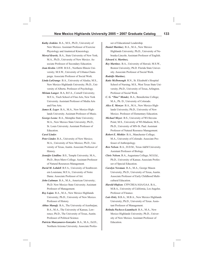- *Kathy Jenkins*. B.A., M.S., Ph.D., University of New Mexico. Assistant Professor of Exercise Physiology and Anatmical Kinesiology.
- *Merryl Kravitz*. B.A., State University of New York; M.A., Ph.D., University of New Mexico. Associate Professor of Secondary Education.
- *Joan Krohn*. LISW. B.S.E., Northern Illinois University; M.S.W., University of Urbana-Champaign. Associate Professor of Social Work.
- *Linda LaGrange*. B.A., University of Alaska; M.S., New Mexico Highlands University; Ph.D., University of Alberta. Professor of Psychology.
- *Miriam Langer*. B.A, B.F.A., Cornell University; M.F.A., Tisch School of Fine Arts, New York University. Assistant Professor of Media Arts and Fine Arts.
- *James K. Leger*. B.A., M.A., New Mexico Highlands University. Assistant Professor of Music.
- *George Leone*. B.A., Memphis State University; M.A., New Mexico State University; Ph.D., St. Louis University. Assistant Professor of Education.

#### *Carol Linder*.

- *Peter Linder.* B.A., University of New Mexico; M.A., University of New Mexico; Ph.D., University of Texas, Austin. Associate Professor of History.
- *Jennifer Lindline*. B.S., Temple University; M.A., Ph.D., Bryn Mawr College. Assistant Professor of Natural Resources Management.
- *David M. Lobdell*. B.F.A., University of Southwestern Louisiana; M.F.A., University of Notre Dame. Associate Professor of Art.
- *John Luhman*. B.A., M.A., American University; Ph.D. New Mexico State University. Assistant Professor of Management.
- *Roy Lujan*. B.A., M.A., New Mexico Highlands University; Ph.D., University of New Mexico. Professor of History.
- *Abbas Manafy*. B.A., The University of Azerbaijan; B.A., M.A., The University of Kansas, Lawrence; Ph.D., The University of Texas, Austin. Professor of Political Science.
- *Patricia Manzanares-Gonzales*. B.A., M.A., Ed.D., Northern Arizona University. Associate Profes-

sor of Educational Leadership.

*Daniel Martinez*. B.A., M.A., New Mexico Highlands University; Ph.D., University of Nebraska-Lincoln. Assistant Professor of English.

*Edward A. Martinez.* 

*Rey Martinez*. B.A., University of Hawaii; M.S.W., Boston University; Ph.D. Florida State University. Associate Professor of Social Work.

#### *Rudolfo Martinez*.

*Katie McDonough*. R.N., St. Elizabeth's Hospital School of Nursing; M.S., West Texas State University; Ph.D., University of Texas, Arlington. Professor of Social Work.

*C. G. "Tino" Mendez*. B.A., Benedictine College; M.A., Ph. D., University of Colorado.

- *Alice E. Menzor*. B.A., M.A., New Mexico Highlands University; Ph.D., University of New Mexico. Professor of Elementary Education.
- *Michael Meyer*. B.S., University of WI-Stevens Point; M.S., University of WI-Madison; M.S., Ph.D., University of MN-St. Paul. Assistant Professor of Natural Resource Management.
- *Robert E. Mishler*. B.A., Manchester College; M.A., University of Colorado. Associate Professor of Anthropology.
- *Ben Nelson*. B.A., D.D.M., Texas A&M University. Assistant Professor of Biology.
- *Chris Nelson.* B.A., Augustana College; M.S.Ed., Ph.D., University of Kansas. Associate Professor of Special Education.
- *Carolyn Newman*. B.A., M.A., George Mason University; Ph.D., University of Texas, Austin. Associate Professor of Early Childhood Multicultural Education.
- *Harold Olafson*. CFP/CREA/ASA/GAA. B.A., M.B.A., University of California, Los Angeles. Professor of Finance.
- *Luis Ortiz.* B.B.A., M.B.A., New Mexico Highlands University; Ph.D., University of Texas. Assistant Professor of Management.
- *Belinda Pacheco-Laumbach*. B.A., M.A., New Mexico Highlands University; Ph.D., University of New Mexico. Assistant Professor of Education.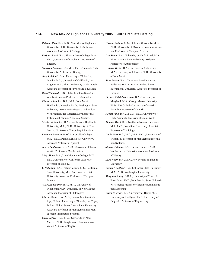- *Rolando Rael*. B.S., M.S., New Mexico Highlands University; Ph.D., University of California. Associate Professor of Biology.
- *Barbara Risch*. B.A., Thomas More College; M.A., Ph.D., University of Cincinnati. Professor of English.
- *Maureen Romine*. B.S., M.S., Ph.D., Colorado State University. Professor of Biology.
- *Joseph Sabutis*. B.A., University of Nebraska, Omaha; M.S., University of California, Los Angeles; M.S., Ph.D., University of Pittsburgh. Associate Professor of Physics and Education.
- *David Sammeth*. B.S., Ph.D., Montana State University. Associate Professor of Chemistry.
- *Clarence Sanchez*. B.A., M.A., New Mexico Highlands University; Ph.D., Washington State University. Associate Professor of Education. Vice President for Research Development & Institutional Planning/Graduate Studies.
- *Nicolas T. Sanchez*. B.A., New Mexico Highlands University; M.A., Ph.D., University of New Mexico. Professor of Secondary Education.
- *Veronica Saunero-Ward*. B.A., Colby College; M.A., Ph.D., Pennsylvania State University. Assistant Professor of Spanish.
- *Jon A. Schlosser.* B.S., Ph.D., University of Texas, Austin. Professor of Mathematics.
- *Mary Shaw*. B.A., Lone Mountain College; M.S., Ph.D., University of California. Associate Professor of Biology.
- *C. Sollohub*. B.A., Oblate College; M.S., California State University; M.S., San Francisco State University. Associate Professor of Computer Science.
- *Alice Lee Stauffer*. B.A., M.A., University of Oklahoma; Ph.D., University of New Mexico. Associate Professor of Philosophy.
- *Charles Swim*. B.A., M.S., Eastern Montana College; M.B.A., University of Nevada, Las Vegas; D.B.A., United States International University. Associate Professor of Management and Management Information Systems.
- *Eddie Tafoya*. B.A., M.A., University of New Mexico; Ph.D., Binghamton University. Assistant Professor of English.
- *Hossein Tahani.* M.S., St. Louis University; M.S., Ph.D., University of Missouri, Columbia. Assistant Professor of Computer Science.
- *Orit Tamir*. B.A., University of Haifa, Israel; M.A., Ph.D., Arizona State University. Assistant Professor of Anthropology.
- *William Taylor*, B.A., University of California; M.A., University of Chicago; Ph.D., University of New Mexico.
- *Kent Tucker*. B.A., California State University, Fullerton; M.B.A., D.B.A., United States International University. Associate Professor of Finance.
- *Carmen Vidal-Lieberman*. B.A., University of Maryland; M.A., George Mason University; Ph.D., The Catholic University of America. Associate Professor of Spanish.
- *Robert Villa*. B.A., M.S.W., Ph.D., University of Utah. Associate Professor of Social Work.
- *Thomas Ward.* B.S., Northern Arizona University; M.S., Ph.D., Iowa State University. Associate Professor of Sociology.
- *David West*. B.A., M.A., M.S., Ph.D., University of Wisconsin. Professor of Management Information Systems.
- *Steven Williams*. B.A., Rutgers College; Ph.D., Northwestern University. Associate Professor of History.
- *Leah Wolff.* B.A., M.A., New Mexico Highlands University.
- *Donna Woodford*. B.A., California State University; M.A., Ph.D., Washington University
- *Margaret Young*. B.B.A., University of Texas, El Paso; M.A., Ph.D., New Mexico State University. Associate Professor of Business Administration/Marketing.
- *Djuro G. Zrilic*. B.S., University of Banja; M.S., University of Ljubljana; Ph.D., University of Belgrade. Professor of Engineering.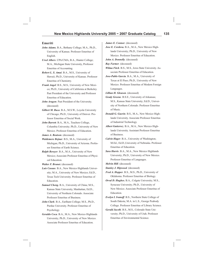#### **Emeriti**

- *John Adams.* B.A., Bethany College; M.A., Ph.D., University of Kansas. Professor Emeritus of English.
- *Ursel Albers*. CPA/CMA, B.A., Hunter College; M.A., Michigan State University, Professor Emeritus of Accounting.
- *Robert L. S. Amai*. B.A., M.S., University of Hawaii; Ph.D., University of Kansas. Professor Emeritus of Chemistry.
- *Frank Angel*. B.S., M.S., University of New Mexico; Ph.D., University of California at Berkeley. Past President of the University and Professor Emeritus of Education.
- *John Aragon*. Past President of the University. (deceased)
- *Gilbert M. Baca*. B.A., M.S.W., Loyola University of Chicago; Ph.D., University of Denver. Professor Emeritus of Social Work.
- *John Barrett*. B.A., M.A., Teachers College, Columbia University; Ph.D., University of New Mexico. Professor Emeritus of Education.
- *James A. Beatson*. (deceased)
- *Waldemere Bejnar*. B.S., M.A., University of Michigan; Ph.D., University of Arizona. Professor Emeritus of Earth Science.
- *Ralph Bowyer*. B.A., M.A., University of New Mexico; Associate Professor Emeritus of Physical Education.
- *Walter F. Brunet.* (deceased)
- *Luis Casaus*. B.A., New Mexico Highlands University; M.A., University of New Mexico; Ed.D., Texas Tech University. Professor Emeritus of Education.
- *Samuel Cheng.* B.A., University of China; M.S., Kansas State University, Manhattan; Ed.D., University of Northern Colorado. Associate Professor Emeritus of Business.
- *John Clark*. B.A., Earlham College; M.S., Ph.D., Purdue University. Professor Emeritus of Psychology.
- *Geraldo Coca*. B.A., M.A., New Mexico Highlands University; Ph.D., University of New Mexico. Associate Professor Emeritus of Education.

*James E. Connor*. (deceased)

- *Jose E. Cordova.* B.A., M.A., New Mexico Highlands University; Ph.D., University of New Mexico. Professor Emeritus of Education.
- *John A. Donnelly*. (deceased)

*Ray Farmer*. (deceased)

- *Wilma Fitch*. B.S., M.S., Iowa State University. Associate Professor Emeritus of Education.
- *Jose-Pablo Garcia*. B.A., M.A., University of Texas at El Paso; Ph.D., University of New Mexico. Professor Emeritus of Modern Foreign Languages.
- *Lillian H. Gleason*. (deceased)
- *Grady Greene*. B.S.E., University of Arkansas; M.S., Kansas State University; Ed.D., University of Northern Colorado. Professor Emeritus of Music.
- *Donald G. Guerin*. B.S., M.A., New Mexico Highlands University. Associate Professor Emeritus of Industrial Technology.
- *Albert Gutierrez*. B.A., M.A., New Mexico Highlands University. Assistant Professor Emeritus of Business.
- *Calvin Hager*. B.A., University of Washington; M.Ed., Ed.D.,University of Nebraska. Professor Emeritus of Education.
- *Sara Harris*. B.A., M.A., New Mexico Highlands University; Ph.D., University of New Mexico. Professor Emeritus of Languages.

*Melvin Hill*. (deceased)

- *Stanley J. Hipwood*. (deceased)
- *Fred A. Hopper*. B.S., M.S., Ph.D., University of Oklahoma. Professor Emeritus of Biology.
- *Orval D. Hughes.* B.A., Colgate University; M.S., Syracuse University; Ph.D., University of New Mexico. Associate Professor Emeritus of Education.
- *Evelyn I. Ivanoff*. B.S., Northern State College of South Dakota; M.A. in L.S., George Peabody College. Professor Emeritus of Library Science.
- *Gerald Jacobi*. B.S., M.S., Colorado State University; Ph.D., University of Utah. Professor Emeritus of Environmental Science.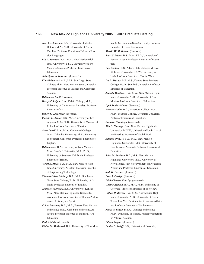- *Jean Lee Johnson*. B.A., University of Western Ontario; M.A., Ph.D., University of North Carolina. Professor Emeritus of Modern Foreign Languages.
- *Bill L. Johnson*. B.A., M.A., New Mexico Highlands University; Ed.D., University of New Mexico. Associate Professor Emeritus of Education.

*John Spencer Johnson*. (deceased )

*Kim Kirkpatrick*. A.B., M.S., San Diego State College; Ph.D., New Mexico State University. Professor Emeritus of Physics and Computer Science.

*William H. Knell*. (deceased)

*Harry M. Leippe.* B.A., Calvin College; M.A., University of California at Berkeley. Professor Emeritus of Art.

*Robert G. Lindeborg*. (deceased)

- *Vicente J. Llamas*. B.S., M.S., University of Los Angeles; M.S., Ph.D., University of Missouri at Rolla. Professor Emeritus of Physics.
- *Anne Lohrli.* B.A., M.A., Occidental College; M.A., Columbia University; Ph.D., University of Southern California. Professor Emeritus of English.
- *William Lux*. B.A., University of New Mexico; M.A., Stanford University; M.A., Ph.D., University of Southern California. Professor Emeritus of History.
- *Albert R. Maez*. B.A., M.A., New Mexico Highlands University. Assistant Professor Emeritus of Engineering Technology.

*Thomas Oliver Mallory*. B.A., M.A., Southwest Texas State College; Ph.D., University of Illinois. Professor Emeritus of English.

- *James H. Marshall*. B.S., University of Kansas; M.A., New Mexico Highlands University. Associate Professor Emeritus of Human Performance, Leisure, and Sport.
- *C. Leo Martinez*. B.A., M.A., Eastern New Mexico University; Ed.D., Utah State University. Associate Professor Emeritus of Industrial Arts Education.

*Ruth Matilla.* (deceased)

*Elaine M. McDowel*l. B.S., University of New Mex-

ico; M.S., Colorado State University. Professor Emeritus of Home Economics.

*Merritt W. McGahan*. (deceased)

- *Jack W. Mears*. B.S., M.A., Ed.D., University of Texas at Austin. Professor Emeritus of Education.
- *Luis Medina*. B.S., Adams State College; M.S.W., St. Louis University; D.S.W., University of Utah. Professor Emeritus of Social Work.
- *Ira B. Mosley*. B.S., M.S., Kansas State Teachers College; Ed.D., Stanford University. Professor Emeritus of Education.
- *Juanita Montoya*. B.A., M.A., New Mexico Highlands University; Ph.D., University of New Mexico. Professor Emeritus of Education.

*Opal Snitker Moore*. (deceased)

*Werner Muller*. B.A., Haverford College; M.A., Ph.D., Teachers College, Columbia University. Professor Emeritus of Education.

*Annelise Nanninga.* (deceased)

- *Tito E. Narango*. B.A., New Mexico Highlands University; M.S.W., University of Utah. Associate Emeritus Professor of Social Work.
- *Alfonso Ortiz*, Jr. B.A., M.A., New Mexico Highlands University; Ed.S., University of New Mexico. Associate Professor Emeritus of Education.
- *John M. Pacheco*. B.A., M.S., New Mexico Highlands University; Ph.D., University of New Mexico. Past Vice President for Academic Affairs and Professor Emeritus of Education.

*Seth H. Parsons*. (deceased)

*Lynn I. Perrigo*. (deceased)

*Edith Clement Rackley*. (deceased)

*Gabino Rendon*. B.A., M.A., Ph.D., University of Colorado. Professor Emeritus of Sociology.

- *Gilbert D. Rivera.* B.A., M.S., New Mexico Highlands University; Ph.D., University of North Texas. Past Vice President for Academic Affairs and Professor Emeritus of Mathematics.
- *James V. Rocca*. B.B.A., Gonzaga University; Ph.D., University of Vienna. Professor Emeritus of Political Science.

*Lillian Rogers*. (deceased)

*Louise L. Roloff.* B.S., University of Colorado;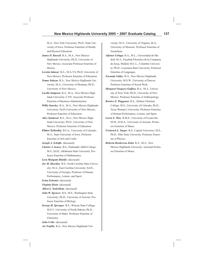M.A., New York University; Ph.D., State University of Iowa. Professor Emeritus of Health and Physical Education.

- *James D. Russell*. B.A., M.A., New Mexico Highlands University; Ph.D., University of New Mexico. Associate Professor Emeritus of History.
- *Loretta Salazar*. B.A., M.A.T.S, Ph.D. University of New Mexico. Professor Emeritus of Education.
- *Tomas Salazar.* B.A., New Mexico Highlands University; M.A., University of Montana; Ph.D., University of New Mexico.
- *Lucille Sampson.* B.A., M.A., New Mexico Highlands University; C.P.S. Associate Professor Emeritus of Business Administration.
- *Willie Sanchez*. B.A., M.A., New Mexico Highlands University; Ed.D.,University of New Mexico. Professor Emeritus of Education.
- *Alice Sandoval*. B.A., M.A., New Mexico Highlands University; Ph.D., University of New Mexico. Professor Emeritus of Education.
- *Elmer Schooley*. B.F.A., University of Colorado; M.A., State University of Iowa. Professor Emeritus of Arts and Crafts.
- Joseph A. Schufle. (deceased)
- *Charles J. Searcy*. B.S., Panhandle A&M College; M.S., Ed.D., Oklahoma State University. Professor Emeritus of Mathematics.

*Lora Mangum Shields*. (deceased)

- *Joe M. Shockley*. B.S., North Carolina State University; M.A., East Carolina University; Ed.D., University of Georgia. Professor of Human Performance, Leisure, and Sport.
- *Erma Schuster.* (deceased)
- *Virginia Sloan*. (deceased)
- *Albert L. Soderblom*. (deceased)
- *John W. Spencer*. B.S., M.S., Washington State University; Ph.D., University of Arizona. Professor Emeritus of Biology.
- *George H. Sprenger*. B.S., Winona State College; M.S.T., University of North Dakota; Ph.D., University of Idaho. Professor Emeritus of Chemistry.

*John Uribe*. (deceased)

*Art Trujillo*. B.A., New Mexico Highlands Uni-

versity; M.A., University of Virginia; M.A., University of Missouri. Professor Emeritus of Journalism.

- *Alfonso Urtiaga*. B.A., M.L., Universidad de Madrid; M.A., Facultad Filosofica de la Compania de Jesus, Madrid; M.C.L., Columbia University; Ph.D., Louisiana State University. Professor Emeritus of Languages.
- *Facundo Valdez*. B.A., New Mexico Highlands University; M.S.W., University of Denver. Professor Emeritus of Social Work.
- *Margaret Vasquesz-Geffroy.* B.A., M.A., University of New York; Ph.D., University of New Mexico. Professor Emeritus of Anthropology.
- *Bernice E. Waggoner.* B.S., Abilene Christian College; M.S., University of Colorado; Ph.D., Texas Woman's University. Professor Emeritus of Human Performance, Leisure, and Sport.
- *Loren E. Wise*. B.M.E., University of Evansville; M.M., D.M.A., University of Arizona. Professor Emeritus of Music.
- *Frederick L. Yarger*. B.S., Capital University; M.S., Ph.D., Ohio State University. Professor Emeritus of Physics.
- *Roberta Henderson Zohn.* B.A., M.A., New Mexico Highlands University. Assistant Professor Emeritus of Music.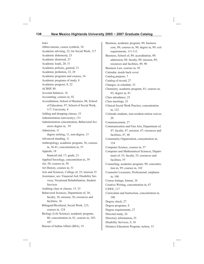#### Index

Abbreviations, course symbols, 34 Academic advising, 32; for Social Work, 117 Academic dishonesty, 23 Academic dismissal, 23 Academic loads, 20, 31 Academic policies, general, 21 Academic probation, 22, 28 Academic programs and courses, 34 Academic programs of study, 8 Academic progress, 8, 22 ACBSP, 88 Account balances, 16 Accounting, courses in, 92 Accreditation, School of Business, 88; School of Education, 97; School of Social Work, 117; University, 4 Adding and dropping classes, 33 Administration (university), 131 Administration concentration, Behavioral Sciences degree in, 39 Admission, 11 degree seeking, 11, non-degree, 13 Advanced standing, 11 Anthropology, academic program, 36; courses in, 38-41; concentration in, 35 Appeals, 18 financial aid, 17; grade, 21 Applied Sociology, concentration in, 39 Art, 50; courses in, 50 Art History, courses in, 51 Arts and Sciences, College of, 35; mission 35 Assistance, see: Financial Aid, Disability Services, Vocational Rehabilitation, Student **Services** Auditing class or classes, 15, 33 Behavioral Sciences, Department of, 36; faculty, 36; mission, 36; resources and facilities, 36 Bilingual/Bicultural, Social Work, 123; courses in, 124 Biology (Life Science), academic program, 80; concentration in, 81, courses in, 103- 107 Bureau of Indian Affairs (BIA), 19

Business, academic program, 89; business core, 89; courses in, 90; degree in, 89; exit requirements, 111-112 Business, School of, 89; accreditation, 89; admission, 89; faculty, 89; mission, 89; resources and facilities, 89, 90 Business Law, courses in, 92 Calendar, inside back cover Catalog purpose, 7 Catalog of record, 27 Changes, in schedule, 33 Chemistry, academic program, 81; courses in, 82; degree in, 81 Class attendance, 23 Class meetings, 23 Clinical Social Work Practice, concentration in, 122 Colorado students, non-resident tuition waiver, 20 Commencement, 27 Communication and Fine Arts, Department of, 47; faculty, 47; mission, 47; resources and facilities, 47, 48 Community Organization, concentration in, 124 Computer Science, courses in, 57 Computer and Mathematical Sciences, Department of, 55; faculty, 55; resources and facilities, 55 Counseling, academic program, 99; concentration in, 99; courses in, 102 Counselor Licensure, Professional, emphasis in, 100 Course listings, format, 34 Creative Writing, concentration in, 67 CSWE, 117 Curriculum and Instruction, concentration in, 100 Degree check, 27 Degree programs, 8 Degree requirements, 27 Directed study, 24 Directory information, 25 Disability Services, 9, 10 Distance Education Program, tuition, 15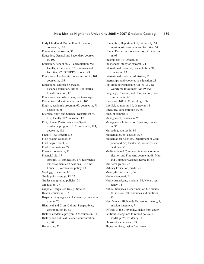Early Childhood Multicultural Education, courses in, 105 Economics, courses in, 92 Education, General and Secondary, courses in, 107 Education, School of, 97; accreditation, 97; faculty, 97; mission, 97; resources and facilities, 97; 'STURDY' model, 98 Educational Leadership, concentration in, 101; courses in, 105 Educational Outreach Services, distance education, tuition, 15; international education, 12 Educational records, access, see transcripts Elementary Education, courses in, 106 English, academic program, 65; courses in, 71; degree in, 66 Exercise, Sport and Science, Department of, 112; faculty, 112; mission, 112 ESS, Human Performance and Sport, academic programs, 112; courses in, 114; degree in, 112 Faculty, 132; emeriti 135 Field project courses, 24 Final degree check, 26 Final examinations, 24 Finance, courses in, 92 Financial aid, 17 appeals, 19; application, 17; deferments, 19; enrollment certifications, 19; time limits, 18, verification policy, 18 Geology, courses in, 85 Grade point average, 18, 22 Grades and grading policies, 21 Graduation, 27 Graphic Design, see Design Studies Health, courses in, 114 Hispanic Languages and Literature, concentration in, 70 Historical and Cross-Cultural Perspectives, concentration in, 68 History, academic program, 67; courses in, 74 History and Political Science, concentration in, 70 Honors list, 22

Humanities, Department of, 64; faculty, 64; mission, 64; resources and facilities, 64 Human Resources, concentration, 91, courses in, 93 Incompletes ("I" grade), 21 Independent study or research, 24 International Business, cencentration, 91, courses in, 93 International students, admission, 12 Internships, and cooperative education, 23 Job Training Partnership Act (JTPA), see Workforce Investment Act (WIA) Language, Rhetoric, and Composition, concentration in, 66 Licensure, 101; in Counseling, 100 Life Sci, courses in, 86, degree in, 81 Literature, concentration in, 66 Map, of campus, 5 Management, courses in, 93 Management Information Systems, courses in, 95 Marketing, courses in, 96 Mathematics, 55; courses in, 61 Mathematical Sciences, Department of Computer and, 55; faculty, 55; resources and facilities, 55 Media Arts and Computer Science, Communication and Fine Arts degree in, 48; Math and Computer Science degree in, 55 Mid-term grades, 22 Military Education, credit, 25 Music, 49; courses in, 54 Name, change of, 26 Native Americans, students, 14; Navajo residency, 14 Natural Sciences, Department of, 80; faculty, 80; mission, 80; resources and facilities, 80 New Mexico Highlands University, history, 9; mission statement, 7 Officers of the University, inside front cover Petitions, exceptions to refund policy, 17; hardship, 26; residency 14 Philosophy, courses in, 73 Phone numbers, inside front cover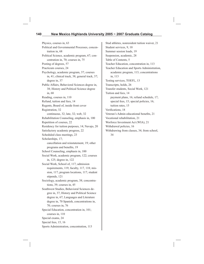Physics, courses in, 63 Political and Governmental Processes, concentration in, 68 Political Science, academic program, 67; concentration in, 70; courses in, 75 Posting of degrees, 57 Practicum courses, 24 Psychology, academic program, 37; courses in, 41; clinical track, 38; general track, 37; degree in, 37 Public Affairs, Behavioral Sciences degree in, 38; History and Political Science degree in, 68 Reading, courses in, 110 Refund, tuition and fees, 14 Regents, Board of, inside front cover Registration, 32 continuous, 32; late, 32; web, 32 Rehabilitation Counseling, emphasis in, 100 Repetition of courses, 22 Residency for tuition purposes, 14; Navajo, 20 Satisfactory academic progress, 22 Scheduled class meetings, 23 Scholarships, 17; cancellation and reinstatement, 19; other programs and benefits, 19 School Counseling, emphasis in, 100 Social Work, academic program, 122; courses in, 125; degree in, 122 Social Work, School of, 117; admission requirements, 119; faculty, 117, 118; mission, 117; program locations, 117; student stipends, 121 Sociology, academic program, 38; concentrations, 39; courses in, 45 Southwest Studies, Behavioral Sciences degree in, 37; History and Political Science degree in, 67; Languages and Literature degree in, 70 Spanish, concentrations in, 70; courses in, 76 Special Education, concentration in, 101; courses in, 110 Special exams, 24 Special fees, 15, 16 Sports Administration, concentration, 113

Stud athletes, nonresident tuition waiver, 21 Student services, 9, 10 Summer session loads, 19 Suspension, academic, 28 Table of Contents, 5 Teacher Education, concentration in, 113 Teacher Education and Sports Administration, academic program, 113; concentrations in, 113 Testing services, TOEFL, 13 Transcripts, holds, 26 Transfer students, Social Work, 121 Tuition and fees, 14 payment plans, 16; refund schedule, 17; special fees, 15; special policies, 16; tuition rates, 15 Verifications, 18 Veteran's Admin educational benefits, 21 Vocational rehabilitation, 21 Worforce Investment Act (WIA), 21 Withdrawal policies, 16 Withdrawing from classes, 34; from school, 34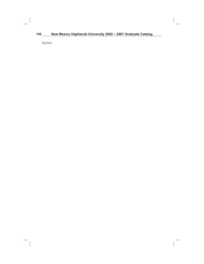# **142 New Mexico Highlands University 2005 ~ 2007 Graduate Catalog**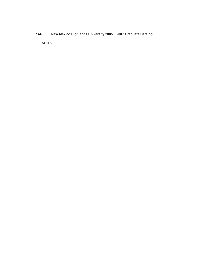# 144 New Mexico Highlands University 2005 ~ 2007 Graduate Catalog